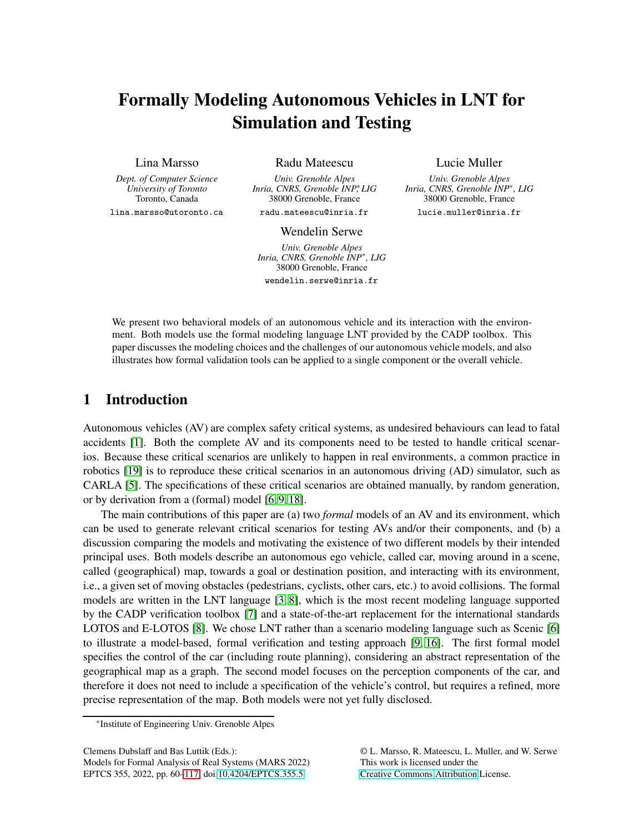# Formally Modeling Autonomous Vehicles in LNT for Simulation and Testing

### Lina Marsso

*Dept. of Computer Science University of Toronto* Toronto, Canada lina.marsso@utoronto.ca Radu Mateescu

*Univ. Grenoble Alpes Inria, CNRS, Grenoble INP*\**, LIG* 38000 Grenoble, France radu.mateescu@inria.fr

Lucie Muller

*Univ. Grenoble Alpes Inria, CNRS, Grenoble INP*<sup>∗</sup> *, LIG* 38000 Grenoble, France lucie.muller@inria.fr

#### Wendelin Serwe

*Univ. Grenoble Alpes Inria, CNRS, Grenoble INP*<sup>∗</sup> *, LIG* 38000 Grenoble, France wendelin.serwe@inria.fr

We present two behavioral models of an autonomous vehicle and its interaction with the environment. Both models use the formal modeling language LNT provided by the CADP toolbox. This paper discusses the modeling choices and the challenges of our autonomous vehicle models, and also illustrates how formal validation tools can be applied to a single component or the overall vehicle.

# 1 Introduction

Autonomous vehicles (AV) are complex safety critical systems, as undesired behaviours can lead to fatal accidents [\[1\]](#page-12-0). Both the complete AV and its components need to be tested to handle critical scenarios. Because these critical scenarios are unlikely to happen in real environments, a common practice in robotics [\[19\]](#page-13-0) is to reproduce these critical scenarios in an autonomous driving (AD) simulator, such as CARLA [\[5\]](#page-12-1). The specifications of these critical scenarios are obtained manually, by random generation, or by derivation from a (formal) model [\[6,](#page-12-2) [9,](#page-12-3) [18\]](#page-13-1).

The main contributions of this paper are (a) two *formal* models of an AV and its environment, which can be used to generate relevant critical scenarios for testing AVs and/or their components, and (b) a discussion comparing the models and motivating the existence of two different models by their intended principal uses. Both models describe an autonomous ego vehicle, called car, moving around in a scene, called (geographical) map, towards a goal or destination position, and interacting with its environment, i.e., a given set of moving obstacles (pedestrians, cyclists, other cars, etc.) to avoid collisions. The formal models are written in the LNT language [\[3,](#page-12-4) [8\]](#page-12-5), which is the most recent modeling language supported by the CADP verification toolbox [\[7\]](#page-12-6) and a state-of-the-art replacement for the international standards LOTOS and E-LOTOS [\[8\]](#page-12-5). We chose LNT rather than a scenario modeling language such as Scenic [\[6\]](#page-12-2) to illustrate a model-based, formal verification and testing approach [\[9,](#page-12-3) [16\]](#page-13-2). The first formal model specifies the control of the car (including route planning), considering an abstract representation of the geographical map as a graph. The second model focuses on the perception components of the car, and therefore it does not need to include a specification of the vehicle's control, but requires a refined, more precise representation of the map. Both models were not yet fully disclosed.

Clemens Dubslaff and Bas Luttik (Eds.):

Models for Formal Analysis of Real Systems (MARS 2022) EPTCS 355, 2022, pp. 60[–117,](#page-57-0) doi[:10.4204/EPTCS.355.5](http://dx.doi.org/10.4204/EPTCS.355.5)

© L. Marsso, R. Mateescu, L. Muller, and W. Serwe This work is licensed under the [Creative Commons](https://creativecommons.org) [Attribution](https://creativecommons.org/licenses/by/4.0/) License.

<sup>\*</sup>Institute of Engineering Univ. Grenoble Alpes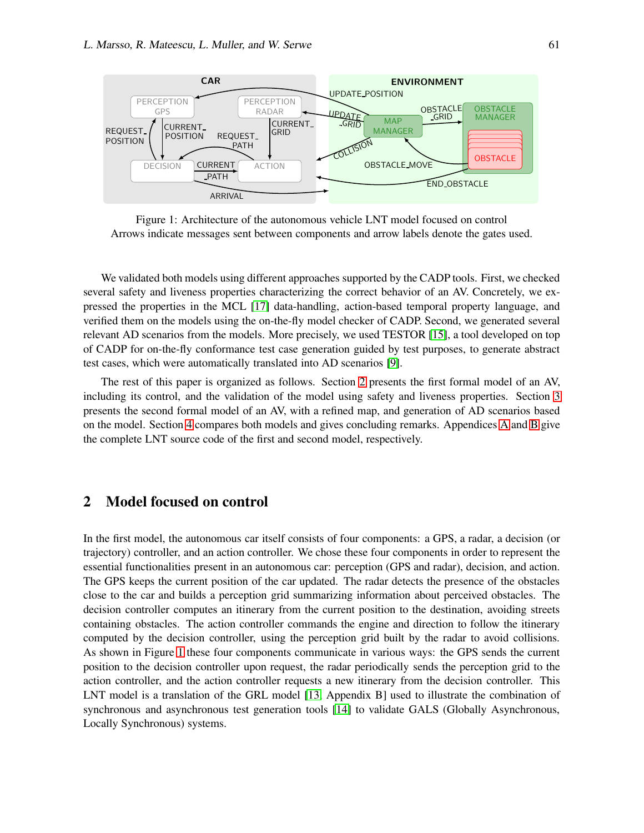

<span id="page-1-1"></span>Figure 1: Architecture of the autonomous vehicle LNT model focused on control Arrows indicate messages sent between components and arrow labels denote the gates used.

We validated both models using different approaches supported by the CADP tools. First, we checked several safety and liveness properties characterizing the correct behavior of an AV. Concretely, we expressed the properties in the MCL [\[17\]](#page-13-3) data-handling, action-based temporal property language, and verified them on the models using the on-the-fly model checker of CADP. Second, we generated several relevant AD scenarios from the models. More precisely, we used TESTOR [\[15\]](#page-13-4), a tool developed on top of CADP for on-the-fly conformance test case generation guided by test purposes, to generate abstract test cases, which were automatically translated into AD scenarios [\[9\]](#page-12-3).

The rest of this paper is organized as follows. Section [2](#page-1-0) presents the first formal model of an AV, including its control, and the validation of the model using safety and liveness properties. Section [3](#page-6-0) presents the second formal model of an AV, with a refined map, and generation of AD scenarios based on the model. Section [4](#page-11-0) compares both models and gives concluding remarks. Appendices [A](#page-14-0) and [B](#page-32-0) give the complete LNT source code of the first and second model, respectively.

# <span id="page-1-0"></span>2 Model focused on control

In the first model, the autonomous car itself consists of four components: a GPS, a radar, a decision (or trajectory) controller, and an action controller. We chose these four components in order to represent the essential functionalities present in an autonomous car: perception (GPS and radar), decision, and action. The GPS keeps the current position of the car updated. The radar detects the presence of the obstacles close to the car and builds a perception grid summarizing information about perceived obstacles. The decision controller computes an itinerary from the current position to the destination, avoiding streets containing obstacles. The action controller commands the engine and direction to follow the itinerary computed by the decision controller, using the perception grid built by the radar to avoid collisions. As shown in Figure [1](#page-1-1) these four components communicate in various ways: the GPS sends the current position to the decision controller upon request, the radar periodically sends the perception grid to the action controller, and the action controller requests a new itinerary from the decision controller. This LNT model is a translation of the GRL model [\[13,](#page-13-5) Appendix B] used to illustrate the combination of synchronous and asynchronous test generation tools [\[14\]](#page-13-6) to validate GALS (Globally Asynchronous, Locally Synchronous) systems.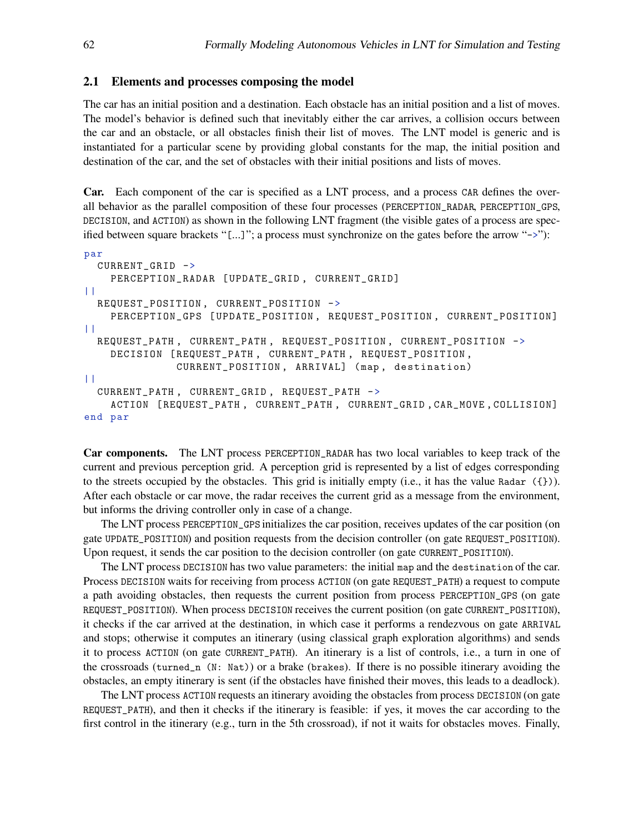#### 2.1 Elements and processes composing the model

The car has an initial position and a destination. Each obstacle has an initial position and a list of moves. The model's behavior is defined such that inevitably either the car arrives, a collision occurs between the car and an obstacle, or all obstacles finish their list of moves. The LNT model is generic and is instantiated for a particular scene by providing global constants for the map, the initial position and destination of the car, and the set of obstacles with their initial positions and lists of moves.

Car. Each component of the car is specified as a LNT process, and a process CAR defines the overall behavior as the parallel composition of these four processes (PERCEPTION\_RADAR, PERCEPTION\_GPS, DECISION, and ACTION) as shown in the following LNT fragment (the visible gates of a process are specified between square brackets "[...]"; a process must synchronize on the gates before the arrow "->"):

```
par
  CURRENT_GRID ->
    PERCEPTION_RADAR [ UPDATE_GRID , CURRENT_GRID]
\perpREQUEST_POSITION , CURRENT_POSITION ->
    PERCEPTION_GPS [UPDATE_POSITION, REQUEST_POSITION, CURRENT_POSITION]
| |REQUEST_PATH , CURRENT_PATH , REQUEST_POSITION , CURRENT_POSITION ->
    DECISION [ REQUEST_PATH , CURRENT_PATH , REQUEST_POSITION ,
              CURRENT_POSITION , ARRIVAL] ( map , destination)
| |
  CURRENT_PATH , CURRENT_GRID , REQUEST_PATH ->
    ACTION [ REQUEST_PATH , CURRENT_PATH , CURRENT_GRID , CAR_MOVE , COLLISION]
end par
```
Car components. The LNT process PERCEPTION\_RADAR has two local variables to keep track of the current and previous perception grid. A perception grid is represented by a list of edges corresponding to the streets occupied by the obstacles. This grid is initially empty (i.e., it has the value Radar  $(\{\})$ ). After each obstacle or car move, the radar receives the current grid as a message from the environment, but informs the driving controller only in case of a change.

The LNT process PERCEPTION\_GPS initializes the car position, receives updates of the car position (on gate UPDATE\_POSITION) and position requests from the decision controller (on gate REQUEST\_POSITION). Upon request, it sends the car position to the decision controller (on gate CURRENT\_POSITION).

The LNT process DECISION has two value parameters: the initial map and the destination of the car. Process DECISION waits for receiving from process ACTION (on gate REQUEST\_PATH) a request to compute a path avoiding obstacles, then requests the current position from process PERCEPTION\_GPS (on gate REQUEST\_POSITION). When process DECISION receives the current position (on gate CURRENT\_POSITION), it checks if the car arrived at the destination, in which case it performs a rendezvous on gate ARRIVAL and stops; otherwise it computes an itinerary (using classical graph exploration algorithms) and sends it to process ACTION (on gate CURRENT\_PATH). An itinerary is a list of controls, i.e., a turn in one of the crossroads (turned\_n (N: Nat)) or a brake (brakes). If there is no possible itinerary avoiding the obstacles, an empty itinerary is sent (if the obstacles have finished their moves, this leads to a deadlock).

The LNT process ACTION requests an itinerary avoiding the obstacles from process DECISION (on gate REQUEST\_PATH), and then it checks if the itinerary is feasible: if yes, it moves the car according to the first control in the itinerary (e.g., turn in the 5th crossroad), if not it waits for obstacles moves. Finally,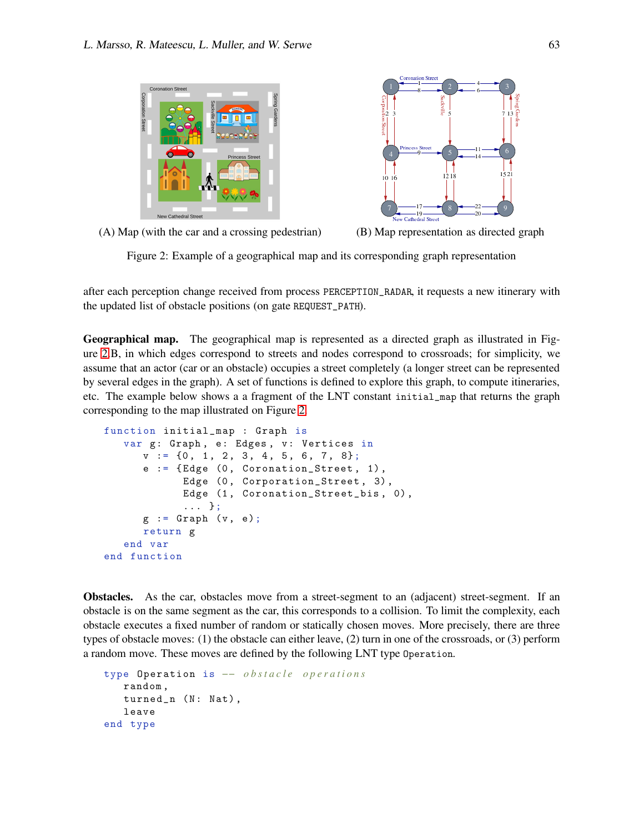



(A) Map (with the car and a crossing pedestrian) (B) Map representation as directed graph

<span id="page-3-0"></span>Figure 2: Example of a geographical map and its corresponding graph representation

after each perception change received from process PERCEPTION\_RADAR, it requests a new itinerary with the updated list of obstacle positions (on gate REQUEST\_PATH).

Geographical map. The geographical map is represented as a directed graph as illustrated in Figure [2.](#page-3-0)B, in which edges correspond to streets and nodes correspond to crossroads; for simplicity, we assume that an actor (car or an obstacle) occupies a street completely (a longer street can be represented by several edges in the graph). A set of functions is defined to explore this graph, to compute itineraries, etc. The example below shows a a fragment of the LNT constant initial\_map that returns the graph corresponding to the map illustrated on Figure [2.](#page-3-0)

```
function initial_map : Graph is
   var g: Graph, e: Edges, v: Vertices in
      v := \{0, 1, 2, 3, 4, 5, 6, 7, 8\};e := \{ Edge (0, Coronation\_Street, 1),Edge (0, Corporation_Street, 3),
            Edge (1, Coronation_Street_bis, 0),
            ... };
      g := Graph (v, e);
      return g
   end var
end function
```
Obstacles. As the car, obstacles move from a street-segment to an (adjacent) street-segment. If an obstacle is on the same segment as the car, this corresponds to a collision. To limit the complexity, each obstacle executes a fixed number of random or statically chosen moves. More precisely, there are three types of obstacle moves: (1) the obstacle can either leave, (2) turn in one of the crossroads, or (3) perform a random move. These moves are defined by the following LNT type Operation.

```
type Operation is -− obstacle operations
   random ,
   turned_n (N: Nat),
   leave
end type
```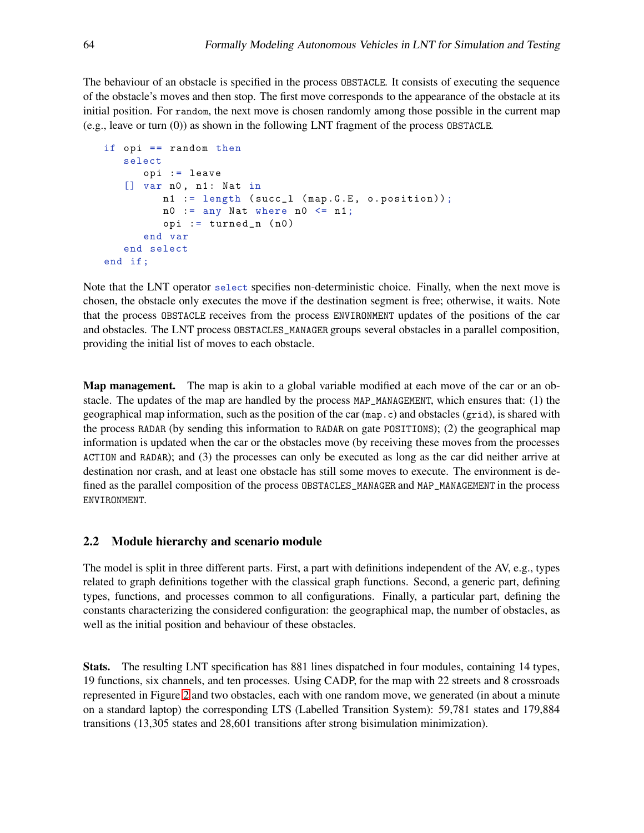The behaviour of an obstacle is specified in the process OBSTACLE. It consists of executing the sequence of the obstacle's moves and then stop. The first move corresponds to the appearance of the obstacle at its initial position. For random, the next move is chosen randomly among those possible in the current map (e.g., leave or turn (0)) as shown in the following LNT fragment of the process OBSTACLE.

```
if opi == random thenselect
      opi := leave
   [] var n0, n1: Nat in
         n1 := length ( succ_l ( map .G.E , o. position));
         n0 := any Nat where n0 \leq n1;
         opi := turned_n (n0)end var
   end select
end if ;
```
Note that the LNT operator select specifies non-deterministic choice. Finally, when the next move is chosen, the obstacle only executes the move if the destination segment is free; otherwise, it waits. Note that the process OBSTACLE receives from the process ENVIRONMENT updates of the positions of the car and obstacles. The LNT process OBSTACLES\_MANAGER groups several obstacles in a parallel composition, providing the initial list of moves to each obstacle.

**Map management.** The map is akin to a global variable modified at each move of the car or an obstacle. The updates of the map are handled by the process MAP\_MANAGEMENT, which ensures that: (1) the geographical map information, such as the position of the car  $(\text{map.c})$  and obstacles  $(\text{grid})$ , is shared with the process RADAR (by sending this information to RADAR on gate POSITIONS); (2) the geographical map information is updated when the car or the obstacles move (by receiving these moves from the processes ACTION and RADAR); and (3) the processes can only be executed as long as the car did neither arrive at destination nor crash, and at least one obstacle has still some moves to execute. The environment is defined as the parallel composition of the process OBSTACLES\_MANAGER and MAP\_MANAGEMENT in the process ENVIRONMENT.

### 2.2 Module hierarchy and scenario module

The model is split in three different parts. First, a part with definitions independent of the AV, e.g., types related to graph definitions together with the classical graph functions. Second, a generic part, defining types, functions, and processes common to all configurations. Finally, a particular part, defining the constants characterizing the considered configuration: the geographical map, the number of obstacles, as well as the initial position and behaviour of these obstacles.

Stats. The resulting LNT specification has 881 lines dispatched in four modules, containing 14 types, 19 functions, six channels, and ten processes. Using CADP, for the map with 22 streets and 8 crossroads represented in Figure [2](#page-3-0) and two obstacles, each with one random move, we generated (in about a minute on a standard laptop) the corresponding LTS (Labelled Transition System): 59,781 states and 179,884 transitions (13,305 states and 28,601 transitions after strong bisimulation minimization).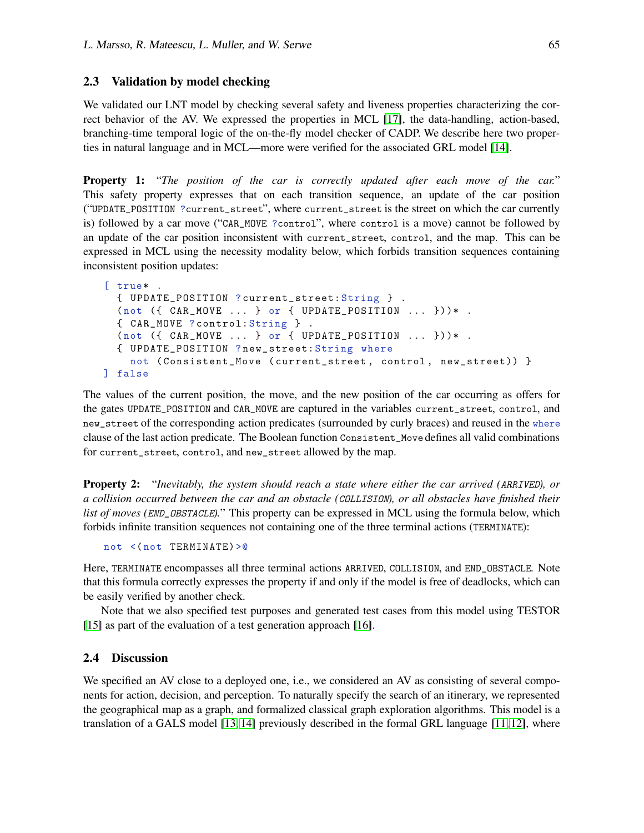### 2.3 Validation by model checking

We validated our LNT model by checking several safety and liveness properties characterizing the correct behavior of the AV. We expressed the properties in MCL [\[17\]](#page-13-3), the data-handling, action-based, branching-time temporal logic of the on-the-fly model checker of CADP. We describe here two properties in natural language and in MCL—more were verified for the associated GRL model [\[14\]](#page-13-6).

Property 1: "*The position of the car is correctly updated after each move of the car.*" This safety property expresses that on each transition sequence, an update of the car position ("UPDATE\_POSITION ?current\_street", where current\_street is the street on which the car currently is) followed by a car move ("CAR\_MOVE ?control", where control is a move) cannot be followed by an update of the car position inconsistent with current\_street, control, and the map. This can be expressed in MCL using the necessity modality below, which forbids transition sequences containing inconsistent position updates:

```
[ true* .
  { UPDATE_POSITION ? current_street: String } .
  (not ( { CAR_MOVE ... } or { UPDATE_POSITION ... }{ CAR_MOVE ? control: String } .
  (not ( { CAR_MOVE ... } or { UPDATE_POSTITION ... }{ UPDATE_POSITION ? new_street: String where
    not ( Consistent_Move ( current_street , control , new_street)) }
] false
```
The values of the current position, the move, and the new position of the car occurring as offers for the gates UPDATE\_POSITION and CAR\_MOVE are captured in the variables current\_street, control, and new\_street of the corresponding action predicates (surrounded by curly braces) and reused in the where clause of the last action predicate. The Boolean function Consistent\_Move defines all valid combinations for current\_street, control, and new\_street allowed by the map.

Property 2: "*Inevitably, the system should reach a state where either the car arrived (*ARRIVED*), or a collision occurred between the car and an obstacle (*COLLISION*), or all obstacles have finished their list of moves (END\_OBSTACLE).*" This property can be expressed in MCL using the formula below, which forbids infinite transition sequences not containing one of the three terminal actions (TERMINATE):

not <( not TERMINATE)>@

Here, TERMINATE encompasses all three terminal actions ARRIVED, COLLISION, and END\_OBSTACLE. Note that this formula correctly expresses the property if and only if the model is free of deadlocks, which can be easily verified by another check.

Note that we also specified test purposes and generated test cases from this model using TESTOR [\[15\]](#page-13-4) as part of the evaluation of a test generation approach [\[16\]](#page-13-2).

### 2.4 Discussion

We specified an AV close to a deployed one, i.e., we considered an AV as consisting of several components for action, decision, and perception. To naturally specify the search of an itinerary, we represented the geographical map as a graph, and formalized classical graph exploration algorithms. This model is a translation of a GALS model [\[13,](#page-13-5) [14\]](#page-13-6) previously described in the formal GRL language [\[11,](#page-12-7) [12\]](#page-12-8), where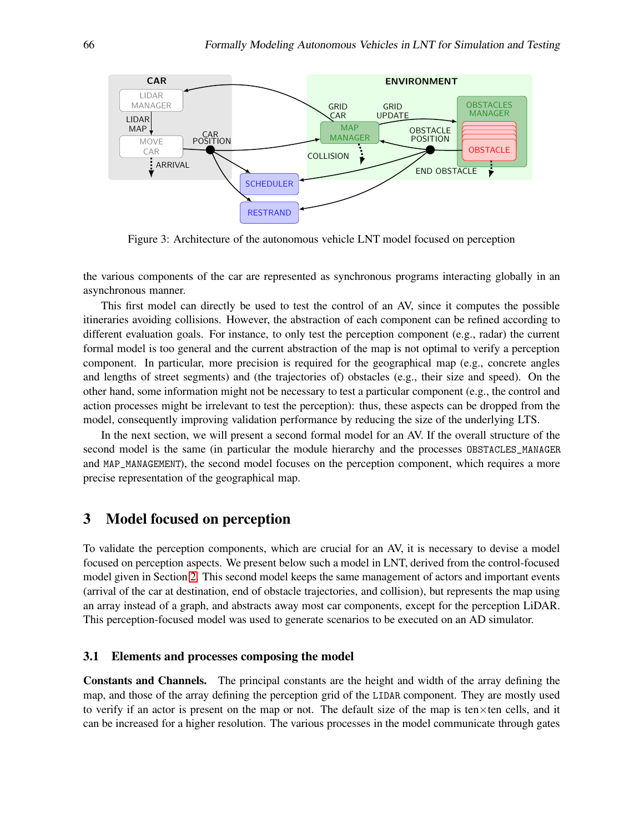

Figure 3: Architecture of the autonomous vehicle LNT model focused on perception

the various components of the car are represented as synchronous programs interacting globally in an asynchronous manner.

This first model can directly be used to test the control of an AV, since it computes the possible itineraries avoiding collisions. However, the abstraction of each component can be refined according to different evaluation goals. For instance, to only test the perception component (e.g., radar) the current formal model is too general and the current abstraction of the map is not optimal to verify a perception component. In particular, more precision is required for the geographical map (e.g., concrete angles and lengths of street segments) and (the trajectories of) obstacles (e.g., their size and speed). On the other hand, some information might not be necessary to test a particular component (e.g., the control and action processes might be irrelevant to test the perception): thus, these aspects can be dropped from the model, consequently improving validation performance by reducing the size of the underlying LTS.

In the next section, we will present a second formal model for an AV. If the overall structure of the second model is the same (in particular the module hierarchy and the processes OBSTACLES\_MANAGER and MAP\_MANAGEMENT), the second model focuses on the perception component, which requires a more precise representation of the geographical map.

# <span id="page-6-0"></span>3 Model focused on perception

To validate the perception components, which are crucial for an AV, it is necessary to devise a model focused on perception aspects. We present below such a model in LNT, derived from the control-focused model given in Section [2.](#page-1-0) This second model keeps the same management of actors and important events (arrival of the car at destination, end of obstacle trajectories, and collision), but represents the map using an array instead of a graph, and abstracts away most car components, except for the perception LiDAR. This perception-focused model was used to generate scenarios to be executed on an AD simulator.

### 3.1 Elements and processes composing the model

Constants and Channels. The principal constants are the height and width of the array defining the map, and those of the array defining the perception grid of the LIDAR component. They are mostly used to verify if an actor is present on the map or not. The default size of the map is ten $\times$ ten cells, and it can be increased for a higher resolution. The various processes in the model communicate through gates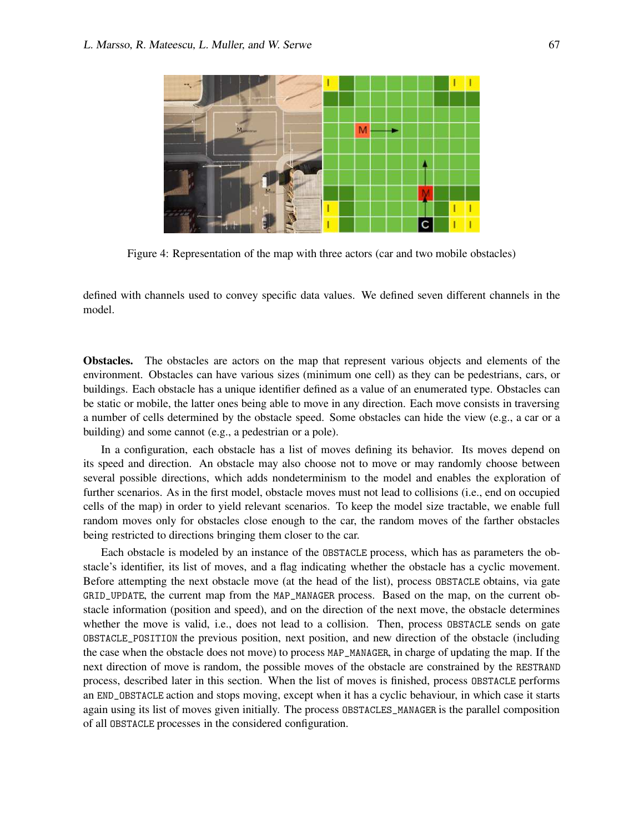

Figure 4: Representation of the map with three actors (car and two mobile obstacles)

<span id="page-7-0"></span>defined with channels used to convey specific data values. We defined seven different channels in the model.

Obstacles. The obstacles are actors on the map that represent various objects and elements of the environment. Obstacles can have various sizes (minimum one cell) as they can be pedestrians, cars, or buildings. Each obstacle has a unique identifier defined as a value of an enumerated type. Obstacles can be static or mobile, the latter ones being able to move in any direction. Each move consists in traversing a number of cells determined by the obstacle speed. Some obstacles can hide the view (e.g., a car or a building) and some cannot (e.g., a pedestrian or a pole).

In a configuration, each obstacle has a list of moves defining its behavior. Its moves depend on its speed and direction. An obstacle may also choose not to move or may randomly choose between several possible directions, which adds nondeterminism to the model and enables the exploration of further scenarios. As in the first model, obstacle moves must not lead to collisions (i.e., end on occupied cells of the map) in order to yield relevant scenarios. To keep the model size tractable, we enable full random moves only for obstacles close enough to the car, the random moves of the farther obstacles being restricted to directions bringing them closer to the car.

Each obstacle is modeled by an instance of the OBSTACLE process, which has as parameters the obstacle's identifier, its list of moves, and a flag indicating whether the obstacle has a cyclic movement. Before attempting the next obstacle move (at the head of the list), process OBSTACLE obtains, via gate GRID\_UPDATE, the current map from the MAP\_MANAGER process. Based on the map, on the current obstacle information (position and speed), and on the direction of the next move, the obstacle determines whether the move is valid, i.e., does not lead to a collision. Then, process OBSTACLE sends on gate OBSTACLE\_POSITION the previous position, next position, and new direction of the obstacle (including the case when the obstacle does not move) to process MAP\_MANAGER, in charge of updating the map. If the next direction of move is random, the possible moves of the obstacle are constrained by the RESTRAND process, described later in this section. When the list of moves is finished, process OBSTACLE performs an END\_OBSTACLE action and stops moving, except when it has a cyclic behaviour, in which case it starts again using its list of moves given initially. The process OBSTACLES\_MANAGER is the parallel composition of all OBSTACLE processes in the considered configuration.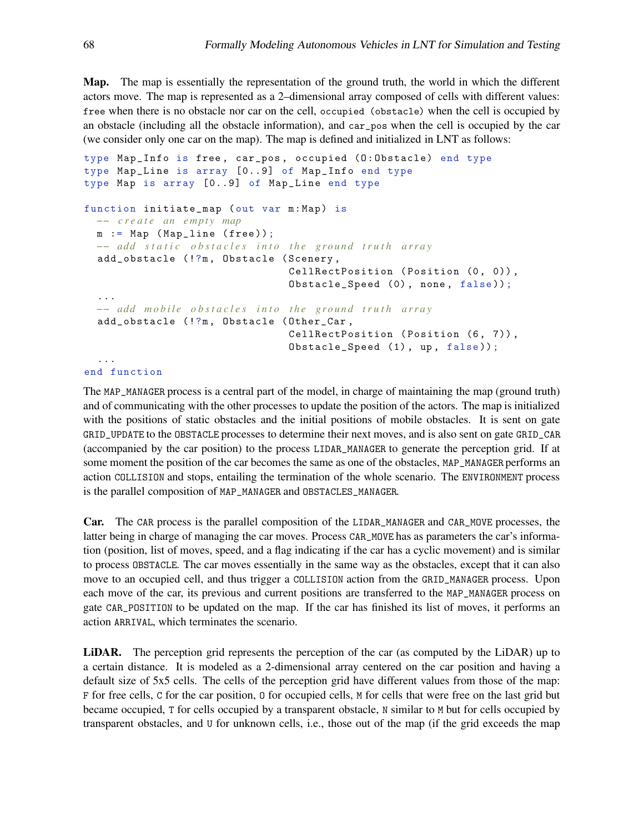Map. The map is essentially the representation of the ground truth, the world in which the different actors move. The map is represented as a 2–dimensional array composed of cells with different values: free when there is no obstacle nor car on the cell, occupied (obstacle) when the cell is occupied by an obstacle (including all the obstacle information), and car\_pos when the cell is occupied by the car (we consider only one car on the map). The map is defined and initialized in LNT as follows:

```
type Map_Info is free, car_pos, occupied (0:0bstacle) end type
type Map_Line is array [0..9] of Map_Info end type
type Map is array [0..9] of Map_Line end type
function initiate_map ( out var m: Map) is
  −− c r e a t e an empty map
 m := Map ( Map_line ( free ));
 −− add static obstacles into the ground truth array
  add_obstacle (!?m , Obstacle ( Scenery ,
                                CellRectPosition (Position (0, 0)),
                                Obstacle_Speed (0), none, false));
  ...
  −− add mobile obstacles into the ground truth array
  add_obstacle (!?m , Obstacle ( Other_Car ,
                                CellRectPosition (Position (6, 7)),
                                Obstacle_Speed (1), up, false));
  ...
```
end function

The MAP\_MANAGER process is a central part of the model, in charge of maintaining the map (ground truth) and of communicating with the other processes to update the position of the actors. The map is initialized with the positions of static obstacles and the initial positions of mobile obstacles. It is sent on gate GRID\_UPDATE to the OBSTACLE processes to determine their next moves, and is also sent on gate GRID\_CAR (accompanied by the car position) to the process LIDAR\_MANAGER to generate the perception grid. If at some moment the position of the car becomes the same as one of the obstacles, MAP\_MANAGER performs an action COLLISION and stops, entailing the termination of the whole scenario. The ENVIRONMENT process is the parallel composition of MAP\_MANAGER and OBSTACLES\_MANAGER.

Car. The CAR process is the parallel composition of the LIDAR\_MANAGER and CAR\_MOVE processes, the latter being in charge of managing the car moves. Process CAR\_MOVE has as parameters the car's information (position, list of moves, speed, and a flag indicating if the car has a cyclic movement) and is similar to process OBSTACLE. The car moves essentially in the same way as the obstacles, except that it can also move to an occupied cell, and thus trigger a COLLISION action from the GRID\_MANAGER process. Upon each move of the car, its previous and current positions are transferred to the MAP\_MANAGER process on gate CAR\_POSITION to be updated on the map. If the car has finished its list of moves, it performs an action ARRIVAL, which terminates the scenario.

LiDAR. The perception grid represents the perception of the car (as computed by the LiDAR) up to a certain distance. It is modeled as a 2-dimensional array centered on the car position and having a default size of 5x5 cells. The cells of the perception grid have different values from those of the map: F for free cells, C for the car position, O for occupied cells, M for cells that were free on the last grid but became occupied, T for cells occupied by a transparent obstacle, N similar to M but for cells occupied by transparent obstacles, and U for unknown cells, i.e., those out of the map (if the grid exceeds the map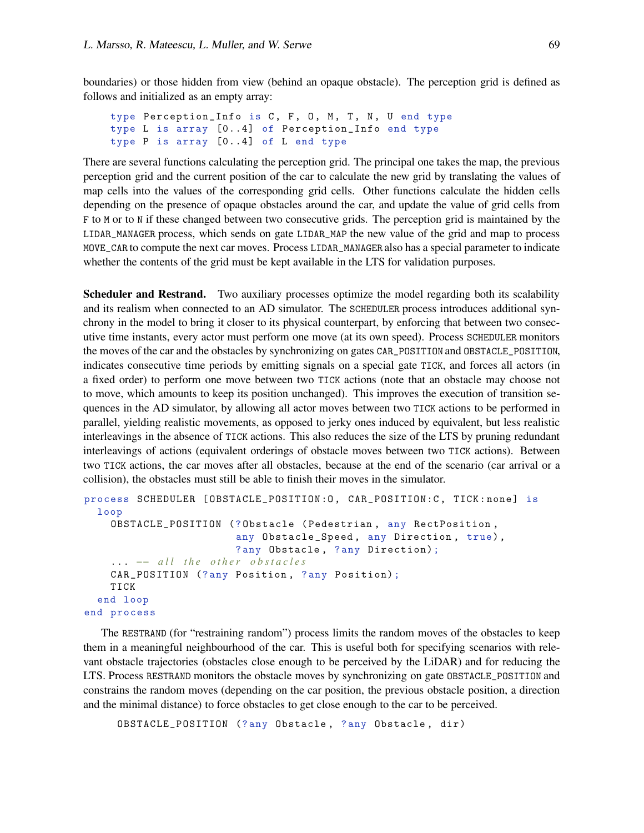boundaries) or those hidden from view (behind an opaque obstacle). The perception grid is defined as follows and initialized as an empty array:

```
type Perception_Info is C, F, O, M, T, N, U end type
type L is array [0..4] of Perception_Info end type
type P is array [0..4] of L end type
```
There are several functions calculating the perception grid. The principal one takes the map, the previous perception grid and the current position of the car to calculate the new grid by translating the values of map cells into the values of the corresponding grid cells. Other functions calculate the hidden cells depending on the presence of opaque obstacles around the car, and update the value of grid cells from F to M or to N if these changed between two consecutive grids. The perception grid is maintained by the LIDAR\_MANAGER process, which sends on gate LIDAR\_MAP the new value of the grid and map to process MOVE\_CAR to compute the next car moves. Process LIDAR\_MANAGER also has a special parameter to indicate whether the contents of the grid must be kept available in the LTS for validation purposes.

**Scheduler and Restrand.** Two auxiliary processes optimize the model regarding both its scalability and its realism when connected to an AD simulator. The SCHEDULER process introduces additional synchrony in the model to bring it closer to its physical counterpart, by enforcing that between two consecutive time instants, every actor must perform one move (at its own speed). Process SCHEDULER monitors the moves of the car and the obstacles by synchronizing on gates CAR\_POSITION and OBSTACLE\_POSITION, indicates consecutive time periods by emitting signals on a special gate TICK, and forces all actors (in a fixed order) to perform one move between two TICK actions (note that an obstacle may choose not to move, which amounts to keep its position unchanged). This improves the execution of transition sequences in the AD simulator, by allowing all actor moves between two TICK actions to be performed in parallel, yielding realistic movements, as opposed to jerky ones induced by equivalent, but less realistic interleavings in the absence of TICK actions. This also reduces the size of the LTS by pruning redundant interleavings of actions (equivalent orderings of obstacle moves between two TICK actions). Between two TICK actions, the car moves after all obstacles, because at the end of the scenario (car arrival or a collision), the obstacles must still be able to finish their moves in the simulator.

```
process SCHEDULER [OBSTACLE_POSITION: 0, CAR_POSITION: C, TICK: none] is
  loop
    OBSTACLE_POSITION (? Obstacle ( Pedestrian , any RectPosition ,
                        any Obstacle_Speed, any Direction, true),
                        ? any Obstacle , ? any Direction);
    ... -- all the other obstacles
    CAR_POSITION (? any Position , ? any Position);
    TICK
  end loop
end process
```
The RESTRAND (for "restraining random") process limits the random moves of the obstacles to keep them in a meaningful neighbourhood of the car. This is useful both for specifying scenarios with relevant obstacle trajectories (obstacles close enough to be perceived by the LiDAR) and for reducing the LTS. Process RESTRAND monitors the obstacle moves by synchronizing on gate OBSTACLE\_POSITION and constrains the random moves (depending on the car position, the previous obstacle position, a direction and the minimal distance) to force obstacles to get close enough to the car to be perceived.

OBSTACLE\_POSITION (?any Obstacle, ?any Obstacle, dir)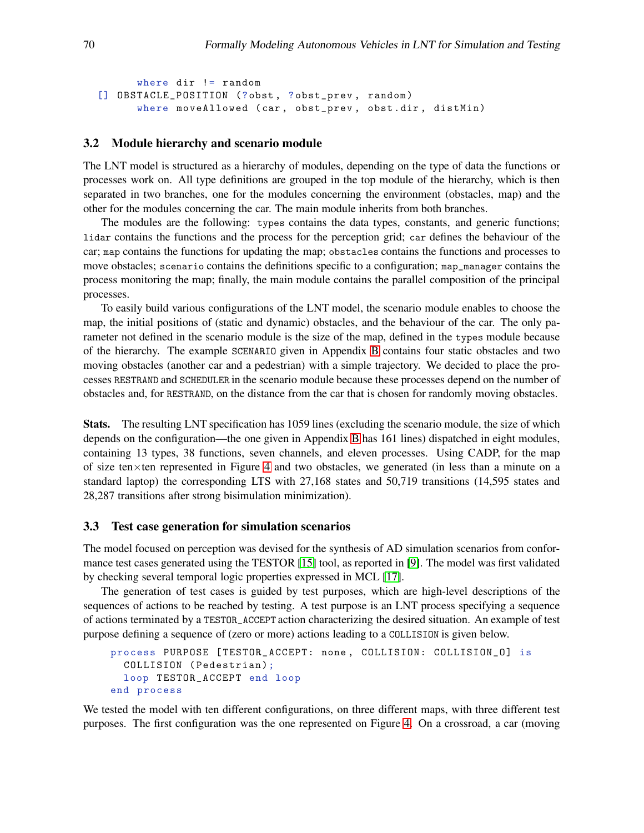```
where dir != random
[] OBSTACLE_POSITION (?obst, ?obst_prev, random)
      where moveAllowed (car, obst_prev, obst.dir, distMin)
```
#### 3.2 Module hierarchy and scenario module

The LNT model is structured as a hierarchy of modules, depending on the type of data the functions or processes work on. All type definitions are grouped in the top module of the hierarchy, which is then separated in two branches, one for the modules concerning the environment (obstacles, map) and the other for the modules concerning the car. The main module inherits from both branches.

The modules are the following: types contains the data types, constants, and generic functions; lidar contains the functions and the process for the perception grid; car defines the behaviour of the car; map contains the functions for updating the map; obstacles contains the functions and processes to move obstacles; scenario contains the definitions specific to a configuration; map\_manager contains the process monitoring the map; finally, the main module contains the parallel composition of the principal processes.

To easily build various configurations of the LNT model, the scenario module enables to choose the map, the initial positions of (static and dynamic) obstacles, and the behaviour of the car. The only parameter not defined in the scenario module is the size of the map, defined in the types module because of the hierarchy. The example SCENARIO given in Appendix [B](#page-32-0) contains four static obstacles and two moving obstacles (another car and a pedestrian) with a simple trajectory. We decided to place the processes RESTRAND and SCHEDULER in the scenario module because these processes depend on the number of obstacles and, for RESTRAND, on the distance from the car that is chosen for randomly moving obstacles.

Stats. The resulting LNT specification has 1059 lines (excluding the scenario module, the size of which depends on the configuration—the one given in Appendix [B](#page-32-0) has 161 lines) dispatched in eight modules, containing 13 types, 38 functions, seven channels, and eleven processes. Using CADP, for the map of size ten×ten represented in Figure [4](#page-7-0) and two obstacles, we generated (in less than a minute on a standard laptop) the corresponding LTS with 27,168 states and 50,719 transitions (14,595 states and 28,287 transitions after strong bisimulation minimization).

### 3.3 Test case generation for simulation scenarios

The model focused on perception was devised for the synthesis of AD simulation scenarios from conformance test cases generated using the TESTOR [\[15\]](#page-13-4) tool, as reported in [\[9\]](#page-12-3). The model was first validated by checking several temporal logic properties expressed in MCL [\[17\]](#page-13-3).

The generation of test cases is guided by test purposes, which are high-level descriptions of the sequences of actions to be reached by testing. A test purpose is an LNT process specifying a sequence of actions terminated by a TESTOR\_ACCEPT action characterizing the desired situation. An example of test purpose defining a sequence of (zero or more) actions leading to a COLLISION is given below.

```
process PURPOSE [ TESTOR_ACCEPT: none , COLLISION: COLLISION_O] is
  COLLISION ( Pedestrian);
  loop TESTOR_ACCEPT end loop
end process
```
We tested the model with ten different configurations, on three different maps, with three different test purposes. The first configuration was the one represented on Figure [4.](#page-7-0) On a crossroad, a car (moving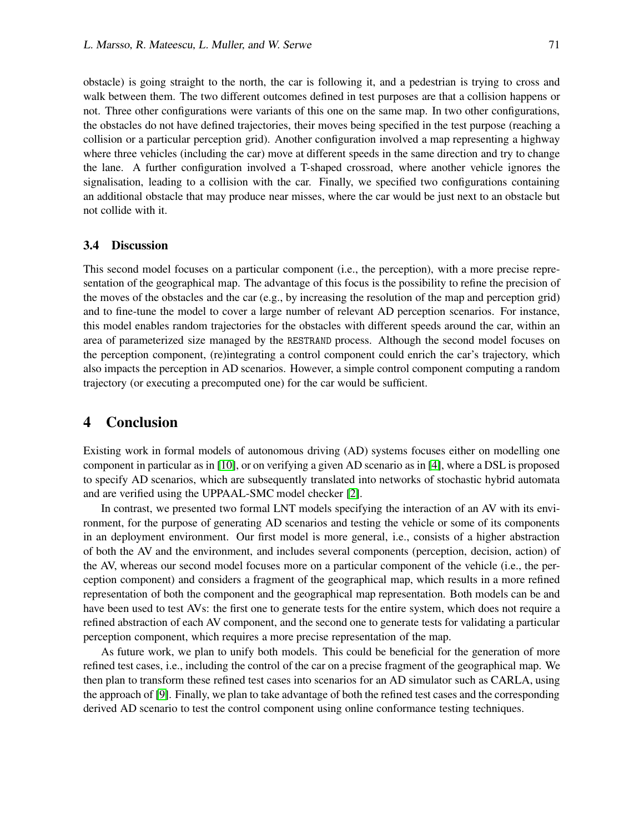obstacle) is going straight to the north, the car is following it, and a pedestrian is trying to cross and walk between them. The two different outcomes defined in test purposes are that a collision happens or not. Three other configurations were variants of this one on the same map. In two other configurations, the obstacles do not have defined trajectories, their moves being specified in the test purpose (reaching a collision or a particular perception grid). Another configuration involved a map representing a highway where three vehicles (including the car) move at different speeds in the same direction and try to change the lane. A further configuration involved a T-shaped crossroad, where another vehicle ignores the signalisation, leading to a collision with the car. Finally, we specified two configurations containing an additional obstacle that may produce near misses, where the car would be just next to an obstacle but not collide with it.

### 3.4 Discussion

This second model focuses on a particular component (i.e., the perception), with a more precise representation of the geographical map. The advantage of this focus is the possibility to refine the precision of the moves of the obstacles and the car (e.g., by increasing the resolution of the map and perception grid) and to fine-tune the model to cover a large number of relevant AD perception scenarios. For instance, this model enables random trajectories for the obstacles with different speeds around the car, within an area of parameterized size managed by the RESTRAND process. Although the second model focuses on the perception component, (re)integrating a control component could enrich the car's trajectory, which also impacts the perception in AD scenarios. However, a simple control component computing a random trajectory (or executing a precomputed one) for the car would be sufficient.

# <span id="page-11-0"></span>4 Conclusion

Existing work in formal models of autonomous driving (AD) systems focuses either on modelling one component in particular as in [\[10\]](#page-12-9), or on verifying a given AD scenario as in [\[4\]](#page-12-10), where a DSL is proposed to specify AD scenarios, which are subsequently translated into networks of stochastic hybrid automata and are verified using the UPPAAL-SMC model checker [\[2\]](#page-12-11).

In contrast, we presented two formal LNT models specifying the interaction of an AV with its environment, for the purpose of generating AD scenarios and testing the vehicle or some of its components in an deployment environment. Our first model is more general, i.e., consists of a higher abstraction of both the AV and the environment, and includes several components (perception, decision, action) of the AV, whereas our second model focuses more on a particular component of the vehicle (i.e., the perception component) and considers a fragment of the geographical map, which results in a more refined representation of both the component and the geographical map representation. Both models can be and have been used to test AVs: the first one to generate tests for the entire system, which does not require a refined abstraction of each AV component, and the second one to generate tests for validating a particular perception component, which requires a more precise representation of the map.

As future work, we plan to unify both models. This could be beneficial for the generation of more refined test cases, i.e., including the control of the car on a precise fragment of the geographical map. We then plan to transform these refined test cases into scenarios for an AD simulator such as CARLA, using the approach of [\[9\]](#page-12-3). Finally, we plan to take advantage of both the refined test cases and the corresponding derived AD scenario to test the control component using online conformance testing techniques.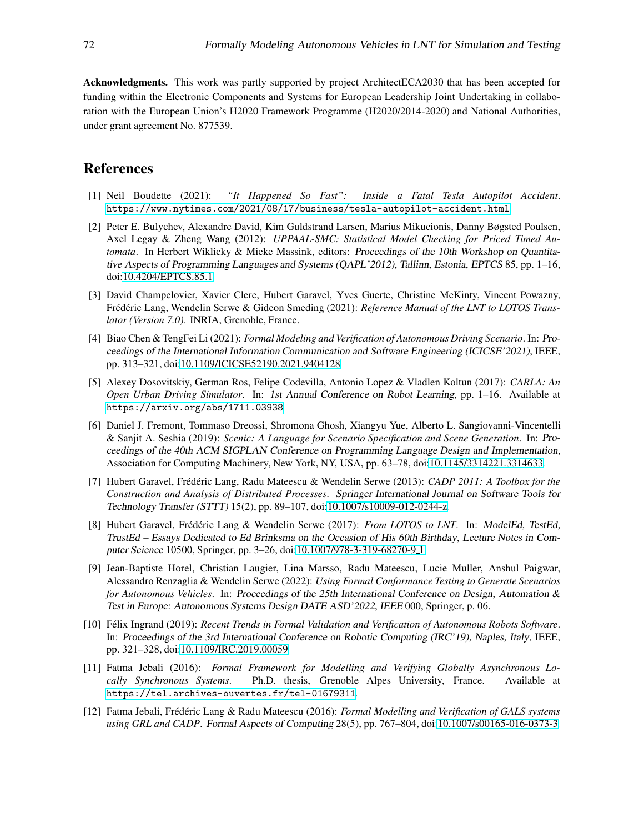Acknowledgments. This work was partly supported by project ArchitectECA2030 that has been accepted for funding within the Electronic Components and Systems for European Leadership Joint Undertaking in collaboration with the European Union's H2020 Framework Programme (H2020/2014-2020) and National Authorities, under grant agreement No. 877539.

# <span id="page-12-0"></span>References

- [1] Neil Boudette (2021): *"It Happened So Fast": Inside a Fatal Tesla Autopilot Accident*. <https://www.nytimes.com/2021/08/17/business/tesla-autopilot-accident.html>.
- <span id="page-12-11"></span>[2] Peter E. Bulychev, Alexandre David, Kim Guldstrand Larsen, Marius Mikucionis, Danny Bøgsted Poulsen, Axel Legay & Zheng Wang (2012): *UPPAAL-SMC: Statistical Model Checking for Priced Timed Automata*. In Herbert Wiklicky & Mieke Massink, editors: Proceedings of the 10th Workshop on Quantitative Aspects of Programming Languages and Systems (QAPL'2012), Tallinn, Estonia, EPTCS 85, pp. 1–16, doi[:10.4204/EPTCS.85.1.](http://dx.doi.org/10.4204/EPTCS.85.1)
- <span id="page-12-4"></span>[3] David Champelovier, Xavier Clerc, Hubert Garavel, Yves Guerte, Christine McKinty, Vincent Powazny, Frédéric Lang, Wendelin Serwe & Gideon Smeding (2021): *Reference Manual of the LNT to LOTOS Translator (Version 7.0)*. INRIA, Grenoble, France.
- <span id="page-12-10"></span>[4] Biao Chen & TengFei Li (2021): *Formal Modeling and Verification of Autonomous Driving Scenario*. In: Proceedings of the International Information Communication and Software Engineering (ICICSE'2021), IEEE, pp. 313–321, doi[:10.1109/ICICSE52190.2021.9404128.](http://dx.doi.org/10.1109/ICICSE52190.2021.9404128)
- <span id="page-12-1"></span>[5] Alexey Dosovitskiy, German Ros, Felipe Codevilla, Antonio Lopez & Vladlen Koltun (2017): *CARLA: An Open Urban Driving Simulator*. In: 1st Annual Conference on Robot Learning, pp. 1–16. Available at <https://arxiv.org/abs/1711.03938>.
- <span id="page-12-2"></span>[6] Daniel J. Fremont, Tommaso Dreossi, Shromona Ghosh, Xiangyu Yue, Alberto L. Sangiovanni-Vincentelli & Sanjit A. Seshia (2019): *Scenic: A Language for Scenario Specification and Scene Generation*. In: Proceedings of the 40th ACM SIGPLAN Conference on Programming Language Design and Implementation, Association for Computing Machinery, New York, NY, USA, pp. 63–78, doi[:10.1145/3314221.3314633.](http://dx.doi.org/10.1145/3314221.3314633)
- <span id="page-12-6"></span>[7] Hubert Garavel, Frédéric Lang, Radu Mateescu & Wendelin Serwe (2013): *CADP 2011: A Toolbox for the Construction and Analysis of Distributed Processes*. Springer International Journal on Software Tools for Technology Transfer (STTT) 15(2), pp. 89–107, doi[:10.1007/s10009-012-0244-z.](http://dx.doi.org/10.1007/s10009-012-0244-z)
- <span id="page-12-5"></span>[8] Hubert Garavel, Frédéric Lang & Wendelin Serwe (2017): *From LOTOS to LNT*. In: ModelEd, TestEd, TrustEd – Essays Dedicated to Ed Brinksma on the Occasion of His 60th Birthday, Lecture Notes in Computer Science 10500, Springer, pp. 3–26, doi[:10.1007/978-3-319-68270-9](http://dx.doi.org/10.1007/978-3-319-68270-9_1) 1.
- <span id="page-12-3"></span>[9] Jean-Baptiste Horel, Christian Laugier, Lina Marsso, Radu Mateescu, Lucie Muller, Anshul Paigwar, Alessandro Renzaglia & Wendelin Serwe (2022): *Using Formal Conformance Testing to Generate Scenarios for Autonomous Vehicles*. In: Proceedings of the 25th International Conference on Design, Automation & Test in Europe: Autonomous Systems Design DATE ASD'2022, IEEE 000, Springer, p. 06.
- <span id="page-12-9"></span>[10] Félix Ingrand (2019): *Recent Trends in Formal Validation and Verification of Autonomous Robots Software*. In: Proceedings of the 3rd International Conference on Robotic Computing (IRC'19), Naples, Italy, IEEE, pp. 321–328, doi[:10.1109/IRC.2019.00059.](http://dx.doi.org/10.1109/IRC.2019.00059)
- <span id="page-12-7"></span>[11] Fatma Jebali (2016): *Formal Framework for Modelling and Verifying Globally Asynchronous Locally Synchronous Systems*. Ph.D. thesis, Grenoble Alpes University, France. Available at <https://tel.archives-ouvertes.fr/tel-01679311>.
- <span id="page-12-8"></span>[12] Fatma Jebali, Frédéric Lang & Radu Mateescu (2016): *Formal Modelling and Verification of GALS systems using GRL and CADP*. Formal Aspects of Computing 28(5), pp. 767–804, doi[:10.1007/s00165-016-0373-3.](http://dx.doi.org/10.1007/s00165-016-0373-3)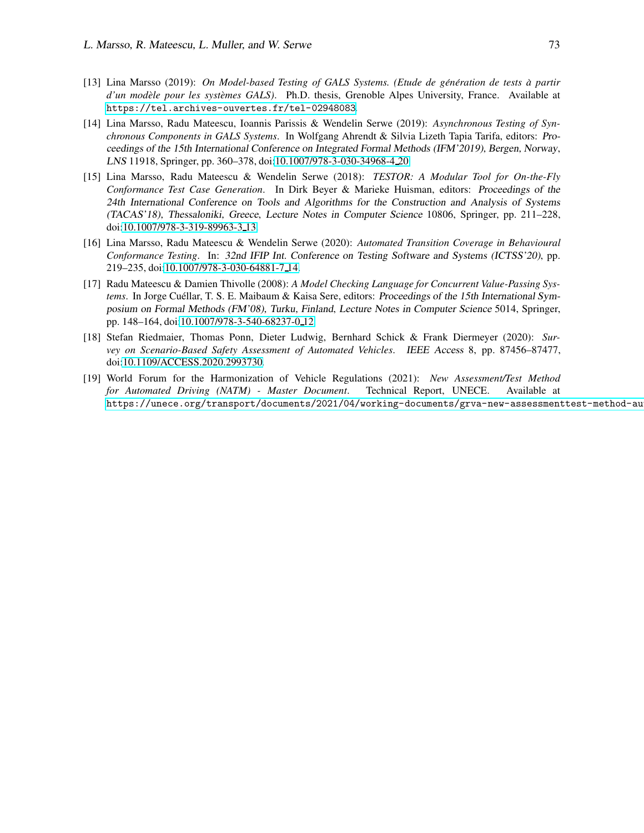- <span id="page-13-5"></span> $[13]$  Lina Marsso (2019): *On Model-based Testing of GALS Systems. (Etude de génération de tests à partir d'un modèle pour les systèmes GALS).* Ph.D. thesis, Grenoble Alpes University, France. Available at <https://tel.archives-ouvertes.fr/tel-02948083>.
- <span id="page-13-6"></span>[14] Lina Marsso, Radu Mateescu, Ioannis Parissis & Wendelin Serwe (2019): *Asynchronous Testing of Synchronous Components in GALS Systems*. In Wolfgang Ahrendt & Silvia Lizeth Tapia Tarifa, editors: Proceedings of the 15th International Conference on Integrated Formal Methods (IFM'2019), Bergen, Norway, LNS 11918, Springer, pp. 360–378, doi[:10.1007/978-3-030-34968-4](http://dx.doi.org/10.1007/978-3-030-34968-4_20) 20.
- <span id="page-13-4"></span>[15] Lina Marsso, Radu Mateescu & Wendelin Serwe (2018): *TESTOR: A Modular Tool for On-the-Fly Conformance Test Case Generation*. In Dirk Beyer & Marieke Huisman, editors: Proceedings of the 24th International Conference on Tools and Algorithms for the Construction and Analysis of Systems (TACAS'18), Thessaloniki, Greece, Lecture Notes in Computer Science 10806, Springer, pp. 211–228, doi[:10.1007/978-3-319-89963-3](http://dx.doi.org/10.1007/978-3-319-89963-3_13) 13.
- <span id="page-13-2"></span>[16] Lina Marsso, Radu Mateescu & Wendelin Serwe (2020): *Automated Transition Coverage in Behavioural Conformance Testing*. In: 32nd IFIP Int. Conference on Testing Software and Systems (ICTSS'20), pp. 219–235, doi[:10.1007/978-3-030-64881-7](http://dx.doi.org/10.1007/978-3-030-64881-7_14) 14.
- <span id="page-13-3"></span>[17] Radu Mateescu & Damien Thivolle (2008): *A Model Checking Language for Concurrent Value-Passing Systems*. In Jorge Cuéllar, T. S. E. Maibaum & Kaisa Sere, editors: *Proceedings of the 15th International Sym*posium on Formal Methods (FM'08), Turku, Finland, Lecture Notes in Computer Science 5014, Springer, pp. 148–164, doi[:10.1007/978-3-540-68237-0](http://dx.doi.org/10.1007/978-3-540-68237-0_12) 12.
- <span id="page-13-1"></span>[18] Stefan Riedmaier, Thomas Ponn, Dieter Ludwig, Bernhard Schick & Frank Diermeyer (2020): *Survey on Scenario-Based Safety Assessment of Automated Vehicles*. IEEE Access 8, pp. 87456–87477, doi[:10.1109/ACCESS.2020.2993730.](http://dx.doi.org/10.1109/ACCESS.2020.2993730)
- <span id="page-13-0"></span>[19] World Forum for the Harmonization of Vehicle Regulations (2021): *New Assessment/Test Method for Automated Driving (NATM) - Master Document*. Technical Report, UNECE. Available at https://unece.org/transport/documents/2021/04/working-documents/grva-new-assessmenttest-method-au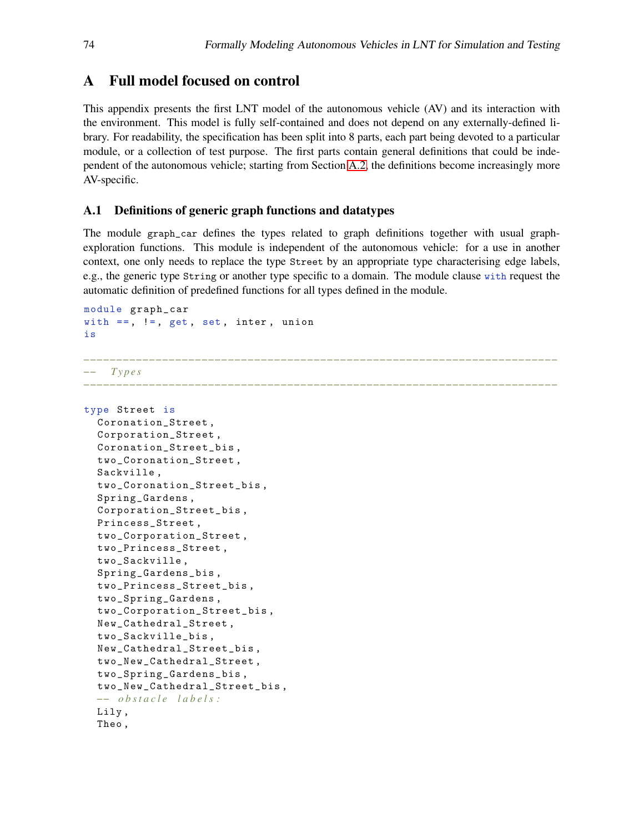# <span id="page-14-0"></span>A Full model focused on control

This appendix presents the first LNT model of the autonomous vehicle (AV) and its interaction with the environment. This model is fully self-contained and does not depend on any externally-defined library. For readability, the specification has been split into 8 parts, each part being devoted to a particular module, or a collection of test purpose. The first parts contain general definitions that could be independent of the autonomous vehicle; starting from Section [A.2,](#page-18-0) the definitions become increasingly more AV-specific.

# <span id="page-14-1"></span>A.1 Definitions of generic graph functions and datatypes

The module graph\_car defines the types related to graph definitions together with usual graphexploration functions. This module is independent of the autonomous vehicle: for a use in another context, one only needs to replace the type Street by an appropriate type characterising edge labels, e.g., the generic type String or another type specific to a domain. The module clause with request the automatic definition of predefined functions for all types defined in the module.

```
module graph_car
with ==, !=, get, set, inter, union
is
−−−−−−−−−−−−−−−−−−−−−−−−−−−−−−−−−−−−−−−−−−−−−−−−−−−−−−−−−−−−−−−−−−−−−−−−
   −− T y p e s
                            −−−−−−−−−−−−−−−−−−−−−−−−−−−−−−−−−−−−−−−−−−−−−−−−−−−−−−−−−−−−−−−−−−−−−−−−
type Street is
  Coronation_Street ,
  Corporation_Street ,
  Coronation_Street_bis ,
  two_Coronation_Street ,
  Sackville ,
  two_Coronation_Street_bis ,
  Spring_Gardens ,
  Corporation_Street_bis ,
  Princess_Street ,
  two_Corporation_Street ,
  two_Princess_Street ,
  two_Sackville ,
  Spring_Gardens_bis ,
  two_Princess_Street_bis ,
  two_Spring_Gardens ,
  two_Corporation_Street_bis ,
  New_Cathedral_Street ,
  two_Sackville_bis ,
  New_Cathedral_Street_bis ,
  two_New_Cathedral_Street ,
  two_Spring_Gardens_bis ,
  two_New_Cathedral_Street_bis ,
  −− o b s t a c l e l a b e l s :
  Lily ,
  Theo ,
```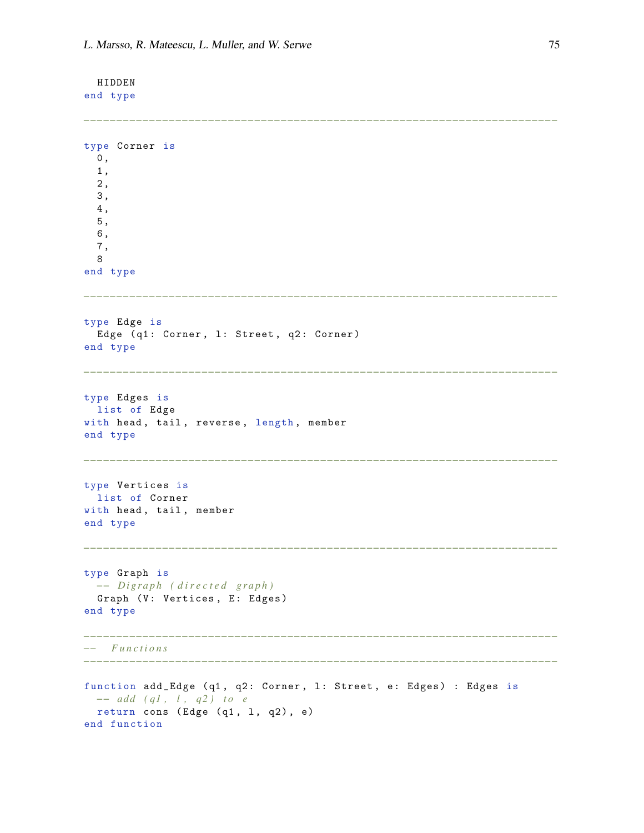HIDDEN end type

```
−−−−−−−−−−−−−−−−−−−−−−−−−−−−−−−−−−−−−−−−−−−−−−−−−−−−−−−−−−−−−−−−−−−−−−−−
type Corner is
 0,1 ,
  2 ,
  3 ,
  4 ,
  5 ,
  6 ,
 7 ,
 8
end type
−−−−−−−−−−−−−−−−−−−−−−−−−−−−−−−−−−−−−−−−−−−−−−−−−−−−−−−−−−−−−−−−−−−−−−−−
type Edge is
  Edge (q1: Corner, 1: Street, q2: Corner)
end type
 −−−−−−−−−−−−−−−−−−−−−−−−−−−−−−−−−−−−−−−−−−−−−−−−−−−−−−−−−−−−−−−−−−−−−−−−
type Edges is
 list of Edge
with head, tail, reverse, length, member
end type
−−−−−−−−−−−−−−−−−−−−−−−−−−−−−−−−−−−−−−−−−−−−−−−−−−−−−−−−−−−−−−−−−−−−−−−−
type Vertices is
 list of Corner
with head, tail, member
end type
−−−−−−−−−−−−−−−−−−−−−−−−−−−−−−−−−−−−−−−−−−−−−−−−−−−−−−−−−−−−−−−−−−−−−−−−
type Graph is
 −− Di g r a p h ( d i r e c t e d g r a p h )
 Graph (V: Vertices, E: Edges)
end type
−−−−−−−−−−−−−−−−−−−−−−−−−−−−−−−−−−−−−−−−−−−−−−−−−−−−−−−−−−−−−−−−−−−−−−−−
−− F u n c t i o n s
−−−−−−−−−−−−−−−−−−−−−−−−−−−−−−−−−−−−−−−−−−−−−−−−−−−−−−−−−−−−−−−−−−−−−−−−
function add_Edge (q1, q2: Corner, 1: Street, e: Edges) : Edges is
 −− add ( q1, l, q2) to e
 return cons (Edge (q1, 1, q2), e)
end function
```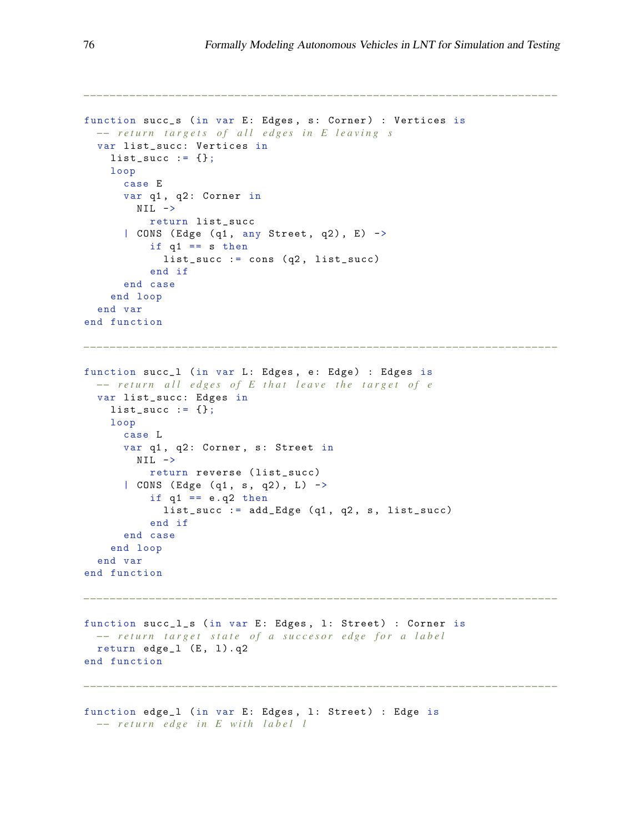```
function succ_s (in var E: Edges, s: Corner) : Vertices is
  −− r e t u r n t a r g e t s o f a l l e d g e s i n E l e a v i n g s
  var list_succ: Vertices in
    list_succ := \{\};
    loop
      case E
      var q1, q2: Corner in
        NIL \rightarrowreturn list_succ
      | CONS (Edge (q1, any Street, q2), E) ->
          if q1 == s then
            list\_succ := cons (q2, list\_succ)end if
      end case
    end loop
  end var
end function
−−−−−−−−−−−−−−−−−−−−−−−−−−−−−−−−−−−−−−−−−−−−−−−−−−−−−−−−−−−−−−−−−−−−−−−−
function succ_1 (in var L: Edges, e: Edge) : Edges is
 −− return all edges of E that leave the target of e
 var list_succ: Edges in
    list\_succ := \{\};
    loop
      case L
      var q1, q2: Corner, s: Street in
        NIL \rightarrowreturn reverse ( list_succ)
      | CONS (Edge (q1, s, q2), L) ->
          if q1 == e. q2 thenlist\_succ := add\_Edge (q1, q2, s, list\_succ)end if
      end case
    end loop
  end var
end function
  −−−−−−−−−−−−−−−−−−−−−−−−−−−−−−−−−−−−−−−−−−−−−−−−−−−−−−−−−−−−−−−−−−−−−−−−
function succ_l_s (in var E: Edges, 1: Street) : Corner is
 −− return target state of a succesor edge for a label
  return edge_1 (E, 1).q2
end function
                        −−−−−−−−−−−−−−−−−−−−−−−−−−−−−−−−−−−−−−−−−−−−−−−−−−−−−−−−−−−−−−−−−−−−−−−−
function edge_1 (in var E: Edges, 1: Street) : Edge is
 −− return edge in E with label l
```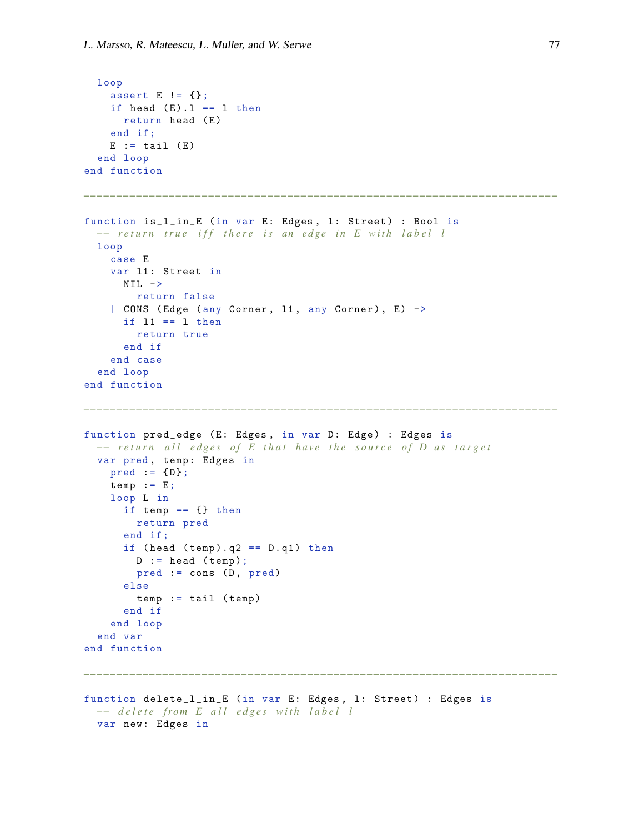```
loop
    assert E != {};
   if head (E). l = 1 then
     return head (E)
    end if;
   E := tail (E)end loop
end function
−−−−−−−−−−−−−−−−−−−−−−−−−−−−−−−−−−−−−−−−−−−−−−−−−−−−−−−−−−−−−−−−−−−−−−−−
function is_l_in_E (in var E: Edges, 1: Street) : Bool is
 −− return true iff there is an edge in E with label l
 loop
   case E
   var 11: Street in
      NIL \rightarrowreturn false
    | CONS (Edge (any Corner, 11, any Corner), E) ->
      if 11 == 1 then
        return true
      end if
    end case
  end loop
end function
−−−−−−−−−−−−−−−−−−−−−−−−−−−−−−−−−−−−−−−−−−−−−−−−−−−−−−−−−−−−−−−−−−−−−−−−
function pred_edge (E: Edges, in var D: Edge) : Edges is
 −− return all edges of E that have the source of D as target
  var pred, temp: Edges in
   pred := {D};temp := E;loop L in
      if temp == {} then
        return pred
      end if ;
      if (head (temp). q2 == D. q1) then
        D := head (temp);pred := cons (D, pred)else
        temp := tail (temp)end if
    end loop
  end var
end function
         −−−−−−−−−−−−−−−−−−−−−−−−−−−−−−−−−−−−−−−−−−−−−−−−−−−−−−−−−−−−−−−−−−−−−−−−
function delete_l_in_E (in var E: Edges , l: Street ) : Edges is
 −− delete from E all edges with label l
 var new: Edges in
```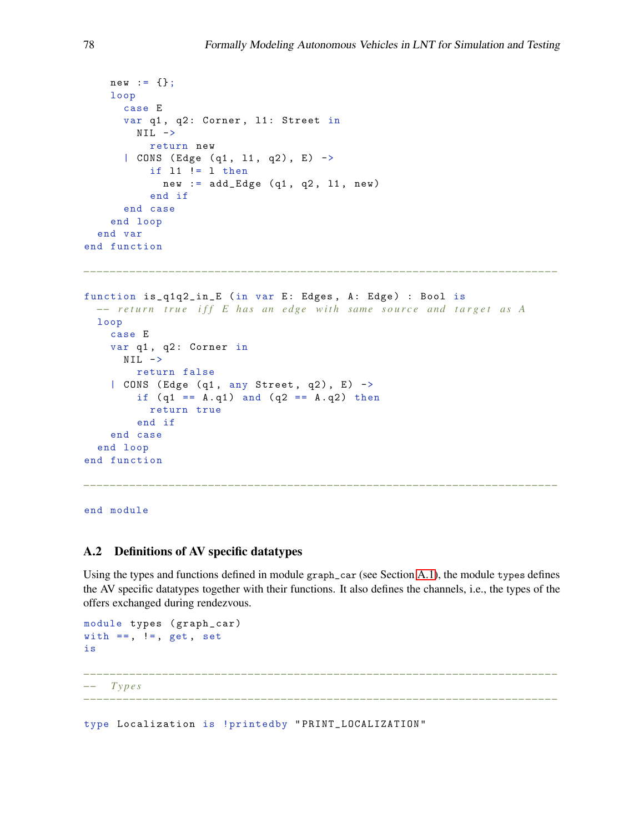```
new := \{\};
    loop
      case E
      var q1, q2: Corner, 11: Street in
        NIL \rightarrowreturn new
      | CONS (Edge (q1, 11, q2), E) \rightarrowif l1 != l then
             new := add\_Edge (q1, q2, 11, new)end if
      end case
    end loop
  end var
end function
−−−−−−−−−−−−−−−−−−−−−−−−−−−−−−−−−−−−−−−−−−−−−−−−−−−−−−−−−−−−−−−−−−−−−−−−
function is_q1q2_in_E (in var E: Edges, A: Edge) : Bool is
  −− return true iff E has an edge with same source and target as A
  loop
    case E
    var q1, q2: Corner in
      NIL \rightarrowreturn false
    | CONS (Edge (q1, any Street, q2), E) \rightarrowif (q1 == A. q1) and (q2 == A. q2) then
          return true
        end if
    end case
  end loop
end function
```
end module

### <span id="page-18-0"></span>A.2 Definitions of AV specific datatypes

Using the types and functions defined in module graph\_car (see Section [A.1\)](#page-14-1), the module types defines the AV specific datatypes together with their functions. It also defines the channels, i.e., the types of the offers exchanged during rendezvous.

*−−−−−−−−−−−−−−−−−−−−−−−−−−−−−−−−−−−−−−−−−−−−−−−−−−−−−−−−−−−−−−−−−−−−−−−−*

```
module types (graph_car)
with ==, !=, get, set
is
                   −−−−−−−−−−−−−−−−−−−−−−−−−−−−−−−−−−−−−−−−−−−−−−−−−−−−−−−−−−−−−−−−−−−−−−−−
−− T y p e s
−−−−−−−−−−−−−−−−−−−−−−−−−−−−−−−−−−−−−−−−−−−−−−−−−−−−−−−−−−−−−−−−−−−−−−−−
```
type Localization is !printedby " PRINT\_LOCALIZATION "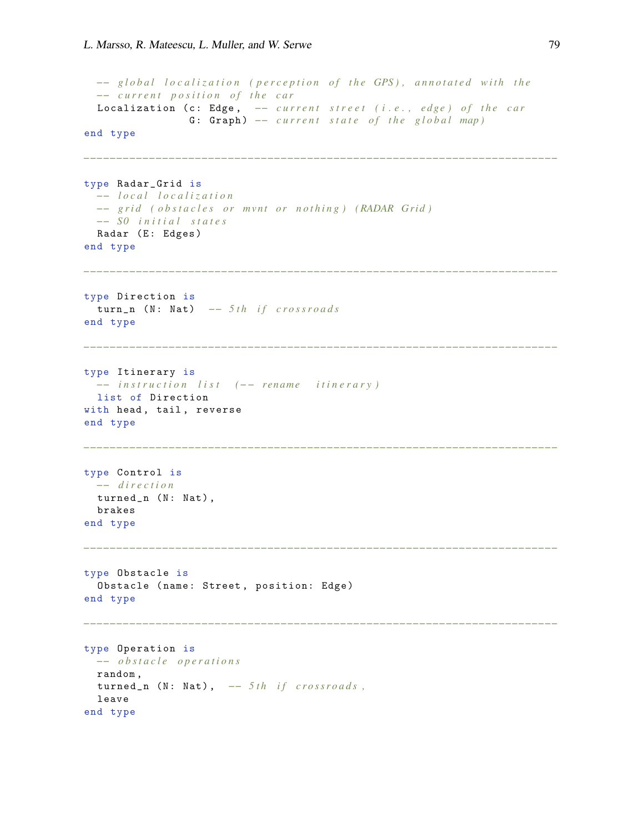```
−− global localization (perception of the GPS), annotated with the
  −− c u r r e n t p o s i t i o n o f t h e c a r
  Localization (c: Edge, -- current street (i.e., edge) of the car
                  G: Graph) - current state of the global map)
end type
−−−−−−−−−−−−−−−−−−−−−−−−−−−−−−−−−−−−−−−−−−−−−−−−−−−−−−−−−−−−−−−−−−−−−−−−
type Radar_Grid is
  −− l o c a l l o c a l i z a t i o n
  −− grid ( obstacles or mvnt or nothing) (RADAR Grid)
  −− S0 i n i t i a l s t a t e s
  Radar (E: Edges)
end type
                           −−−−−−−−−−−−−−−−−−−−−−−−−−−−−−−−−−−−−−−−−−−−−−−−−−−−−−−−−−−−−−−−−−−−−−−−
type Direction is
 turn_n (N: Nat) -- 5th if crossroads
end type
                                  −−−−−−−−−−−−−−−−−−−−−−−−−−−−−−−−−−−−−−−−−−−−−−−−−−−−−−−−−−−−−−−−−−−−−−−−
type Itinerary is
 −− i n s t r u c t i o n l i s t (−− re n ame i t i n e r a r y )
 list of Direction
with head, tail, reverse
end type
−−−−−−−−−−−−−−−−−−−−−−−−−−−−−−−−−−−−−−−−−−−−−−−−−−−−−−−−−−−−−−−−−−−−−−−−
type Control is
 −− d i r e c t i o n
 turned_n (N: Nat),
  brakes
end type
                      −−−−−−−−−−−−−−−−−−−−−−−−−−−−−−−−−−−−−−−−−−−−−−−−−−−−−−−−−−−−−−−−−−−−−−−−
type Obstacle is
 Obstacle (name: Street, position: Edge)
end type
                            −−−−−−−−−−−−−−−−−−−−−−−−−−−−−−−−−−−−−−−−−−−−−−−−−−−−−−−−−−−−−−−−−−−−−−−−
type Operation is
 −− o b s t a c l e o p e r a t i o n s
 random ,
  turned_n (N: Nat), -- 5th if crossroads,
  leave
end type
```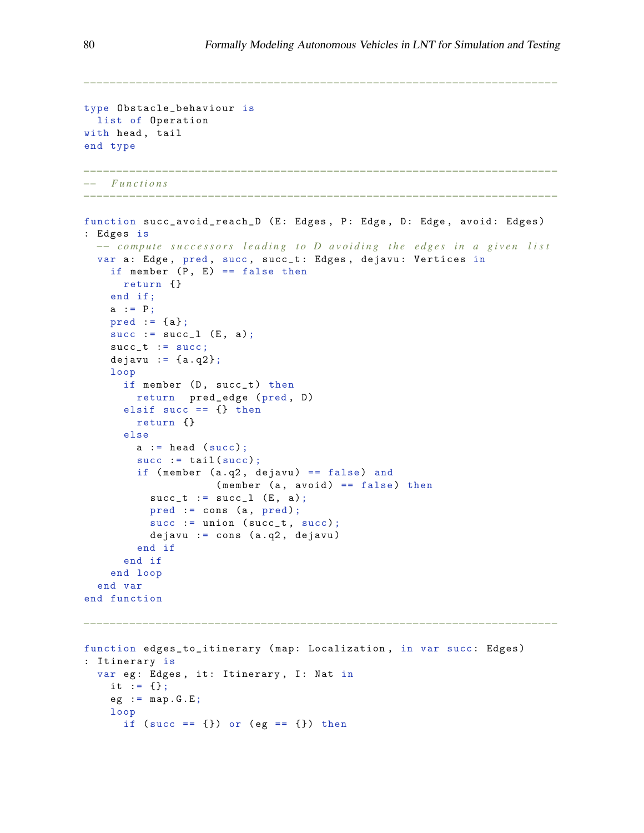```
type Obstacle_behaviour is
 list of Operation
with head, tail
end type
                −−−−−−−−−−−−−−−−−−−−−−−−−−−−−−−−−−−−−−−−−−−−−−−−−−−−−−−−−−−−−−−−−−−−−−−−
−− F u n c t i o n s
−−−−−−−−−−−−−−−−−−−−−−−−−−−−−−−−−−−−−−−−−−−−−−−−−−−−−−−−−−−−−−−−−−−−−−−−
function succ_avoid_reach_D (E: Edges, P: Edge, D: Edge, avoid: Edges)
: Edges is
 −− compute successors leading to D avoiding the edges in a given list
  var a: Edge, pred, succ, succ_t: Edges, dejavu: Vertices in
    if member (P, E) == false thenreturn {}
    end if;
    a := P;pred := \{a\};succ := succ_1 (E, a);succ_t := succ;dejavu := {a.q2};loop
      if member (D, succ_t) then
        return pred_edge (pred , D)
      elsif succ == {} then
        return {}
      else
        a := head (succ);succ := tail(succ);if (member (a.q2, degawu) == false) and
                    (member (a, avoid) == false) thensucc_t := succ_l (E, a);pred := cons (a, pred);succ := union (succ_t, succ);dejavu := cons (a.q2, dejavu)
        end if
      end if
    end loop
  end var
end function
     −−−−−−−−−−−−−−−−−−−−−−−−−−−−−−−−−−−−−−−−−−−−−−−−−−−−−−−−−−−−−−−−−−−−−−−−
function edges_to_itinerary (map: Localization, in var succ: Edges)
: Itinerary is
  var eg: Edges, it: Itinerary, I: Nat in
    it := \{\};
    eg := map.G.E;loop
      if (succ == \{\}) or (eg == \{\}) then
```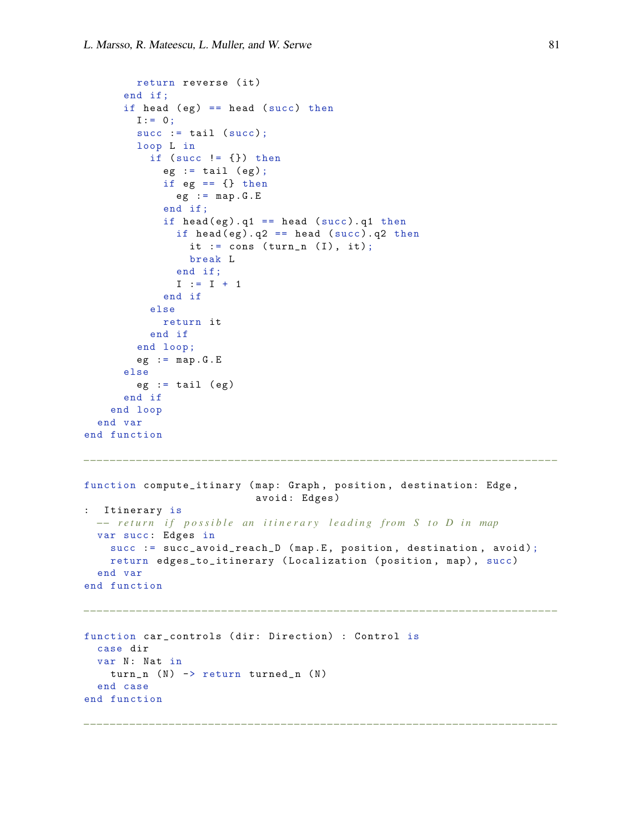```
return reverse (it)
      end if ;
      if head (eg) == head (succ) thenI := 0;succ := tail (succ);loop L in
           if (succ != {}) then
             eg := tail (eg);
             if eg == \{\} then
               eg := map.G.Eend if ;
             if head (eg). q1 == head (succ). q1 thenif head (eg). q2 == head (succ). q2 thenit := cons (turn_n (I), it);
                 break L
               end if;
               I := I + 1end if
           else
             return it
           end if
        end loop ;
        eg := map.G.Eelse
        eg := tail (eg)
      end if
    end loop
  end var
end function
                                              −−−−−−−−−−−−−−−−−−−−−−−−−−−−−−−−−−−−−−−−−−−−−−−−−−−−−−−−−−−−−−−−−−−−−−−−
function compute_itinary ( map: Graph , position , destination: Edge ,
                            avoid : Edges )
: Itinerary is
 -− return if possible an itinerary leading from S to D in map
 var succ: Edges in
    succ := succ_avoid_reach_D (map.E, position, destination, avoid);
    return edges_to_itinerary (Localization (position, map), succ)
  end var
end function
−−−−−−−−−−−−−−−−−−−−−−−−−−−−−−−−−−−−−−−−−−−−−−−−−−−−−−−−−−−−−−−−−−−−−−−−
function car_controls ( dir: Direction) : Control is
  case dir
  var N: Nat in
    turn_n (N) \rightarrow return turned_n (N)end case
end function
                         −−−−−−−−−−−−−−−−−−−−−−−−−−−−−−−−−−−−−−−−−−−−−−−−−−−−−−−−−−−−−−−−−−−−−−−−
```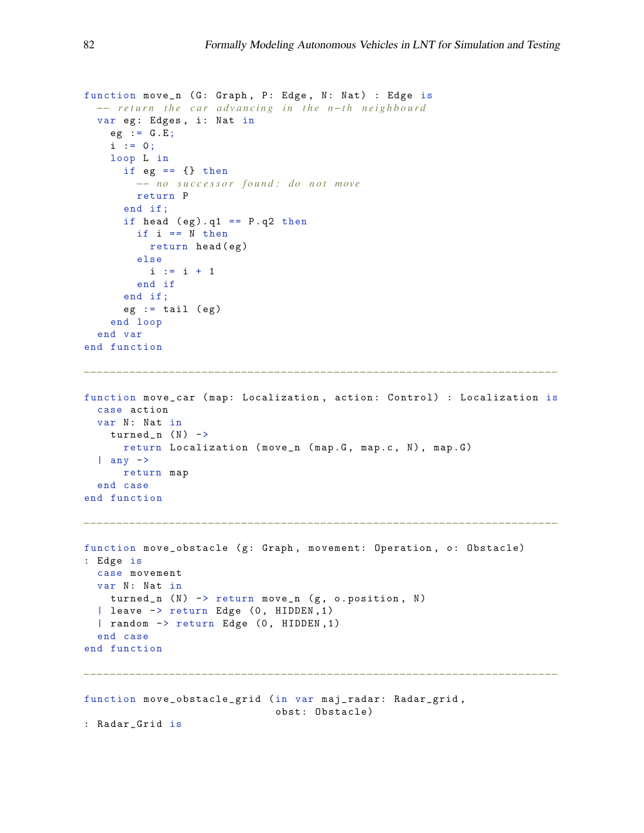```
function move_n (G: Graph, P: Edge, N: Nat) : Edge is
 −− return the car advancing in the n-th neighbourd
  var eg: Edges, i: Nat in
    eg := G.E;i : = 0;loop L in
      if eg == \{\} then
        −− no s u c c e s s o r f o u n d : do n o t move
        return P
      end if ;
      if head (eg) . q1 == P . q2 thenif i == N then
         return head (eg)
        else
          i := i + 1end if
      end if ;
      eg := tail (eg)
    end loop
  end var
end function
−−−−−−−−−−−−−−−−−−−−−−−−−−−−−−−−−−−−−−−−−−−−−−−−−−−−−−−−−−−−−−−−−−−−−−−−
function move_car ( map: Localization , action : Control) : Localization is
 case action
 var N: Nat in
   turned_n (N) ->
     return Localization (move_n (map.G, map.c, N), map.G)
  | any \rightarrowreturn map
  end case
end function
−−−−−−−−−−−−−−−−−−−−−−−−−−−−−−−−−−−−−−−−−−−−−−−−−−−−−−−−−−−−−−−−−−−−−−−−
function move_obstacle (g: Graph, movement: Operation, o: Obstacle)
: Edge is
 case movement
  var N: Nat in
   turned_n (N) -> return move_n (g, o.position, N)| leave -> return Edge (0, HIDDEN, 1)
  | random -> return Edge (0, HIDDEN, 1)
  end case
end function
   −−−−−−−−−−−−−−−−−−−−−−−−−−−−−−−−−−−−−−−−−−−−−−−−−−−−−−−−−−−−−−−−−−−−−−−−
function move_obstacle_grid (in var maj_radar: Radar_grid ,
                             obst : Obstacle)
: Radar_Grid is
```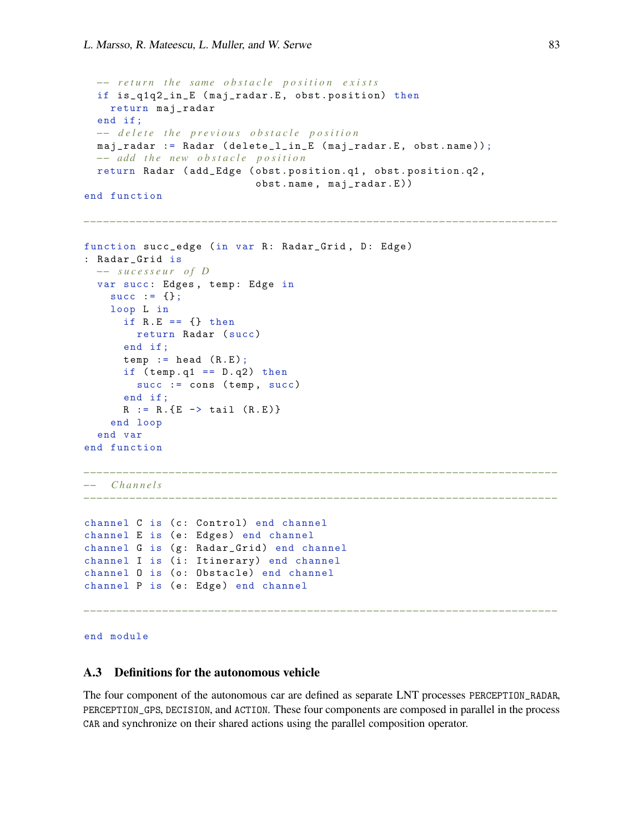```
−− return the same obstacle position exists
  if is_q1q2_in_E (maj_radar.E, obst.position) then
   return maj_radar
  end if ;
  −− d e l e t e t h e p r e v i o u s o b s t a c l e p o s i t i o n
  maj_radar := Radar ( delete_l_in_E (maj_radar.E, obst.name));
  −− add the new obstacle position
  return Radar ( add_Edge ( obst . position. q1 , obst . position.q2 ,
                            obst . name , maj_radar.E ))
end function
−−−−−−−−−−−−−−−−−−−−−−−−−−−−−−−−−−−−−−−−−−−−−−−−−−−−−−−−−−−−−−−−−−−−−−−−
function succ_edge (in var R: Radar_Grid, D: Edge)
: Radar_Grid is
  −− s u c e s s e u r o f D
  var succ: Edges, temp: Edge in
    succ := {};
    loop L in
      if R.E == \{\} then
        return Radar ( succ)
      end if ;
      temp := head ( R.E);if temp.q1 == D.q2) then
        succ := cons (temp, succ)
      end if ;
      R := R . {E \rightarrow \text{tail} (R.E)}end loop
  end var
end function
−−−−−−−−−−−−−−−−−−−−−−−−−−−−−−−−−−−−−−−−−−−−−−−−−−−−−−−−−−−−−−−−−−−−−−−−
−− C h a n n e l s
−−−−−−−−−−−−−−−−−−−−−−−−−−−−−−−−−−−−−−−−−−−−−−−−−−−−−−−−−−−−−−−−−−−−−−−−
channel C is (c: Control) end channel
channel E is (e: Edges) end channel
channel G is (g: Radar_Grid) end channel
channel I is (i: Itinerary) end channel
channel O is (o: Obstacle) end channel
channel P is (e: Edge) end channel
−−−−−−−−−−−−−−−−−−−−−−−−−−−−−−−−−−−−−−−−−−−−−−−−−−−−−−−−−−−−−−−−−−−−−−−−
end module
```
### <span id="page-23-0"></span>A.3 Definitions for the autonomous vehicle

The four component of the autonomous car are defined as separate LNT processes PERCEPTION\_RADAR, PERCEPTION\_GPS, DECISION, and ACTION. These four components are composed in parallel in the process CAR and synchronize on their shared actions using the parallel composition operator.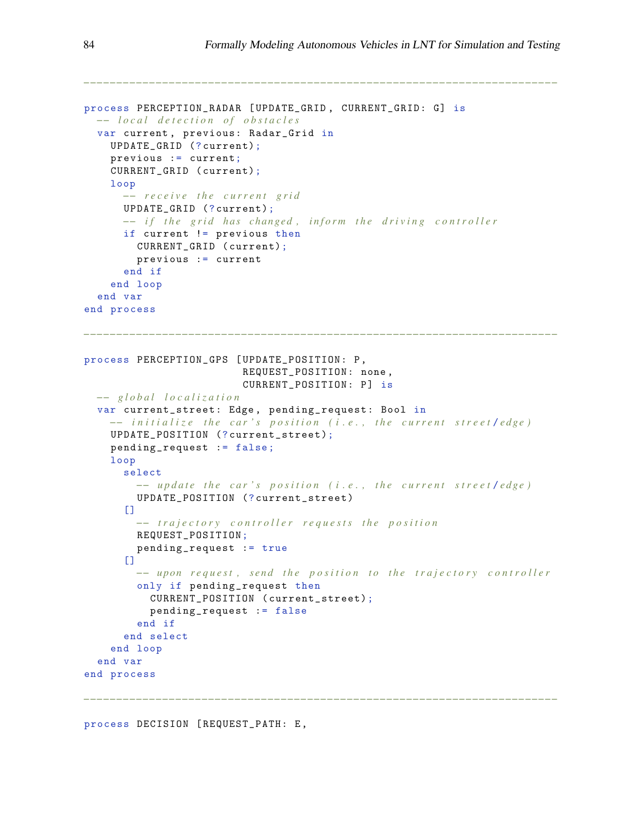```
process PERCEPTION_RADAR [ UPDATE_GRID , CURRENT_GRID: G] is
  −− l o c a l d e t e c t i o n o f o b s t a c l e s
  var current , previous: Radar_Grid in
    UPDATE_GRID (? current);
    previous := current;
    CURRENT_GRID ( current);
    loop
      −− r e c e i v e t h e c u r r e n t g r i d
      UPDATE_GRID (? current);
      −− if the grid has changed, inform the driving controller
      if current != previous then
        CURRENT_GRID ( current);
        previous := current
      end if
    end loop
  end var
end process
−−−−−−−−−−−−−−−−−−−−−−−−−−−−−−−−−−−−−−−−−−−−−−−−−−−−−−−−−−−−−−−−−−−−−−−−
process PERCEPTION_GPS [ UPDATE_POSITION: P ,
                          REQUEST_POSITION: none,
                          CURRENT_POSITION: P] is
  −− g l o b a l l o c a l i z a t i o n
  var current_street: Edge, pending_request: Bool in
    −− i n i t i a l i z e t h e c a r ' s p o s i t i o n ( i . e . , t h e c u r r e n t s t r e e t / e d g e )
    UPDATE_POSITION (? current_street );
    pending_request := false ;
    loop
      select
        −− update the car's position (i.e., the current street/edge)
        UPDATE_POSITION (? current_street )
      [1]−− trajectory controller requests the position
        REQUEST_POSITION;
        pending_request := true
      [1]−− upon request, send the position to the trajectory controller
        only if pending_request then
          CURRENT_POSITION ( current_street);
           pending_request := false
        end if
      end select
    end loop
  end var
end process
```
*−−−−−−−−−−−−−−−−−−−−−−−−−−−−−−−−−−−−−−−−−−−−−−−−−−−−−−−−−−−−−−−−−−−−−−−−*

process DECISION [ REQUEST\_PATH: E ,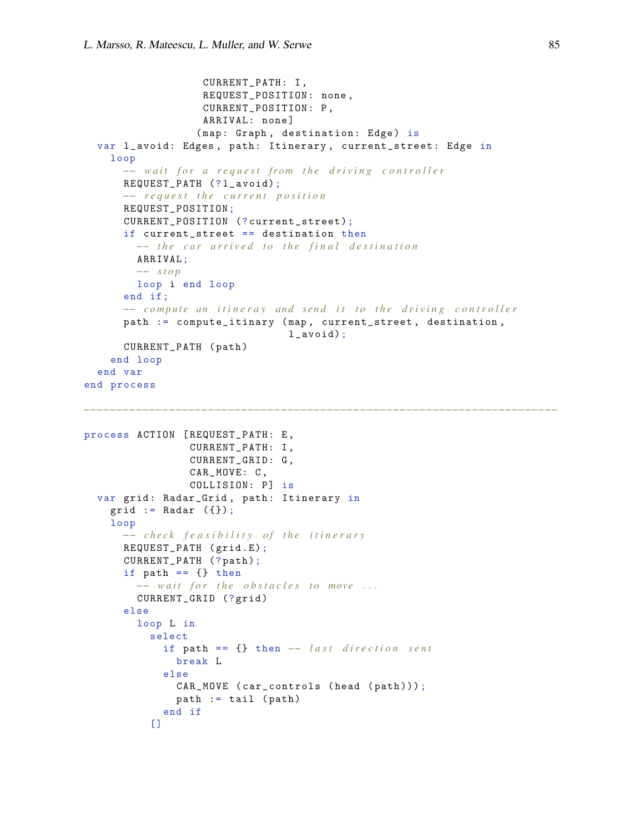```
CURRENT_PATH: I ,
                   REQUEST_POSITION : none ,
                   CURRENT_POSITION : P ,
                   ARRIVAL: none ]
                  (map: Graph, destination: Edge) is
  var l_avoid: Edges, path: Itinerary, current_street: Edge in
    loop
      −− wait for a request from the driving controller
      REQUEST_PATH (?l_avoid);
      −− r e q u e s t t h e c u r r e n t p o s i t i o n
      REQUEST_POSITION;
      CURRENT_POSITION (? current_street);
      if current_street == destination then
        −− the car arrived to the final destination
        ARRIVAL;
        −− s t o p
        loop i end loop
      end if ;
      −− compute an itineray and send it to the driving controller
      path := compute_itinary (map, current_street, destination,
                                 l_avoid);
      CURRENT_PATH ( path )
    end loop
  end var
end process
process ACTION [ REQUEST_PATH: E ,
                 CURRENT_PATH: I ,
                 CURRENT_GRID: G ,
                 CAR_MOVE: C ,
                 COLLISION: P] is
  var grid: Radar_Grid, path: Itinerary in
    grid := Radar (\{\});
    loop
      −− c h e c k f e a s i b i l i t y o f t h e i t i n e r a r y
      REQUEST_PATH ( grid .E);
      CURRENT_PATH (? path);
      if path == {} then
        −− wait for the obstacles to move ...
        CURRENT_GRID (? grid )
      else
        loop L in
           select
             if path == {} then -- last direction sent
               break L
             else
               CAR_MOVE ( car_controls ( head ( path )));
               path := tail (path)end if
           [
```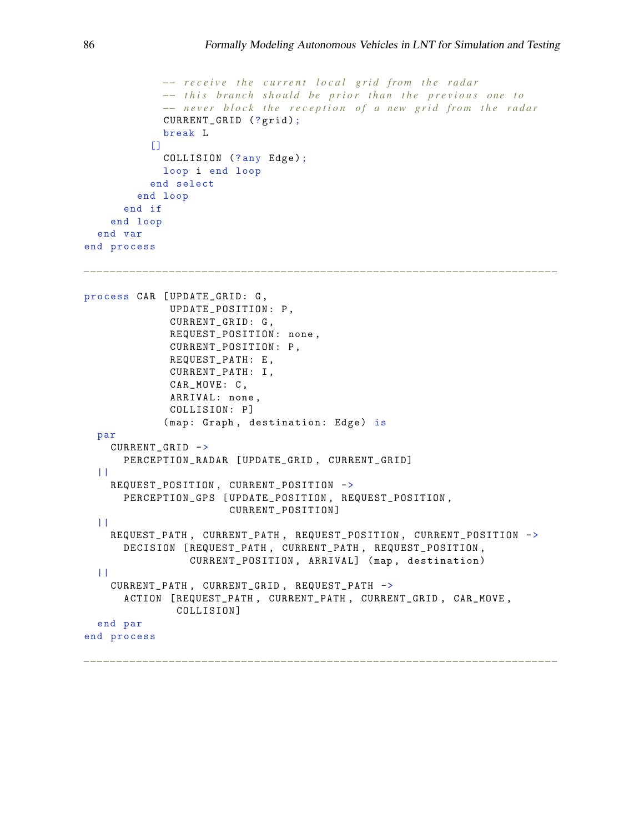```
−− receive the current local grid from the radar
            -− this branch should be prior than the previous one to
            −− never block the reception of a new grid from the radar
             CURRENT_GRID (?grid);
            break L
           \BoxCOLLISION (?any Edge);
            loop i end loop
           end select
        end loop
      end if
    end loop
  end var
end process
          −−−−−−−−−−−−−−−−−−−−−−−−−−−−−−−−−−−−−−−−−−−−−−−−−−−−−−−−−−−−−−−−−−−−−−−−
process CAR [ UPDATE_GRID: G ,
              UPDATE_POSITION : P ,
              CURRENT_GRID: G ,
              REQUEST_POSITION : none ,
              CURRENT_POSITION : P ,
              REQUEST_PATH: E ,
              CURRENT_PATH: I ,
              CAR_MOVE: C ,
              ARRIVAL: none ,
              COLLISION: P]
             (map: Graph, destination: Edge) is
  par
    CURRENT_GRID ->
      PERCEPTION_RADAR [ UPDATE_GRID , CURRENT_GRID]
  | \cdot |REQUEST_POSITION , CURRENT_POSITION ->
      PERCEPTION_GPS [ UPDATE_POSITION , REQUEST_POSITION ,
                       CURRENT_POSITION]
  ||REQUEST_PATH , CURRENT_PATH , REQUEST_POSITION , CURRENT_POSITION ->
      DECISION [ REQUEST_PATH , CURRENT_PATH , REQUEST_POSITION ,
                 CURRENT_POSITION , ARRIVAL] ( map , destination)
  ||
    CURRENT_PATH , CURRENT_GRID , REQUEST_PATH ->
      ACTION [ REQUEST_PATH , CURRENT_PATH , CURRENT_GRID , CAR_MOVE ,
               COLLISION]
  end par
end process
```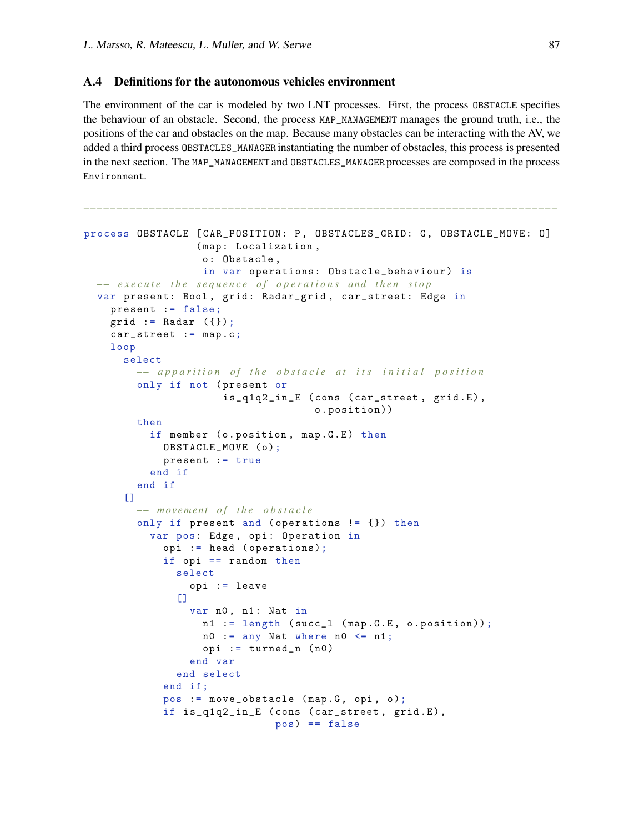# <span id="page-27-0"></span>A.4 Definitions for the autonomous vehicles environment

The environment of the car is modeled by two LNT processes. First, the process OBSTACLE specifies the behaviour of an obstacle. Second, the process MAP\_MANAGEMENT manages the ground truth, i.e., the positions of the car and obstacles on the map. Because many obstacles can be interacting with the AV, we added a third process OBSTACLES\_MANAGER instantiating the number of obstacles, this process is presented in the next section. The MAP\_MANAGEMENT and OBSTACLES\_MANAGER processes are composed in the process Environment.

```
process OBSTACLE [CAR_POSITION: P, OBSTACLES_GRID: G, OBSTACLE_MOVE: 0]
                  (map: Localization,
                  o: Obstacle ,
                   in var operations: Obstacle_behaviour) is
  −− execute the sequence of operations and then stop
  var present: Bool, grid: Radar_grid, car_street: Edge in
    present := false;
    grid := Radar (\{\});
    car_street := map.c;
    loop
      select
        −− apparition of the obstacle at its initial position
        only if not ( present or
                      is_q1q2_in_E (cons (car_street, grid.E),
                                     o . position ))
        then
          if member (o.position, map. G.E) then
            OBSTACLE_MOVE (o);
            present := true
          end if
        end if
      [1]−− m o veme nt o f t h e o b s t a c l e
        only if present and ( operations != {}) then
          var pos: Edge, opi: Operation in
            opi := head ( operations);
            if opi == random then
              select
                opi := leave
              \Boxvar n0, n1: Nat in
                  n1 := length ( succ_l ( map .G.E , o . position ));
                  n0 := any Nat where n0 \leq n1;opi := turned_n (n0)end var
              end select
            end if ;
            pos := move_obstacle (map.G, opi, o);
            if is_q1q2_in_E (cons (car_street, grid.E),
                              pos) == false
```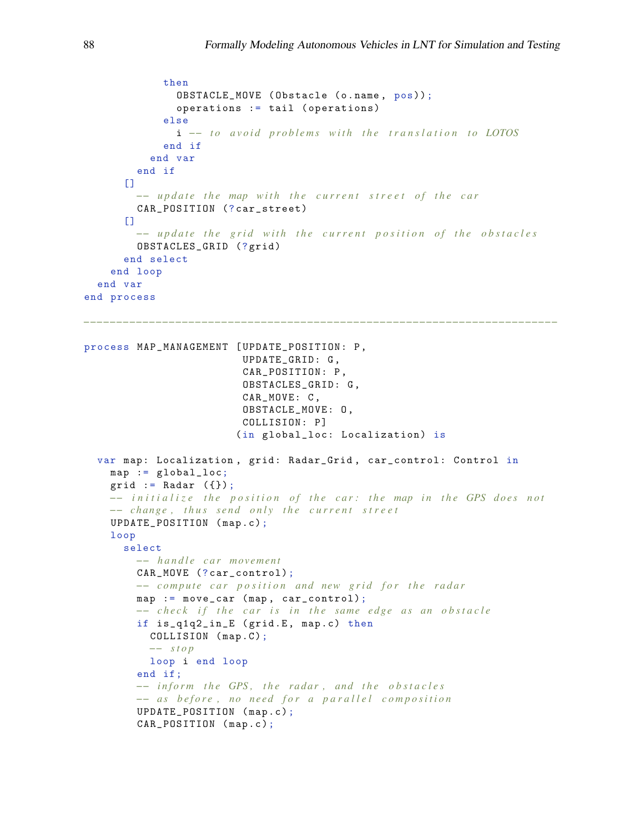```
then
              OBSTACLE_MOVE ( Obstacle (o . name , pos));
              operations := tail ( operations)
            else
              i -- to avoid problems with the translation to LOTOS
            end if
          end var
        end if
      \Box−− update the map with the current street of the car
        CAR_POSITION (? car_street)
      \Box−− update the grid with the current position of the obstacles
        OBSTACLES_GRID (?grid)
      end select
    end loop
  end var
end process
       −−−−−−−−−−−−−−−−−−−−−−−−−−−−−−−−−−−−−−−−−−−−−−−−−−−−−−−−−−−−−−−−−−−−−−−−
process MAP_MANAGEMENT [ UPDATE_POSITION: P ,
                         UPDATE_GRID: G ,
                         CAR_POSITION: P ,
                         OBSTACLES_GRID: G ,
                         CAR_MOVE: C ,
                         OBSTACLE_MOVE: O ,
                         COLLISION: P]
                        (in global_loc: Localization) is
  var map: Localization , grid : Radar_Grid , car_control: Control in
    map := global_loc;
    grid := Radar (\{\});
    −− initialize the position of the car: the map in the GPS does not
    −− change, thus send only the current street
    UPDATE_POSITION ( map .c);
    loop
      select
        −− h a n d l e c a r m o veme nt
        CAR_MOVE (? car_control);
        −− compute car position and new grid for the radar
        map := move_car (map, car_control);
        −− check if the car is in the same edge as an obstacle
        if is_q1q2_in_E (grid.E, map.c) then
          COLLISION (map.C);
          −− s t o p
          loop i end loop
        end if;
        −− inform the GPS, the radar, and the obstacles
        −− as before, no need for a parallel composition
        UPDATE_POSITION ( map .c );
        CAR_POSITION (map.c);
```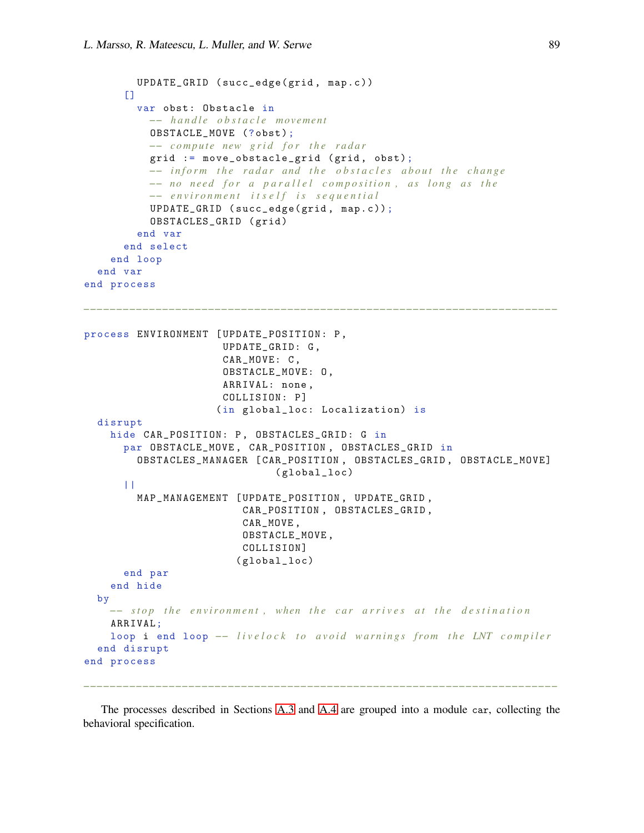```
UPDATE_GRID ( succ_edge( grid , map .c ))
      \Boxvar obst: Obstacle in
          −− h a n d l e o b s t a c l e m o veme nt
           OBSTACLE_MOVE (? obst );
          −− compute new grid for the radar
          grid := move_obstacle_grid (grid, obst);
           −− inform the radar and the obstacles about the change
          −− no need for a parallel composition, as long as the
           −− e n v i r o n m e n t i t s e l f i s s e q u e n t i a l
           UPDATE_GRID ( succ_edge( grid , map. c ));
           OBSTACLES_GRID ( grid )
         end var
      end select
    end loop
  end var
end process
                     −−−−−−−−−−−−−−−−−−−−−−−−−−−−−−−−−−−−−−−−−−−−−−−−−−−−−−−−−−−−−−−−−−−−−−−−
process ENVIRONMENT [ UPDATE_POSITION : P ,
                       UPDATE_GRID: G ,
                       CAR_MOVE: C ,
                       OBSTACLE_MOVE: O ,
                       ARRIVAL: none ,
                       COLLISION: P]
                      (in global_loc: Localization) is
  disrupt
    hide CAR_POSITION: P, OBSTACLES_GRID: G in
      par OBSTACLE_MOVE , CAR_POSITION , OBSTACLES_GRID in
        OBSTACLES_MANAGER [ CAR_POSITION , OBSTACLES_GRID , OBSTACLE_MOVE]
                                ( global_loc)
      | \ |MAP_MANAGEMENT [ UPDATE_POSITION , UPDATE_GRID ,
                          CAR_POSITION , OBSTACLES_GRID ,
                          CAR_MOVE ,
                          OBSTACLE_MOVE ,
                          COLLISION]
                         ( global_loc)
      end par
    end hide
  by
    −− stop the environment, when the car arrives at the destination
    ARRIVAL;
    loop i end loop - livelock to avoid warnings from the LNT compiler
  end disrupt
end process
```
The processes described in Sections [A.3](#page-23-0) and [A.4](#page-27-0) are grouped into a module car, collecting the behavioral specification.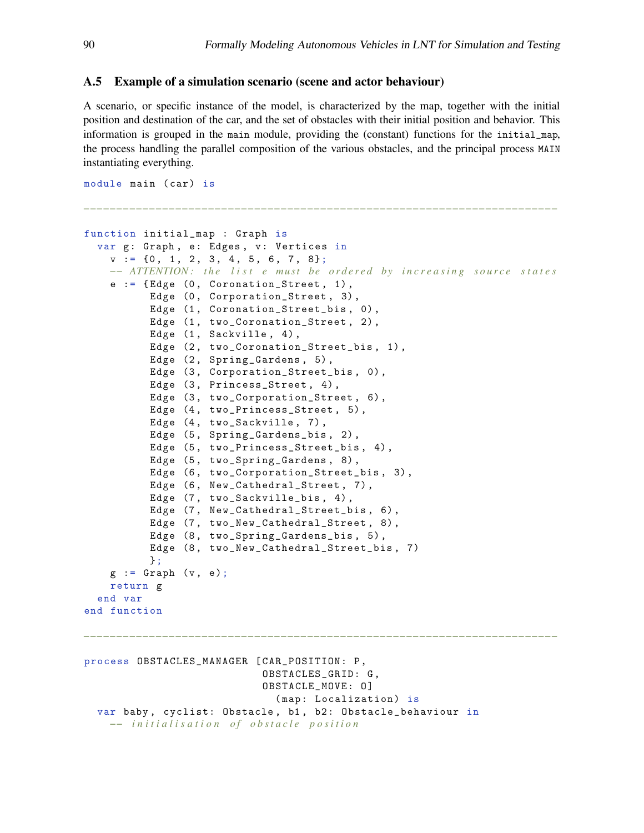### A.5 Example of a simulation scenario (scene and actor behaviour)

A scenario, or specific instance of the model, is characterized by the map, together with the initial position and destination of the car, and the set of obstacles with their initial position and behavior. This information is grouped in the main module, providing the (constant) functions for the initial\_map, the process handling the parallel composition of the various obstacles, and the principal process MAIN instantiating everything.

```
−−−−−−−−−−−−−−−−−−−−−−−−−−−−−−−−−−−−−−−−−−−−−−−−−−−−−−−−−−−−−−−−−−−−−−−−
function initial_map : Graph is
 var g: Graph, e: Edges, v: Vertices in
    v := \{0, 1, 2, 3, 4, 5, 6, 7, 8\};−− ATTENTION: the list e must be ordered by increasing source states
    e := \{ Edge (0, Coronation\_Street, 1),Edge (0, Corporation_Street, 3),
          Edge (1, Coronation_Street_bis, 0),
          Edge (1, two_CCoronation_Street, 2),
          Edge (1, Sackville, 4),
          Edge (2, two_Coronation_Street_bis, 1),
          Edge (2, Spring_Gardens, 5),
          Edge (3, Corporation_Street_bis, 0),
          Edge (3, Princess_Street, 4),
          Edge (3, two_Corporation_Street, 6),
          Edge (4, two_Princess_Street, 5),
          Edge (4, two_Sackville, 7),
          Edge (5, Spring_Gardens_bis, 2),
          Edge (5, two_Princess_Street_bis, 4),
          Edge (5, two_Spring_Gardens, 8),
          Edge (6, two_Corporation_Street_bis, 3),
          Edge (6, New_Cathedral_Street, 7),
          Edge (7, two_Sackville_bis, 4),
          Edge (7, New_Cathedral_Street_bis, 6),
          Edge (7, two_New_Cathedral_Street, 8),
          Edge (8, two_Spring_Gardens_bis, 5),
          Edge (8, two_New_Cathedral_Street_bis, 7)
          };
    g := Graph (v, e);
   return g
 end var
end function
−−−−−−−−−−−−−−−−−−−−−−−−−−−−−−−−−−−−−−−−−−−−−−−−−−−−−−−−−−−−−−−−−−−−−−−−
process OBSTACLES_MANAGER [ CAR_POSITION: P ,
                           OBSTACLES_GRID: G ,
                           OBSTACLE_MOVE: 0]
```
(map: Localization) is

*−− i n i t i a l i s a t i o n o f o b s t a c l e p o s i t i o n*

var baby, cyclist: Obstacle, b1, b2: Obstacle\_behaviour in

module main (car) is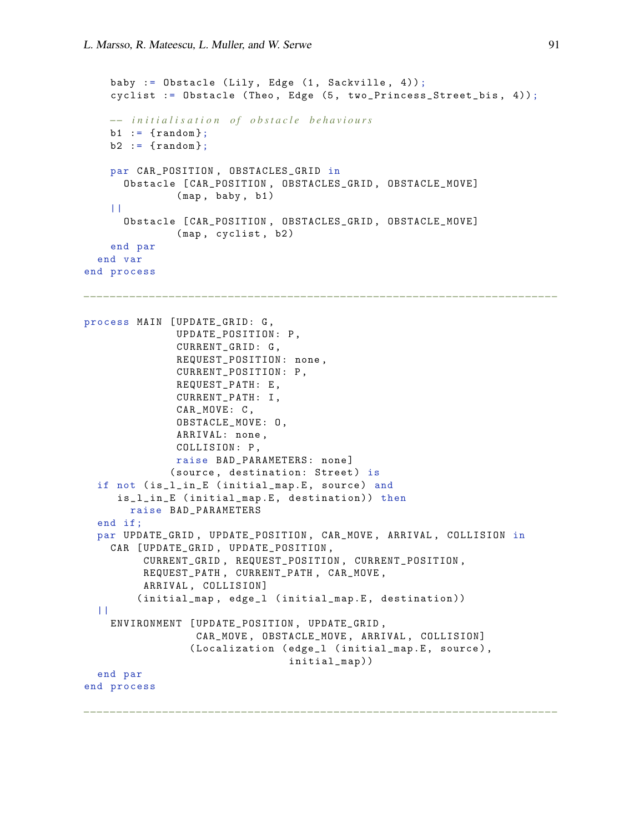```
baby := Obstacle (Lily, Edge (1, Sackville, 4));
    cyclist := Obstacle (Theo, Edge (5, two_Princess_Street_bis, 4));
    −− i n i t i a l i s a t i o n o f o b s t a c l e b e h a v i o u r s
    b1 := \{ \text{random} \};b2 := \{ \text{random} \};par CAR_POSITION , OBSTACLES_GRID in
      Obstacle [ CAR_POSITION , OBSTACLES_GRID , OBSTACLE_MOVE ]
               (map, baby, b1)
    \| \cdot \|Obstacle [ CAR_POSITION , OBSTACLES_GRID , OBSTACLE_MOVE ]
               (map, cyclist, b2)
    end par
  end var
end process
            −−−−−−−−−−−−−−−−−−−−−−−−−−−−−−−−−−−−−−−−−−−−−−−−−−−−−−−−−−−−−−−−−−−−−−−−
process MAIN [ UPDATE_GRID: G ,
               UPDATE_POSITION: P ,
               CURRENT_GRID: G ,
               REQUEST_POSITION : none ,
               CURRENT_POSITION : P ,
               REQUEST_PATH: E ,
               CURRENT_PATH: I ,
               CAR_MOVE: C ,
               OBSTACLE_MOVE: O ,
               ARRIVAL: none ,
               COLLISION: P ,
               raise BAD_PARAMETERS : none ]
              (source, destination: Street) is
  if not ( is_l_in_E ( initial_map.E , source ) and
     is_l_in_E ( initial_map.E , destination )) then
       raise BAD_PARAMETERS
  end if ;
  par UPDATE_GRID , UPDATE_POSITION , CAR_MOVE , ARRIVAL , COLLISION in
    CAR [ UPDATE_GRID , UPDATE_POSITION ,
          CURRENT_GRID , REQUEST_POSITION , CURRENT_POSITION ,
          REQUEST_PATH , CURRENT_PATH , CAR_MOVE ,
          ARRIVAL, COLLISION]
         (initial_map, edge_1 (initial_map.E, destination))
  | \ |ENVIRONMENT [ UPDATE_POSITION , UPDATE_GRID ,
                   CAR_MOVE , OBSTACLE_MOVE , ARRIVAL , COLLISION]
                  ( Localization ( edge_l ( initial_map.E , source ) ,
                                   initial_map ))
  end par
end process
```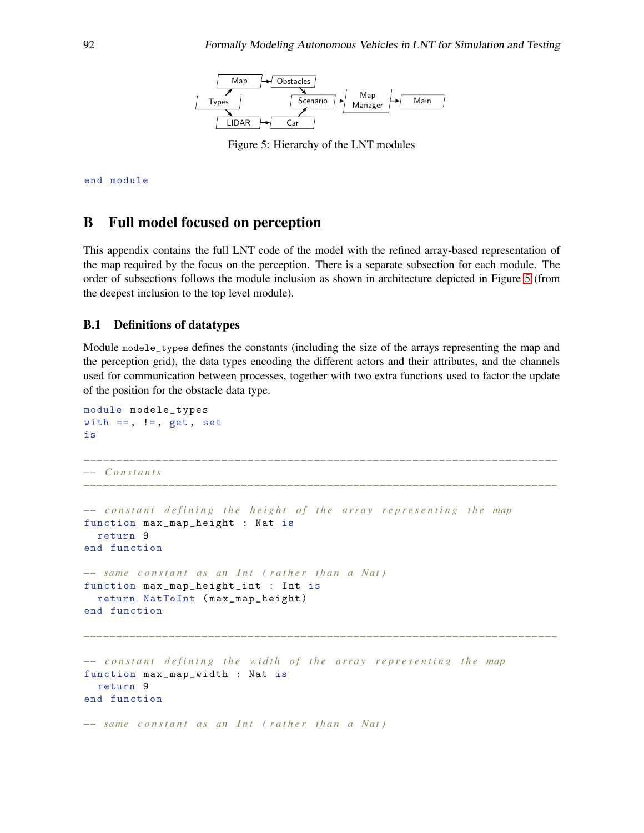

<span id="page-32-1"></span>Figure 5: Hierarchy of the LNT modules

end module

# <span id="page-32-0"></span>B Full model focused on perception

This appendix contains the full LNT code of the model with the refined array-based representation of the map required by the focus on the perception. There is a separate subsection for each module. The order of subsections follows the module inclusion as shown in architecture depicted in Figure [5](#page-32-1) (from the deepest inclusion to the top level module).

### B.1 Definitions of datatypes

Module modele\_types defines the constants (including the size of the arrays representing the map and the perception grid), the data types encoding the different actors and their attributes, and the channels used for communication between processes, together with two extra functions used to factor the update of the position for the obstacle data type.

```
module modele_types
with ==, !=, get, set
is
−−−−−−−−−−−−−−−−−−−−−−−−−−−−−−−−−−−−−−−−−−−−−−−−−−−−−−−−−−−−−−−−−−−−−−−−
−− C o n s t a n t s
−−−−−−−−−−−−−−−−−−−−−−−−−−−−−−−−−−−−−−−−−−−−−−−−−−−−−−−−−−−−−−−−−−−−−−−−
−− c o n s t a n t d e f i n i n g t h e h e i g h t o f t h e a r r a y r e p r e s e n t i n g t h e map
function max_map_height : Nat is
  return 9
end function
−− same constant as an Int (rather than a Nat)
function max_map_height_int : Int is
  return NatToInt ( max_map_height )
end function
−−−−−−−−−−−−−−−−−−−−−−−−−−−−−−−−−−−−−−−−−−−−−−−−−−−−−−−−−−−−−−−−−−−−−−−−
−− constant defining the width of the array representing the map
function max_map_width : Nat is
  return 9
end function
−− same constant as an Int (rather than a Nat)
```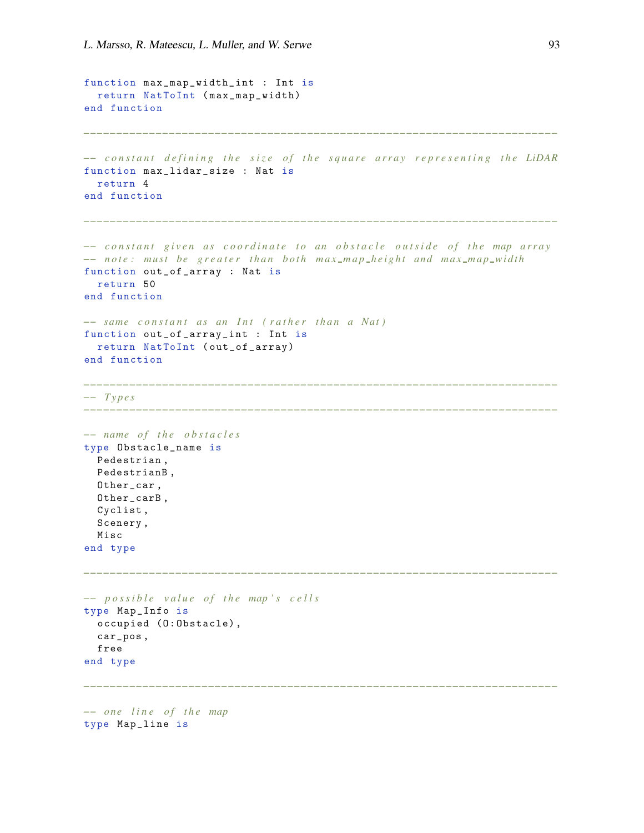```
function max_map_width_int : Int is
  return NatToInt ( max_map_width)
end function
−− c o n s t a n t d e f i n i n g t h e s i z e o f t h e s q u a r e a r r a y r e p r e s e n t i n g t h e LiDAR
function max_lidar_size : Nat is
  return 4
end function
−−−−−−−−−−−−−−−−−−−−−−−−−−−−−−−−−−−−−−−−−−−−−−−−−−−−−−−−−−−−−−−−−−−−−−−−
−− constant given as coordinate to an obstacle outside of the map array
−− note: must be greater than both max_map_height and max_map_width
function out_of_array : Nat is
  return 50
end function
−− same constant as an Int (rather than a Nat)
function out_of_array_int : Int is
  return NatToInt ( out_of_array)
end function
            −−−−−−−−−−−−−−−−−−−−−−−−−−−−−−−−−−−−−−−−−−−−−−−−−−−−−−−−−−−−−−−−−−−−−−−−
−− T y p e s
−−−−−−−−−−−−−−−−−−−−−−−−−−−−−−−−−−−−−−−−−−−−−−−−−−−−−−−−−−−−−−−−−−−−−−−−
-− name of the obstacles
type Obstacle_name is
  Pedestrian ,
  PedestrianB ,
  Other_car ,
  Other_carB ,
  Cyclist ,
  Scenery ,
  Misc
end type
                                          −−−−−−−−−−−−−−−−−−−−−−−−−−−−−−−−−−−−−−−−−−−−−−−−−−−−−−−−−−−−−−−−−−−−−−−−
−− p o s s i b l e v a l u e o f t h e map ' s c e l l s
type Map_Info is
  occupied (0:0bstacle),
  car_pos ,
  free
end type
    −−−−−−−−−−−−−−−−−−−−−−−−−−−−−−−−−−−−−−−−−−−−−−−−−−−−−−−−−−−−−−−−−−−−−−−−
−− o n e l i n e o f t h e map
```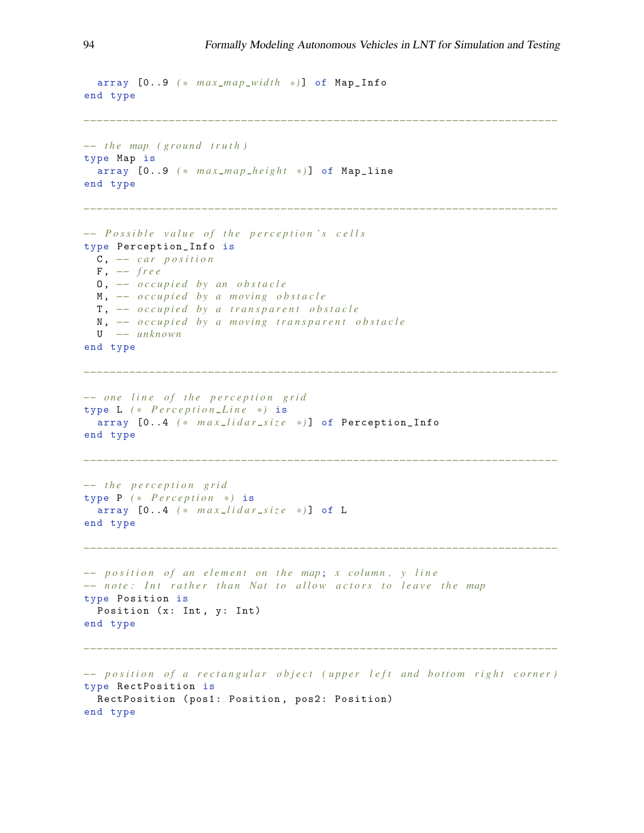```
array [0..9 ( * m a x m a p wi dt h * ) ] of Map_Info
end type
                                                     −−−−−−−−−−−−−−−−−−−−−−−−−−−−−−−−−−−−−−−−−−−−−−−−−−−−−−−−−−−−−−−−−−−−−−−−
−− the map (ground truth)
type Map is
  array [0..9 ( * m a x m a p h e i g h t * ) ] of Map_line
end type
                                                      −−−−−−−−−−−−−−−−−−−−−−−−−−−−−−−−−−−−−−−−−−−−−−−−−−−−−−−−−−−−−−−−−−−−−−−−
−− Possible value of the perception's cells
type Perception_Info is
  C , −− c a r p o s i t i o n
  F , −− f r e e
  O , −− o c c u p i e d b y an o b s t a c l e
  M, \rightarrow occupied by a moving obstacle
  T, \text{-}- occupied by a transparent obstacle
  N, <sup>−−</sup> occupied by a moving transparent obstacle
  U −− u nkn own
end type
−−−−−−−−−−−−−−−−−−−−−−−−−−−−−−−−−−−−−−−−−−−−−−−−−−−−−−−−−−−−−−−−−−−−−−−−
−− one line of the perception grid
type L ( * P e r c e p t i o n L i n e * ) is
  array [0..4 ( * m a x l i d a r s i z e * ) ] of Perception_Info
end type
−−−−−−−−−−−−−−−−−−−−−−−−−−−−−−−−−−−−−−−−−−−−−−−−−−−−−−−−−−−−−−−−−−−−−−−−
−− t h e p e r c e p t i o n g r i d
type P ( * P e r c e p t i o n * ) is
  array [0..4 ( * m a x l i d a r s i z e * ) ] of L
end type
−−−−−−−−−−−−−−−−−−−−−−−−−−−−−−−−−−−−−−−−−−−−−−−−−−−−−−−−−−−−−−−−−−−−−−−−
−− position of an element on the map; x column, y line
−− note: Int rather than Nat to allow actors to leave the map
type Position is
 Position (x: Int, y: Int)
end type
                                  −−−−−−−−−−−−−−−−−−−−−−−−−−−−−−−−−−−−−−−−−−−−−−−−−−−−−−−−−−−−−−−−−−−−−−−−
−− position of a rectangular object (upper left and bottom right corner)
type RectPosition is
 RectPosition (pos1: Position, pos2: Position)
end type
```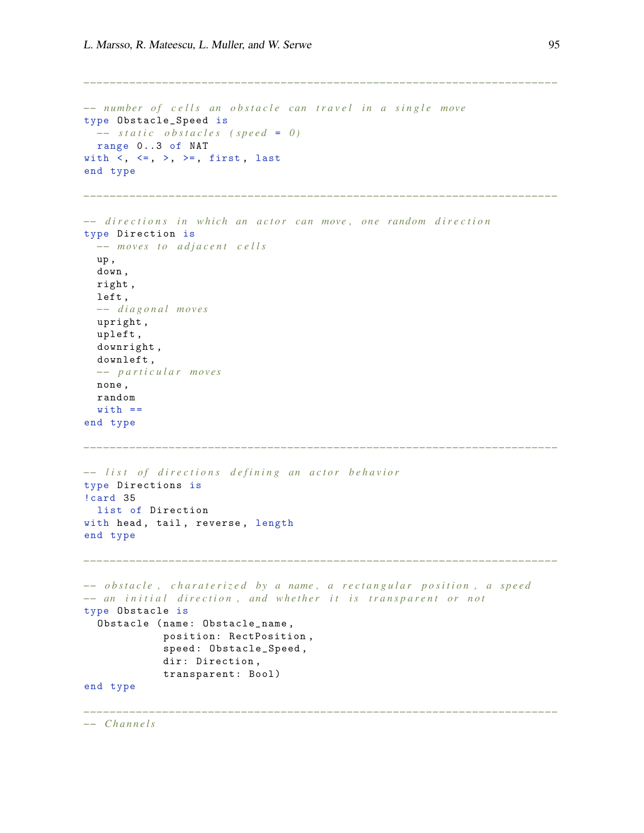```
−− number of cells an obstacle can travel in a single move
type Obstacle_Speed is
 −− static obstacles (speed = 0)
 range 0..3 of NAT
with \langle , \langle =, \rangle, \rangle =, first, last
end type
                                 −−−−−−−−−−−−−−−−−−−−−−−−−−−−−−−−−−−−−−−−−−−−−−−−−−−−−−−−−−−−−−−−−−−−−−−−
−− directions in which an actor can move, one random direction
type Direction is
  -− moves to adjacent cells
  up ,
  down ,
  right ,
  left ,
  −− d i a g o n a l m o ve s
  upright ,
  upleft ,
  downright ,
  downleft ,
  −− p a r t i c u l a r m o ve s
  none ,
  random
  with ==
end type
−−−−−−−−−−−−−−−−−−−−−−−−−−−−−−−−−−−−−−−−−−−−−−−−−−−−−−−−−−−−−−−−−−−−−−−−
−− list of directions defining an actor behavior
type Directions is
!card 35
 list of Direction
with head, tail, reverse, length
end type
                           −−−−−−−−−−−−−−−−−−−−−−−−−−−−−−−−−−−−−−−−−−−−−−−−−−−−−−−−−−−−−−−−−−−−−−−−
−− o b s t a c l e , c h a r a t e r i z e d b y a name , a r e c t a n g u l a r p o s i t i o n , a s p e e d
−− an initial direction, and whether it is transparent or not
type Obstacle is
  Obstacle (name: Obstacle_name,
             position: RectPosition ,
              speed : Obstacle_Speed ,
             dir: Direction,
             transparent: Bool )
end type
−−−−−−−−−−−−−−−−−−−−−−−−−−−−−−−−−−−−−−−−−−−−−−−−−−−−−−−−−−−−−−−−−−−−−−−−
```
*−− C h a n n e l s*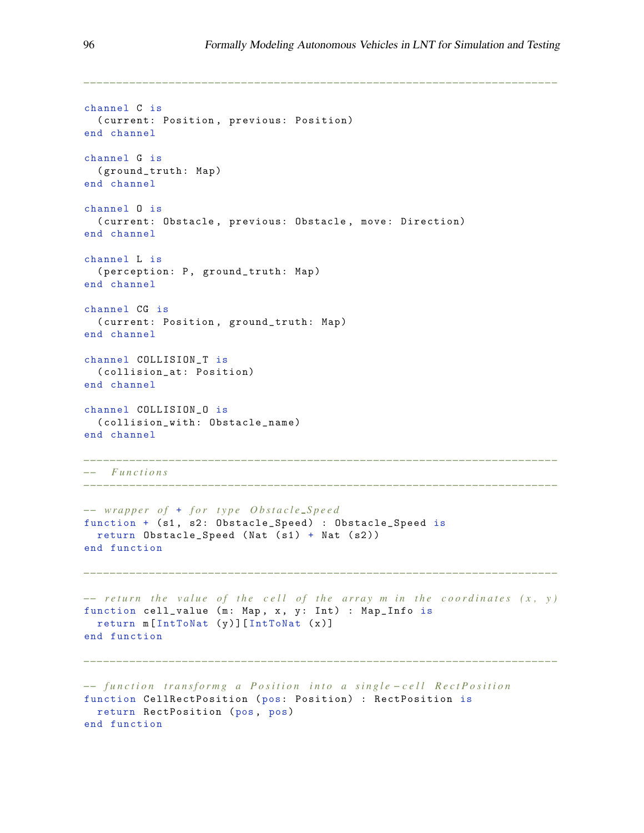```
channel C is
  ( current: Position , previous: Position)
end channel
channel G is
  ( ground_truth: Map )
end channel
channel O is
  ( current: Obstacle, previous: Obstacle, move: Direction)
end channel
channel L is
  ( perception: P, ground_truth: Map)
end channel
channel CG is
  ( current: Position , ground_truth: Map)
end channel
channel COLLISION_T is
  ( collision_at: Position)
end channel
channel COLLISION_O is
  ( collision_with : Obstacle_name)
end channel
−−−−−−−−−−−−−−−−−−−−−−−−−−−−−−−−−−−−−−−−−−−−−−−−−−−−−−−−−−−−−−−−−−−−−−−−
−− F u n c t i o n s
−−−−−−−−−−−−−−−−−−−−−−−−−−−−−−−−−−−−−−−−−−−−−−−−−−−−−−−−−−−−−−−−−−−−−−−−
−− wrapper of + for type Obstacle_Speed
function + (s1, s2: Obstacle_Speed) : Obstacle_Speed is
 return Obstate_Speed (Nat (s1) + Nat (s2))
end function
−−−−−−−−−−−−−−−−−−−−−−−−−−−−−−−−−−−−−−−−−−−−−−−−−−−−−−−−−−−−−−−−−−−−−−−−
−− return the value of the cell of the array m in the coordinates (x, y)
function cell_value (m: Map, x, y: Int) : Map_Info is
 return m [IntToNat (y)] [IntToNat (x)]
end function
    −−−−−−−−−−−−−−−−−−−−−−−−−−−−−−−−−−−−−−−−−−−−−−−−−−−−−−−−−−−−−−−−−−−−−−−−
−− function transformg a Position into a single-cell RectPosition
function CellRectPosition ( pos: Position) : RectPosition is
 return RectPosition (pos, pos)
end function
```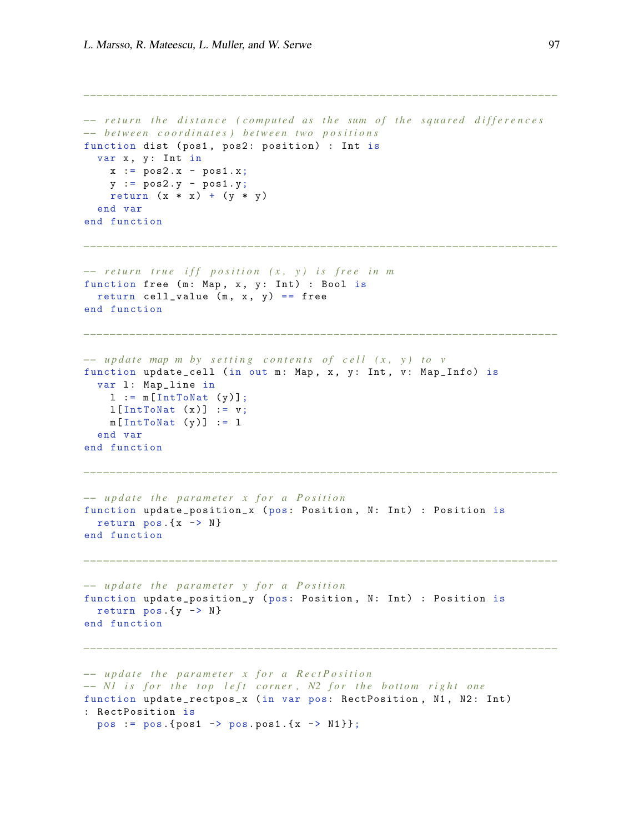```
−− return the distance (computed as the sum of the squared differences
−− b e t w e e n c o o r d i n a t e s ) b e t w e e n tw o p o s i t i o n s
function dist (pos1, pos2: position) : Int is
  var x, y: Int in
    x := pos2.x - pos1.x;y := pos2.y - pos1.y;return (x * x) + (y * y)end var
end function
−−−−−−−−−−−−−−−−−−−−−−−−−−−−−−−−−−−−−−−−−−−−−−−−−−−−−−−−−−−−−−−−−−−−−−−−
−− return true iff position (x, y) is free in m
function free (m: Map, x, y: Int) : Bool is
  return cell_value (m, x, y) == free
end function
−−−−−−−−−−−−−−−−−−−−−−−−−−−−−−−−−−−−−−−−−−−−−−−−−−−−−−−−−−−−−−−−−−−−−−−−
−− update map m by setting contents of cell (x, y) to v
function update_cell (in out m: Map, x, y: Int, v: Map_Info) is
  var 1: Map_line in
    l := m[IntToNat(y)];l[IntToNat(x)] := v;m[IntToNat(y)] := 1end var
end function
−−−−−−−−−−−−−−−−−−−−−−−−−−−−−−−−−−−−−−−−−−−−−−−−−−−−−−−−−−−−−−−−−−−−−−−−
−− update the parameter x for a Position
function update_position_x ( pos: Position , N: Int) : Position is
 return pos.(x \rightarrow N)end function
−−−−−−−−−−−−−−−−−−−−−−−−−−−−−−−−−−−−−−−−−−−−−−−−−−−−−−−−−−−−−−−−−−−−−−−−
−− update the parameter y for a Position
function update_position_y ( pos: Position , N: Int) : Position is
  return pos.(y \rightarrow N)end function
−−−−−−−−−−−−−−−−−−−−−−−−−−−−−−−−−−−−−−−−−−−−−−−−−−−−−−−−−−−−−−−−−−−−−−−−
−− update the parameter x for a RectPosition
-− N1 is for the top left corner, N2 for the bottom right one
function update_rectpos_x (in var pos: RectPosition, N1, N2: Int)
: RectPosition is
  pos := pos. {pos1 - > pos. pos1. {x - > N1 } };
```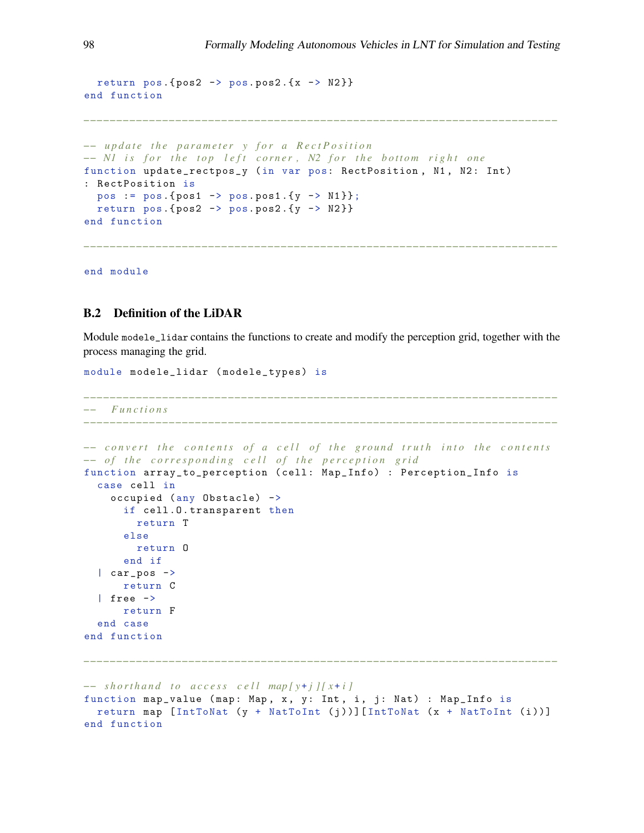*−−−−−−−−−−−−−−−−−−−−−−−−−−−−−−−−−−−−−−−−−−−−−−−−−−−−−−−−−−−−−−−−−−−−−−−−*

return pos.  $\{pos2 \rightarrow pos.pos2.\{x \rightarrow N2\}\}$ end function

```
−− update the parameter y for a RectPosition
-− N1 is for the top left corner, N2 for the bottom right one
function update_rectpos_y (in var pos: RectPosition, N1, N2: Int)
: RectPosition is
  pos := pos. {pos1 - > pos. pos1. {y - > N1 }};
  return pos.\{pos2 \rightarrow pos.pos2.\{y \rightarrow N2\}\}\end function
```
end module

### B.2 Definition of the LiDAR

Module modele\_lidar contains the functions to create and modify the perception grid, together with the process managing the grid.

```
module modele_lidar ( modele_types) is
−−−−−−−−−−−−−−−−−−−−−−−−−−−−−−−−−−−−−−−−−−−−−−−−−−−−−−−−−−−−−−−−−−−−−−−−
−− F u n c t i o n s
−−−−−−−−−−−−−−−−−−−−−−−−−−−−−−−−−−−−−−−−−−−−−−−−−−−−−−−−−−−−−−−−−−−−−−−−
−− convert the contents of a cell of the ground truth into the contents
−− of the corresponding cell of the perception grid
function array_to_perception ( cell : Map_Info) : Perception_Info is
  case cell in
    occupied (any Obstacle) ->
      if cell .O. transparent then
        return T
      else
        return O
      end if
  | car_pos ->
     return C
  | free ->
     return F
  end case
end function
−−−−−−−−−−−−−−−−−−−−−−−−−−−−−−−−−−−−−−−−−−−−−−−−−−−−−−−−−−−−−−−−−−−−−−−−
−− shorthand to access cell map[y+j][x+i]
function map_value (map: Map, x, y: Int, i, j: Nat) : Map_Info is
 return map [IntToNat (y + NatToInt (j))][IntToNat (x + NatToInt (i))]
end function
```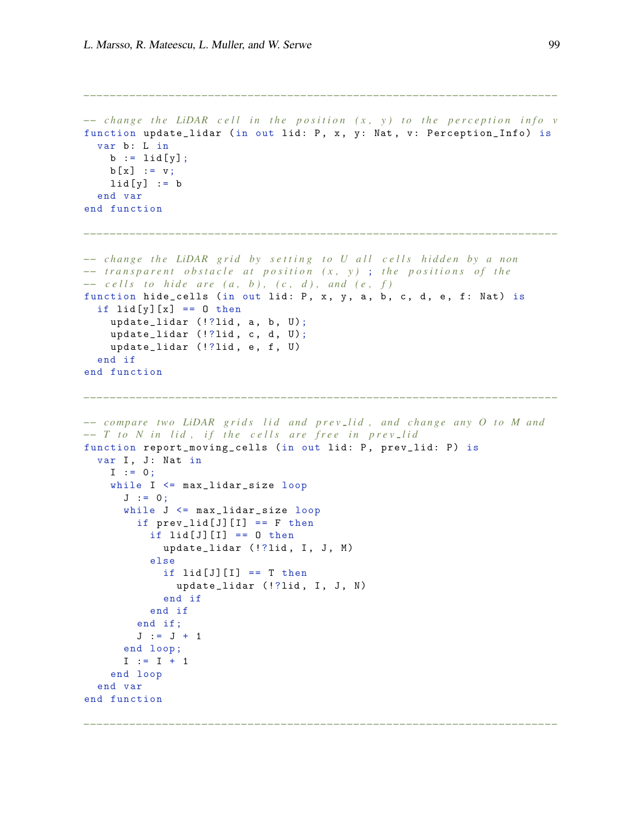```
−− change the LiDAR cell in the position (x, y) to the perception info v
function update_lidar (in out lid: P, x, y: Nat, v: Perception_Info) is
  var b: L in
    b := \text{lid}[y];
    b[x] := v;
    lid[y] := bend var
end function
−−−−−−−−−−−−−−−−−−−−−−−−−−−−−−−−−−−−−−−−−−−−−−−−−−−−−−−−−−−−−−−−−−−−−−−−
−− c h a n g e t h e LiDAR g r i d b y s e t t i n g t o U a l l c e l l s h i d d e n b y a n on
−− transparent obstacle at position (x, y); the positions of the
−− c ells to hide are (a, b), (c, d), and (e, f)
function hide_cells (in out lid: P, x, y, a, b, c, d, e, f: Nat) is
  if li{d[y]}[x] == 0 then
    update\_lidar (!?lid, a, b, U);
    update\_lidar (!?lid, c, d, U);
    update_lidar (!?lid, e, f, U)
  end if
end function
−−−−−−−−−−−−−−−−−−−−−−−−−−−−−−−−−−−−−−−−−−−−−−−−−−−−−−−−−−−−−−−−−−−−−−−−
−− compare two LiDAR grids lid and prev_lid, and change any O to M and
−− T to N in lid, if the cells are free in prev_lid
function report_moving_cells (in out lid: P, prev_lid: P) is
  var I, J: Nat in
    I := 0;while I <= max_lidar_size loop
      J := 0;while J <= max_lidar_size loop
        if prev\_lid[J][I] == F thenif lid[J][I] == 0 then
            update_lidar (!?lid, I, J, M)
          else
            if lid[J][I] == T thenupdate_lidar (!?lid, I, J, N)
            end if
          end if
        end if;
        J := J + 1end loop ;
      I := I + 1end loop
  end var
end function
−−−−−−−−−−−−−−−−−−−−−−−−−−−−−−−−−−−−−−−−−−−−−−−−−−−−−−−−−−−−−−−−−−−−−−−−
```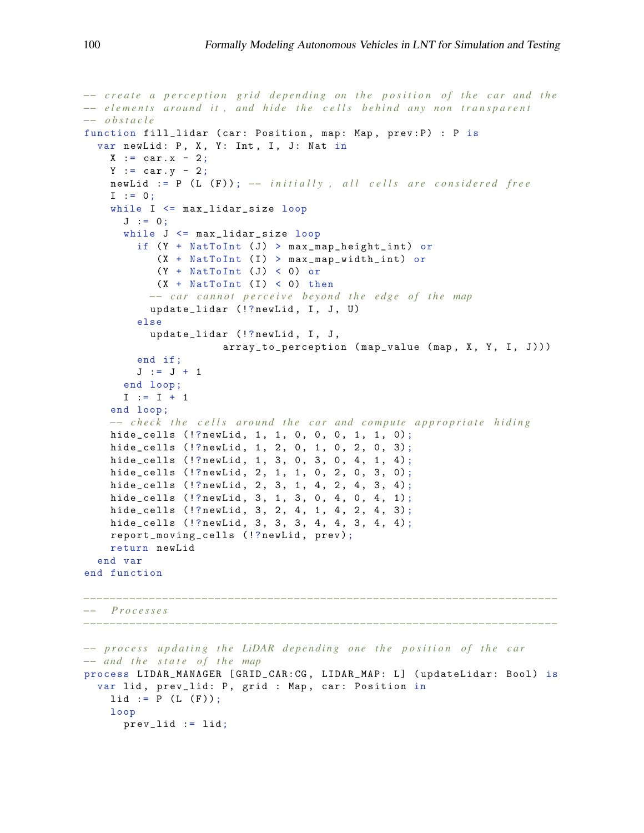```
−− create a perception grid depending on the position of the car and the
−− elements around it, and hide the cells behind any non transparent
−− o b s t a c l e
function fill_lidar ( car: Position, map: Map, prev: P) : P is
  var newLid: P, X, Y: Int, I, J: Nat in
    X := \text{car} \cdot x - 2:
    Y := car.y - 2;newLid := P (L (F)); -- initially, all cells are considered free
    I : = 0;while I <= max_lidar_size loop
      J := 0;while J \leq max\_lidar\_size loop
        if (Y + NatToInt (J) > max-map\_height\_int) or
           (X + \text{NatToInt} (I) > \text{max\_map\_width\_int} ) or
            (Y + \text{NatToInt } (J) < 0) or
           (X + NatToInt (I) < 0) then−− car cannot perceive beyond the edge of the map
          update_lidar (!?newLid, I, J, U)
        else
          update_lidar (!?newLid, I, J,
                      array_to_perception (map_value (map, X, Y, I, J)))
        end if;
        J := J + 1end loop ;
      I := I + 1end loop ;
    −− check the cells around the car and compute appropriate hiding
    hide_cells (!?newLid, 1, 1, 0, 0, 0, 1, 1, 0);
    hide_cells (!? \text{newLid}, 1, 2, 0, 1, 0, 2, 0, 3);hide_cells (!?newLid, 1, 3, 0, 3, 0, 4, 1, 4);
    hide_cells (!?newLid, 2, 1, 1, 0, 2, 0, 3, 0);
    hide_cells (!?newLid, 2, 3, 1, 4, 2, 4, 3, 4);
    hide_cells (!?newLid, 3, 1, 3, 0, 4, 0, 4, 1);
    hide_cells (!? \text{newLid}, 3, 2, 4, 1, 4, 2, 4, 3);hide_cells (!?newLid, 3, 3, 3, 4, 4, 3, 4, 4);
    report_moving_cells (!? newLid , prev );
    return newLid
  end var
end function
−−−−−−−−−−−−−−−−−−−−−−−−−−−−−−−−−−−−−−−−−−−−−−−−−−−−−−−−−−−−−−−−−−−−−−−−
−− P r o c e s s e s
```

```
−− process updating the LiDAR depending one the position of the car
−− a n d t h e s t a t e o f t h e map
process LIDAR_MANAGER [ GRID_CAR:CG , LIDAR_MAP: L] ( updateLidar: Bool ) is
  var lid, prev_lid: P, grid : Map, car: Position in
    lid := P (L (F));loop
      prev_lid := lid;
```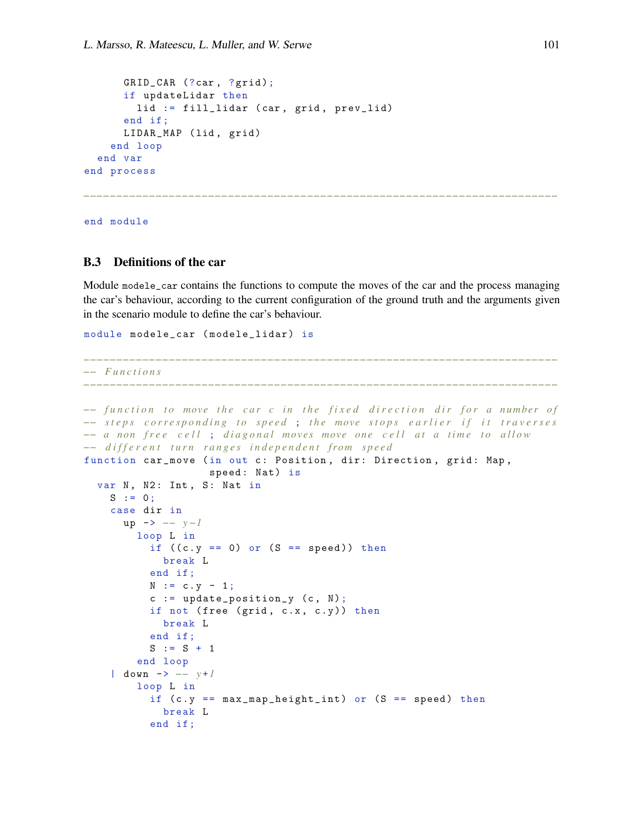```
GRID_CAR (?car, ?grid);
      if updateLidar then
        lid := fill_lidar (car, grid, prev_lid)
      end if ;
      LIDAR_MAP (lid, grid)
    end loop
  end var
end process
```
end module

### B.3 Definitions of the car

Module modele\_car contains the functions to compute the moves of the car and the process managing the car's behaviour, according to the current configuration of the ground truth and the arguments given in the scenario module to define the car's behaviour.

*−−−−−−−−−−−−−−−−−−−−−−−−−−−−−−−−−−−−−−−−−−−−−−−−−−−−−−−−−−−−−−−−−−−−−−−−*

*−−−−−−−−−−−−−−−−−−−−−−−−−−−−−−−−−−−−−−−−−−−−−−−−−−−−−−−−−−−−−−−−−−−−−−−−*

```
module modele_car ( modele_lidar) is
```

```
−− F u n c t i o n s
```

```
−− function to move the car c in the fixed direction dir for a number of
−− steps corresponding to speed; the move stops earlier if it traverses
−− a non free cell; diagonal moves move one cell at a time to allow
−− d i f f e r e n t t u r n r a n g e s i n d e p e n d e n t f r o m s p e e d
function car_move (in out c: Position, dir: Direction, grid: Map,
                    speed : Nat) is
  var N, N2: Int, S: Nat in
    S := 0;case dir in
      up -> −− y −1
        loop L in
          if ((c.y == 0) or (S == speed)) then
            break L
          end if ;
          N := c. y - 1;c := update\_position_y (c, N);
          if not (free (grid, c.x, c.y)) then
            break L
          end if ;
          S := S + 1end loop
    | down -> −− y +1
        loop L in
           if (c.y == max_map\_height\_int) or (S == speed) then
            break L
          end if ;
```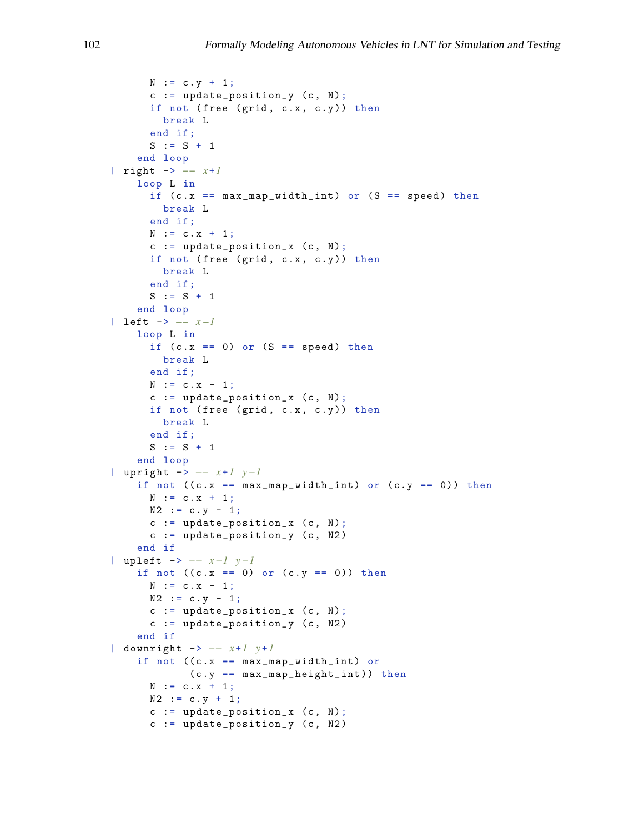```
N := c. y + 1;c := update\_position_y (c, N);
      if not (free (grid, c.x, c.y)) then
        break L
      end if ;
      S := S + 1end loop
| right -> −− x +1
    loop L in
      if (c.x == max_map\_width\_int) or (S == speed) then
       break L
      end if ;
      N := C \cdot X + 1;c := update\_position_x (c, N);
      if not (free (grid, c.x, c.y)) then
        break L
      end if ;
      S := S + 1end loop
| left -> −− x −1
    loop L in
      if (c.x == 0) or (S == speed) then
        break L
      end if ;
      N := c.x - 1;c := update\_position_x (c, N);
      if not (free (grid, c.x, c.y)) then
        break L
      end if ;
      S := S + 1end loop
| upright -> −− x +1 y −1
    if not ((c.x == max_map\_width\_int) or (c.y == 0)) then
     N := c \cdot x + 1;N2 := c . y - 1;c := update\_position_x (c, N);
      c := update\_position_y (c, N2)
    end if
| upleft -> −− x −1 y −1
    if not ((c.x == 0) or (c.y == 0)) then
     N := c \cdot x - 1;N2 := c \cdot y - 1;c := update\_position_x (c, N);
      c := update_{position_y} (c, N2)end if
| downright -> −− x +1 y +1
    if not ((c.x == max_map\_width\_int) or(c.y == max_map_{height\_int})) then
      N := c \cdot x + 1;N2 := c \cdot y + 1;c := update\_position_x (c, N);c := update\_position_y (c, N2)
```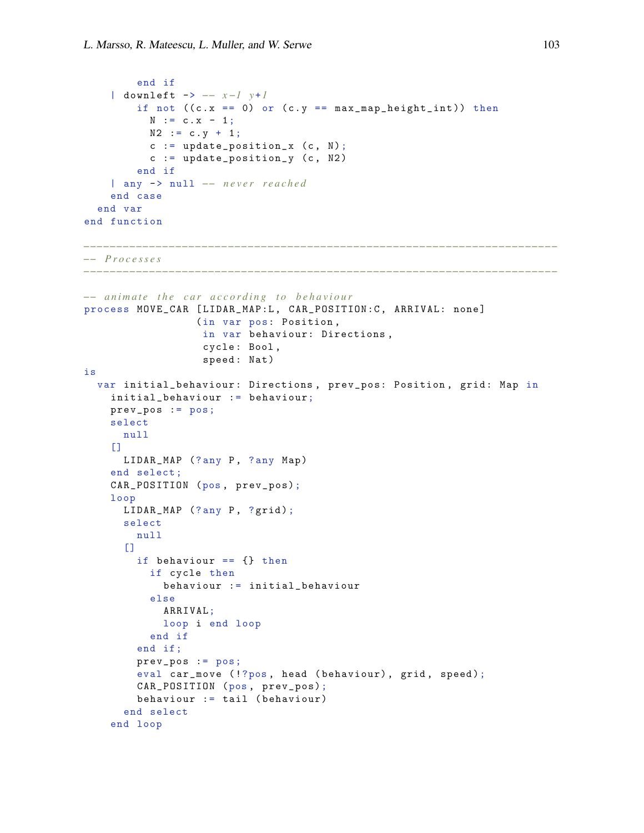```
end if
    | downleft -> −− x −1 y +1
        if not ((c.x == 0) or (c.y == max-map\_height\_int) ) then
          N := c \cdot x - 1;N2 := c . y + 1;c := update\_position_x (c, N);
          c := update\_position_y (c, N2)
        end if
    | any -> null −− n e v e r r e a c h e d
    end case
  end var
end function
−−−−−−−−−−−−−−−−−−−−−−−−−−−−−−−−−−−−−−−−−−−−−−−−−−−−−−−−−−−−−−−−−−−−−−−−
−− P r o c e s s e s
−−−−−−−−−−−−−−−−−−−−−−−−−−−−−−−−−−−−−−−−−−−−−−−−−−−−−−−−−−−−−−−−−−−−−−−−
−− animate the car according to behaviour
process MOVE_CAR [ LIDAR_MAP:L , CAR_POSITION:C , ARRIVAL: none ]
                  (in var pos: Position ,
                   in var behaviour: Directions ,
                   cycle : Bool ,
                   speed : Nat )
is
  var initial_behaviour: Directions, prev_pos: Position, grid: Map in
    initial_behaviour := behaviour;
    prev_pos := pos;
    select
      null
    \BoxLIDAR_MAP (?any P, ?any Map)
    end select ;
    CAR_POSITION (pos , prev_pos);
    loop
      LIDAR_MAP (?any P, ?grid);
      select
        null
      \Gamma]
        if behaviour == {} then
          if cycle then
            behaviour := initial_behaviour
           else
            ARRIVAL;
            loop i end loop
          end if
        end if;
        prev_pos := pos;
        eval car_move (!?pos, head (behaviour), grid, speed);
        CAR_POSITION (pos , prev_pos);
        behaviour := tail ( behaviour)
      end select
    end loop
```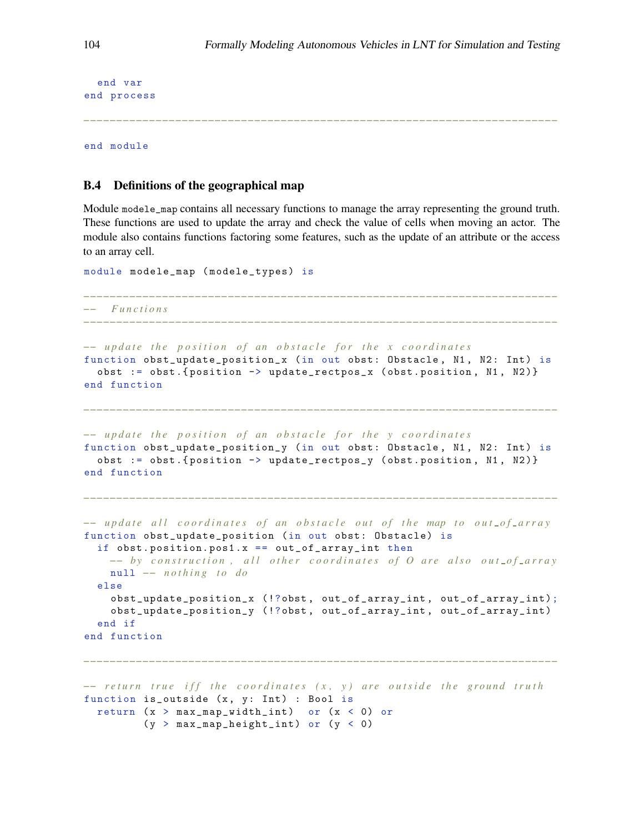```
end var
end process
```
end module

# B.4 Definitions of the geographical map

Module modele\_map contains all necessary functions to manage the array representing the ground truth. These functions are used to update the array and check the value of cells when moving an actor. The module also contains functions factoring some features, such as the update of an attribute or the access to an array cell.

```
module modele_map ( modele_types) is
                      −−−−−−−−−−−−−−−−−−−−−−−−−−−−−−−−−−−−−−−−−−−−−−−−−−−−−−−−−−−−−−−−−−−−−−−−
−− F u n c t i o n s
−−−−−−−−−−−−−−−−−−−−−−−−−−−−−−−−−−−−−−−−−−−−−−−−−−−−−−−−−−−−−−−−−−−−−−−−
−− update the position of an obstacle for the x coordinates
function obst_update_position_x (in out obst: Obstacle, N1, N2: Int) is
  obst := obst .{ position -> update_rectpos_x ( obst . position , N1 , N2 )}
end function
−−−−−−−−−−−−−−−−−−−−−−−−−−−−−−−−−−−−−−−−−−−−−−−−−−−−−−−−−−−−−−−−−−−−−−−−
−− update the position of an obstacle for the y coordinates
function obst_update_position_y (in out obst: Obstacle, N1, N2: Int) is
  obst := obst. {position \rightarrow update_rectpos_y (obst. position, N1, N2)}
end function
−−−−−−−−−−−−−−−−−−−−−−−−−−−−−−−−−−−−−−−−−−−−−−−−−−−−−−−−−−−−−−−−−−−−−−−−
−− update all coordinates of an obstacle out of the map to out of array
function obst_update_position (in out obst: Obstacle) is
  if obst. position. pos1.x == out_of_array-int. then−− by construction, all other coordinates of O are also out_of_array
    null −− n o t h i n g t o do
  else
    obst_update_position_x (!?obst , out_of_array_int , out_of_array_int );
    obst_update_position_y (!?obst, out_of_array_int, out_of_array_int)
  end if
end function
−−−−−−−−−−−−−−−−−−−−−−−−−−−−−−−−−−−−−−−−−−−−−−−−−−−−−−−−−−−−−−−−−−−−−−−−
−− return true iff the coordinates (x, y) are outside the ground truth
```

```
function is_outside (x, y: Int) : Bool is
 return (x > max_map\_width\_int) or (x < 0) or
         (y > max_map\_height\_int) or (y < 0)
```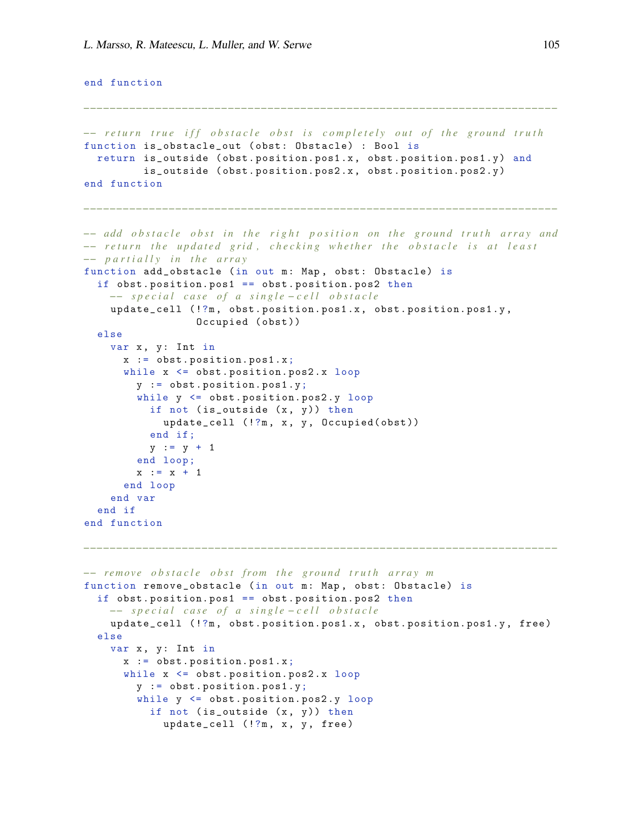```
end function
```

```
−−−−−−−−−−−−−−−−−−−−−−−−−−−−−−−−−−−−−−−−−−−−−−−−−−−−−−−−−−−−−−−−−−−−−−−−
−− return true iff obstacle obst is completely out of the ground truth
function is_obstacle_out ( obst : Obstacle) : Bool is
  return is_outside ( obst . position. pos1 .x , obst . position. pos1 .y ) and
         is_outside ( obst . position. pos2 .x , obst . position. pos2 .y )
end function
−−−−−−−−−−−−−−−−−−−−−−−−−−−−−−−−−−−−−−−−−−−−−−−−−−−−−−−−−−−−−−−−−−−−−−−−
−− add obstacle obst in the right position on the ground truth array and
−− return the updated grid, checking whether the obstacle is at least
−− p a r t i a l l y i n t h e a r r a y
function add_obstacle (in out m: Map, obst: Obstacle) is
  if obst. position. pos1 == obst. position. pos2 then−− special case of a single-cell obstacle
    update_cell (!?m, obst.position.pos1.x, obst.position.pos1.y,
                  Occupied (obst))
  else
    var x, y: Int in
      x := \text{obst.position.pos1.x};while x \leq 0bst.position.pos2.x loop
        y := obst . position. pos1 .y;
        while y <= obst . position. pos2 .y loop
          if not (is_outside (x, y)) then
            update_cell (!?m, x, y, Occupied(obst))
          end if ;
          y := y + 1end loop ;
        x := x + 1end loop
    end var
  end if
end function
−−−−−−−−−−−−−−−−−−−−−−−−−−−−−−−−−−−−−−−−−−−−−−−−−−−−−−−−−−−−−−−−−−−−−−−−
−− remove obstacle obst from the ground truth array m
function remove_obstacle (in out m: Map, obst: Obstacle) is
  if obst . position. pos1 == obst . position. pos2 then
    −− special case of a single-cell obstacle
    update_cell (!?m, obst.position.pos1.x, obst.position.pos1.y, free)
  else
    var x, y: Int in
      x := \text{obst.position.pos1.x};while x \leq 0bst.position.pos2.x loop
        y := obst . position. pos1 .y;
        while y <= obst . position. pos2 .y loop
          if not (is_outside (x, y)) then
            update_cell (!?m, x, y, free)
```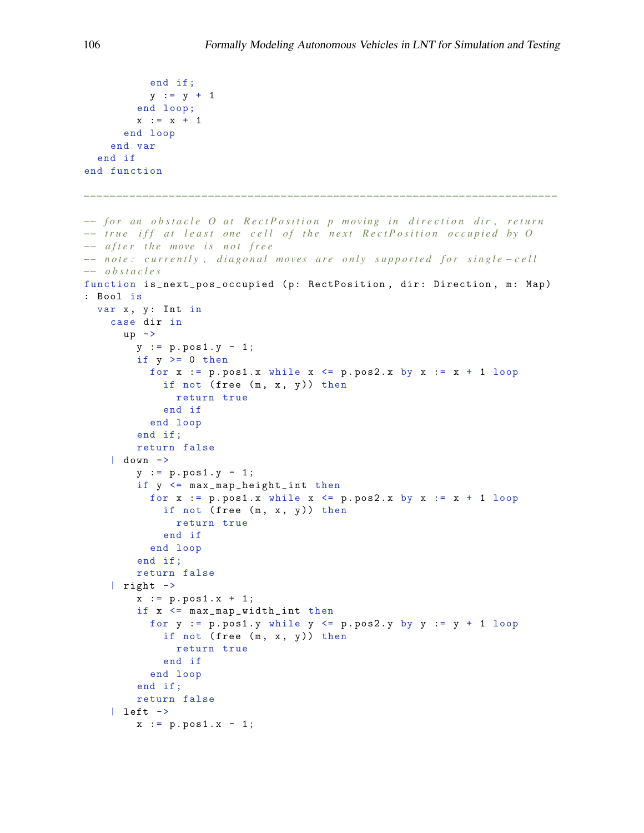```
end if ;
           y := y + 1end loop ;
         x := x + 1end loop
    end var
  end if
end function
−−−−−−−−−−−−−−−−−−−−−−−−−−−−−−−−−−−−−−−−−−−−−−−−−−−−−−−−−−−−−−−−−−−−−−−−
−− for an obstacle O at RectPosition p moving in direction dir, return
−− true iff at least one cell of the next RectPosition occupied by O
−− a f t e r t h e move i s n o t f r e e
−− n o t e : c u r r e n t l y , d i a g o n a l m o ve s a r e o n l y s u p p o r t e d f o r s i n g l e − c e l l
−− o b s t a c l e s
function is_next_pos_occupied (p: RectPosition, dir: Direction, m: Map)
: Bool is
  var x, y: Int in
    case dir in
      up \rightarrowy := p.pos1.y - 1;if y \ge 0 then
           for x := p.pos1.x while x \le p.pos2.x by x := x + 1 loop
             if not (free (m, x, y)) then
               return true
             end if
           end loop
         end if;
         return false
    | down ->
         y := p.pos1.y - 1;if y <= max_map_height_int then
           for x := p.pos1.x while x \le p.pos2.x by x := x + 1 loop
             if not (free (m, x, y)) then
               return true
             end if
           end loop
         end if;
         return false
    | right \rightarrowx := p.pos1.x + 1;if x <= max_map_width_int then
           for y := p.pos1.y while y \leq p.pos2.y by y := y + 1 loop
             if not (free (m, x, y)) then
               return true
             end if
           end loop
         end if;
         return false
     | left \rightarrowx := p.pos1.x - 1;
```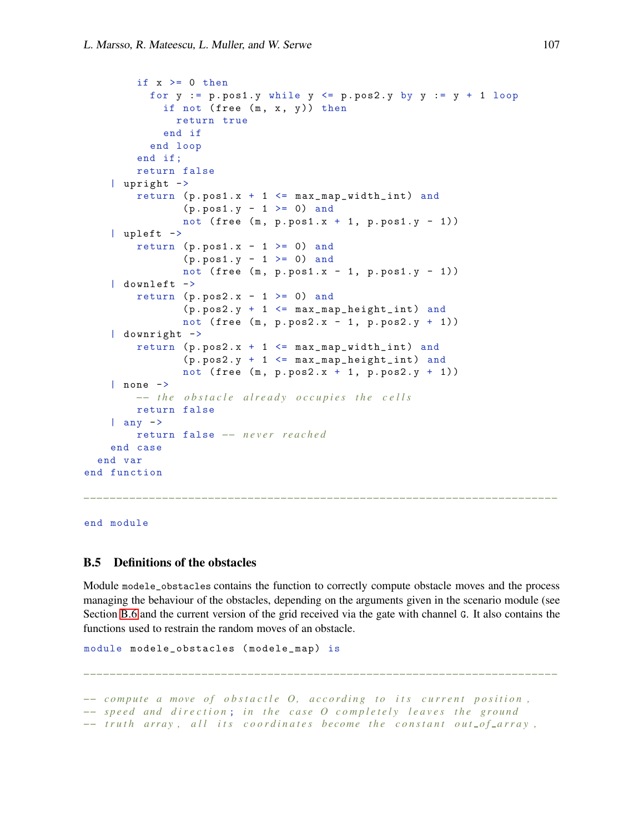```
if x \ge 0 then
          for y := p.posh.y while y \leq p.posh.y by y := y + 1 loop
             if not (free (m, x, y)) then
               return true
            end if
          end loop
        end if;
        return false
    | upright ->
        return (p. pos1.x + 1 \leq max_map\_width\_int) and
                (p. pos1.y - 1 \ge 0) and
                not ( free (m, p. pos1.x + 1, p. pos1.y - 1))
    | upleft ->
        return (p. pos1.x - 1 \ge 0) and
                (p. pos1.y - 1 \ge 0) and
                not (free (m, p. pos1.x - 1, p. pos1.y - 1))
    | downleft ->
        return (p.pos2.x - 1 \ge 0) and
                (p. pos2.y + 1 \leq max\_map\_height\_int) and
                not (free (m, p.pos2.x - 1, p.pos2.y + 1))
    | downright ->
        return (p. pos2.x + 1 \leq max_map\_width\_int) and
                (p. pos2.y + 1 \leq max\_map\_height\_int) and
                not ( free (m, p. pos2.x + 1, p. pos2.y + 1))
    | none ->
        −− the obstacle already occupies the cells
        return false
    | any ->
        return false −− n e v e r r e a c h e d
    end case
  end var
end function
```
end module

# B.5 Definitions of the obstacles

Module modele\_obstacles contains the function to correctly compute obstacle moves and the process managing the behaviour of the obstacles, depending on the arguments given in the scenario module (see Section [B.6](#page-51-0) and the current version of the grid received via the gate with channel G. It also contains the functions used to restrain the random moves of an obstacle.

*−−−−−−−−−−−−−−−−−−−−−−−−−−−−−−−−−−−−−−−−−−−−−−−−−−−−−−−−−−−−−−−−−−−−−−−−*

*−−−−−−−−−−−−−−−−−−−−−−−−−−−−−−−−−−−−−−−−−−−−−−−−−−−−−−−−−−−−−−−−−−−−−−−−*

```
module modele_obstacles ( modele_map) is
```
*−*− compute a move of obstactle O, according to its current position, *−− speed and direction; in the case O completely leaves the ground −− truth array, all its coordinates become the constant out\_of\_array,*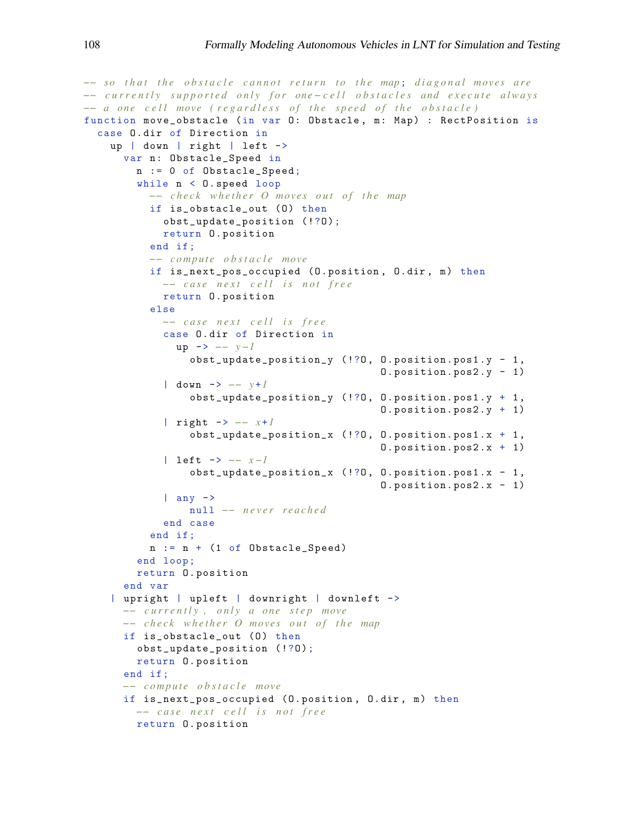```
−− so that the obstacle cannot return to the map; diagonal moves are
−− c u r r e n t l y s u p p o r t e d o n l y f o r one − c e l l o b s t a c l e s a n d e x e c u t e a l w a y s
−− a one cell move (regardless of the speed of the obstacle)
function move_obstacle (in var O: Obstacle, m: Map) : RectPosition is
  case O. dir of Direction in
    up | down | right | left ->
       var n: Obstacle_Speed in
         n := 0 of Obstacle_Speed;
         while n < O. speed loop
           −− check whether O moves out of the map
           if is_obstacle_out (0) then
             obst_update_position (!?0);
             return O . position
           end if ;
           −− c o m p ut e o b s t a c l e move
           if is_next_pos_occupied (O . position , O. dir , m) then
             -− case next cell is not free
             return O . position
           else
             −− c a s e n e x t c e l l i s f r e e
             case O. dir of Direction in
                up -> −− y −1
                  obst\_update\_position\_y ( !?0, 0. position.post.y - 1,0. position. pos2. y - 1)
              | down -> −− y +1
                  obst_update_position_y ( !?O , O . position. pos1 .y + 1 ,
                                                   O . position. pos2 .y + 1)
              | right -> −− x +1
                  obst\_update\_position_x ( !?0, 0. position.post.x + 1,0. position. pos2.x + 1)| left -> −− x −1
                  obst_update_position_x ( !?O , O . position. pos1 .x - 1 ,
                                                   0. position. pos2.x - 1)| any \rightarrownull −− n e v e r r e a c h e d
             end case
           end if ;
           n := n + (1 of Obstackale_Speed)end loop ;
         return O. position
       end var
    | upright | upleft | downright | downleft ->
       −− c u r r e n t l y , o n l y a o n e s t e p move
      −− check whether O moves out of the map
       if is_obstacle_out (0) then
         obst_update_position (!?O);
         return O. position
       end if ;
       −− c o m p ut e o b s t a c l e move
       if is_next_pos_occupied (O. position , O. dir , m) then
         −− c a s e n e x t c e l l i s n o t f r e e
         return O. position
```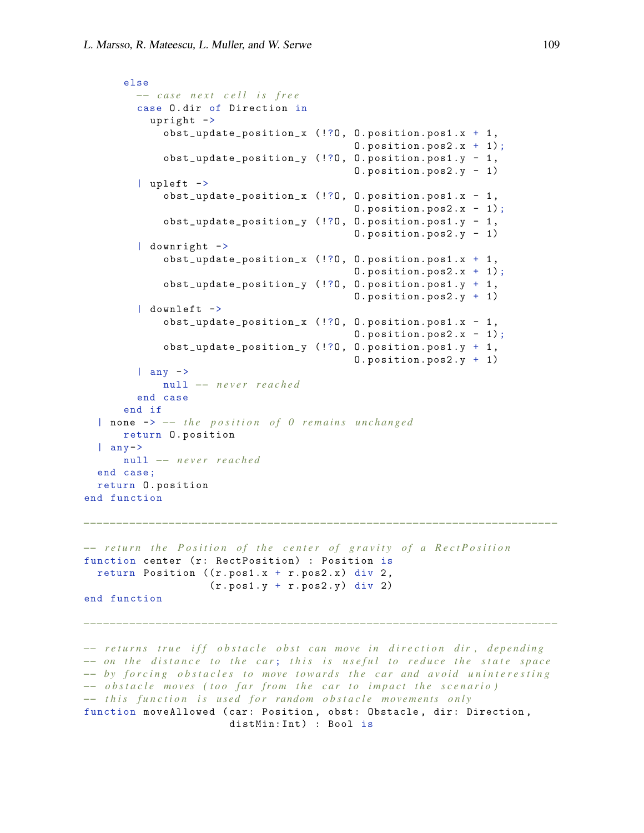```
else
        −− c a s e n e x t c e l l i s f r e e
        case O. dir of Direction in
           upright ->
             obst\_update\_position_x ( !?0, 0. position.post.x + 1,0. position. pos2.x + 1;
             obst_update_position_y ( !?O , O. position. pos1 .y - 1 ,
                                              O. position. pos2 .y - 1)
         | upleft ->
             obst_update_position_x ( !?O , O. position. pos1 .x - 1 ,
                                              0. position. pos2.x - 1);obst\_update\_position\_y ( !?0, 0. position.post. y - 1,
                                              0. position. pos2. y - 1)| downright ->
             obst\_update\_position_x (!?0, 0. position. pos1. x + 1,
                                               0. position. pos2.x + 1;
             obst\_update\_position\_y ( !?0, 0. position.post.y + 1,0. position. pos2. y + 1)
         | downleft ->
             obst_update_position_x ( !?O , O. position. pos1 .x - 1 ,
                                              0. position. pos2.x - 1);obst_update_position_y ( !?O , O. position. pos1 .y + 1 ,
                                               O. position. pos2 .y + 1)
         | any \rightarrownull −− n e v e r r e a c h e d
         end case
      end if
  | none -> -- the position of 0 remains unchanged
      return O. position
  | any->
      null −− n e v e r r e a c h e d
  end case ;
  return O . position
end function
```

```
−− return the Position of the center of gravity of a RectPosition
function center (r: RectPosition) : Position is
  return Position ((r. pos1.x + r. pos2.x) div 2,
                   (r. pos1.y + r. pos2.y) div 2)
end function
```
*−− returns true iff obstacle obst can move in direction dir, depending −− on the distance to the car; this is useful to reduce the state space −− by forcing obstacles to move towards the car and avoid uninteresting −−* obstacle moves (too far from the car to impact the scenario) *−− this function is used for random obstacle movements only* function moveAllowed (car: Position, obst: Obstacle, dir: Direction, distMin: Int) : Bool is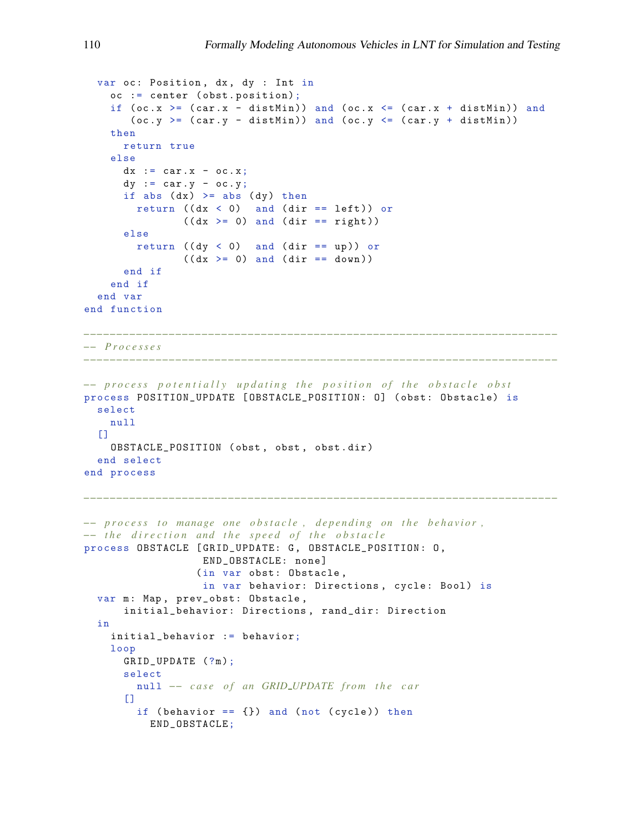```
var oc: Position, dx, dy : Int in
    oc := center ( obst . position);
    if (oc.x) = (car.x - distMin)) and (oc.x \le (car.x + distMin)) and
       (oc.y \geq (car.y - distMin)) and (oc.y \leq (car.y + distMin))then
      return true
    else
      dx := car.x - oc.x;dy := car.y - oc.y;if abs (dx) >= abs (dy) then
        return ((dx < 0) and (dir == left)) or
               ((dx \ge 0) and (dir == right))else
        return ((dy < 0) and (dir == up)) or
              ((dx \ge 0) and (dir == down))end if
    end if
  end var
end function
−−−−−−−−−−−−−−−−−−−−−−−−−−−−−−−−−−−−−−−−−−−−−−−−−−−−−−−−−−−−−−−−−−−−−−−−
−− P r o c e s s e s
−−−−−−−−−−−−−−−−−−−−−−−−−−−−−−−−−−−−−−−−−−−−−−−−−−−−−−−−−−−−−−−−−−−−−−−−
−− process potentially updating the position of the obstacle obst
process POSITION_UPDATE [OBSTACLE_POSITION: 0] (obst: Obstacle) is
  select
   null
  \BoxOBSTACLE_POSITION ( obst , obst , obst . dir )
  end select
end process
−−−−−−−−−−−−−−−−−−−−−−−−−−−−−−−−−−−−−−−−−−−−−−−−−−−−−−−−−−−−−−−−−−−−−−−−
−− process to manage one obstacle, depending on the behavior,
−− the direction and the speed of the obstacle
process OBSTACLE [GRID_UPDATE: G, OBSTACLE_POSITION: 0,
                  END_OBSTACLE: none ]
                  (in var obst: Obstacle,
                  in var behavior: Directions, cycle: Bool) is
  var m: Map, prev_obst: Obstacle,
      initial_behavior : Directions , rand_dir: Direction
  in
    initial_behavior := behavior;
    loop
      GRID_UPDATE (?m );
      select
        null -- case of an GRID_UPDATE from the car
      \Boxif (behavior == {}) and (not (cycle)) then
          END_OBSTACLE;
```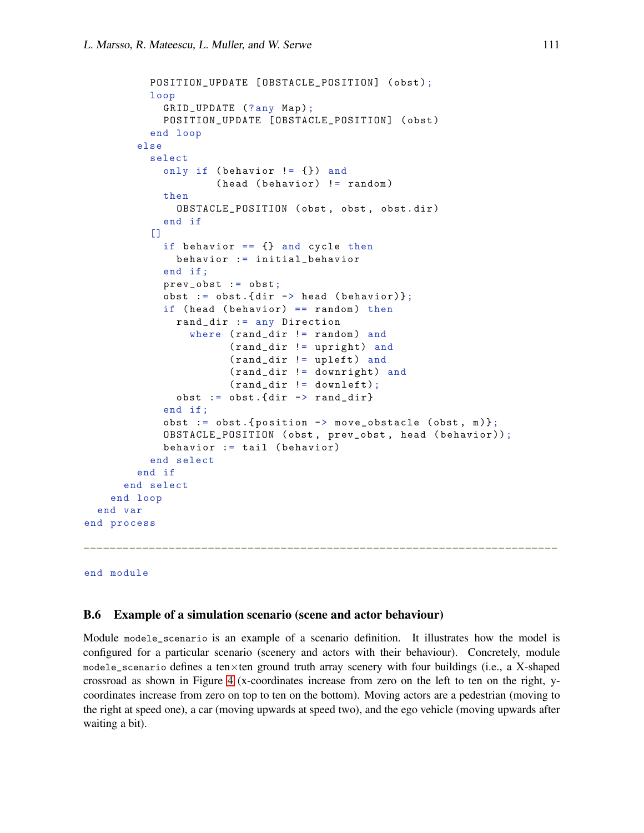```
POSITION_UPDATE [OBSTACLE_POSITION] (obst);
          loop
             GRID_UPDATE (?any Map);
             POSITION_UPDATE [OBSTACLE_POSITION] (obst)
           end loop
        else
           select
             only if (behavior != {}) and
                      ( head ( behavior) != random )
             then
               OBSTACLE_POSITION ( obst , obst , obst . dir )
             end if
           \Gamma]
             if behavior == {} and cycle then
               behavior := initial_behavior
             end if ;
             prev_obst := obst;
             obst := obst.{dir \rightarrow head (behavior)};
             if (head (behavior) == random) then
               rand_dir := any Direction
                 where (rand_dir != random) and
                        ( rand_dir != upright) and
                        ( rand_dir != upleft ) and
                        ( rand_dir != downright) and
                        ( rand_dir != downleft);
               obst := obst .\{ dir \rightarrow rand\_dir\}end if ;
             obst := obst. {position \rightarrow move_obstacle (obst, m)};
             OBSTACLE_POSITION ( obst , prev_obst , head ( behavior ));
             behavior := tail ( behavior)
           end select
        end if
      end select
    end loop
  end var
end process
−−−−−−−−−−−−−−−−−−−−−−−−−−−−−−−−−−−−−−−−−−−−−−−−−−−−−−−−−−−−−−−−−−−−−−−−
```

```
end module
```
#### <span id="page-51-0"></span>B.6 Example of a simulation scenario (scene and actor behaviour)

Module modele\_scenario is an example of a scenario definition. It illustrates how the model is configured for a particular scenario (scenery and actors with their behaviour). Concretely, module modele\_scenario defines a ten×ten ground truth array scenery with four buildings (i.e., a X-shaped crossroad as shown in Figure [4](#page-7-0) (x-coordinates increase from zero on the left to ten on the right, ycoordinates increase from zero on top to ten on the bottom). Moving actors are a pedestrian (moving to the right at speed one), a car (moving upwards at speed two), and the ego vehicle (moving upwards after waiting a bit).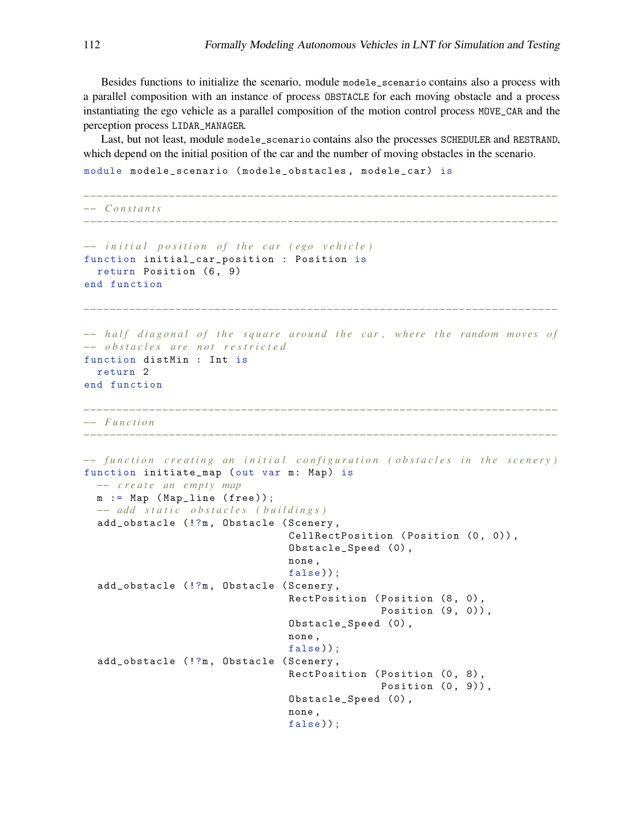Besides functions to initialize the scenario, module modele\_scenario contains also a process with a parallel composition with an instance of process OBSTACLE for each moving obstacle and a process instantiating the ego vehicle as a parallel composition of the motion control process MOVE\_CAR and the perception process LIDAR\_MANAGER.

Last, but not least, module modele\_scenario contains also the processes SCHEDULER and RESTRAND, which depend on the initial position of the car and the number of moving obstacles in the scenario.

```
module modele_scenario ( modele_obstacles , modele_car) is
```

```
−−−−−−−−−−−−−−−−−−−−−−−−−−−−−−−−−−−−−−−−−−−−−−−−−−−−−−−−−−−−−−−−−−−−−−−−
−− C o n s t a n t s
−−−−−−−−−−−−−−−−−−−−−−−−−−−−−−−−−−−−−−−−−−−−−−−−−−−−−−−−−−−−−−−−−−−−−−−−
−− initial position of the car (ego vehicle)
function initial_car_position : Position is
  return Position (6, 9)
end function
−−−−−−−−−−−−−−−−−−−−−−−−−−−−−−−−−−−−−−−−−−−−−−−−−−−−−−−−−−−−−−−−−−−−−−−−
−− half diagonal of the square around the car, where the random moves of
−− o b s t a c l e s a r e n o t r e s t r i c t e d
function distMin : Int is
  return 2
end function
−−−−−−−−−−−−−−−−−−−−−−−−−−−−−−−−−−−−−−−−−−−−−−−−−−−−−−−−−−−−−−−−−−−−−−−−
−− F u n c t i o n
            −−−−−−−−−−−−−−−−−−−−−−−−−−−−−−−−−−−−−−−−−−−−−−−−−−−−−−−−−−−−−−−−−−−−−−−−
-− function creating an initial configuration (obstacles in the scenery)
function initiate_map ( out var m: Map) is
 −− c r e a t e an empty map
  m := Map ( Map_line ( free ));
  −− a d d s t a t i c o b s t a c l e s ( b u i l d i n g s )
  add_obstacle (!?m, Obstacle (Scenery,
                                  CellRectPosition (Position (0, 0)),
                                  Obstacle_Speed (0) ,
                                  none ,
                                  false));
  add_obstacle (!?m, Obstacle (Scenery,
                                  RectPosition (Position (8, 0),
                                                 Position (9, 0)),
                                  Obstacle_Speed (0) ,
                                  none ,
                                  false));
  add_obstacle (!?m, Obstacle (Scenery,
                                  RectPosition (Position (0, 8),
                                                 Position (0, 9)),
                                   Obstacle_Speed (0) ,
                                  none ,
                                  false));
```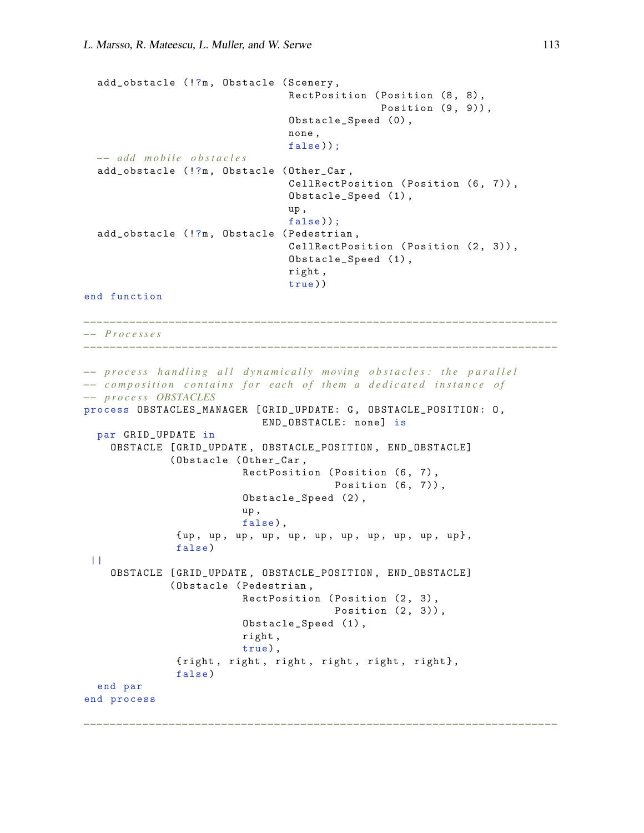```
add_obstacle (!?m, Obstacle (Scenery,
                                  RectPosition (Position (8, 8),
                                                 Position (9, 9)),
                                  Obstacle_Speed (0) ,
                                  none ,
                                  false));
  −− a d d m o b i l e o b s t a c l e s
  add_obstacle (!?m , Obstacle ( Other_Car ,
                                  CellRectPosition (Position (6, 7)),
                                  Obstacle_Speed (1) ,
                                  up ,
                                  false));
  add_obstacle (!?m, Obstacle (Pedestrian,
                                  CellRectPosition (Position (2, 3)),
                                  Obstacle_Speed (1) ,
                                  right ,
                                  true))
end function
```
*−−−−−−−−−−−−−−−−−−−−−−−−−−−−−−−−−−−−−−−−−−−−−−−−−−−−−−−−−−−−−−−−−−−−−−−−*

```
−− P r o c e s s e s
```

```
−− process handling all dynamically moving obstacles: the parallel
−− composition contains for each of them a dedicated instance of
−− p r o c e s s OBSTACLES
process OBSTACLES_MANAGER [ GRID_UPDATE: G , OBSTACLE_POSITION : O,
                            END_OBSTACLE: none] is
  par GRID_UPDATE in
    OBSTACLE [ GRID_UPDATE , OBSTACLE_POSITION , END_OBSTACLE]
              ( Obstacle ( Other_Car ,
                          RectPosition (Position (6, 7),
                                        Position (6, 7)),
                          Obstacle_Speed (2) ,
                          up ,
                          false) ,
               {up , up , up , up , up , up , up , up , up , up , up } ,
               false )
 ||OBSTACLE [ GRID_UPDATE , OBSTACLE_POSITION , END_OBSTACLE]
              ( Obstacle ( Pedestrian ,
                          RectPosition (Position (2, 3),
                                        Position (2, 3)),
                          Obstacle_Speed (1) ,
                          right ,
                          true) ,
               {right, right, right, right, right, right},
               false )
  end par
end process
```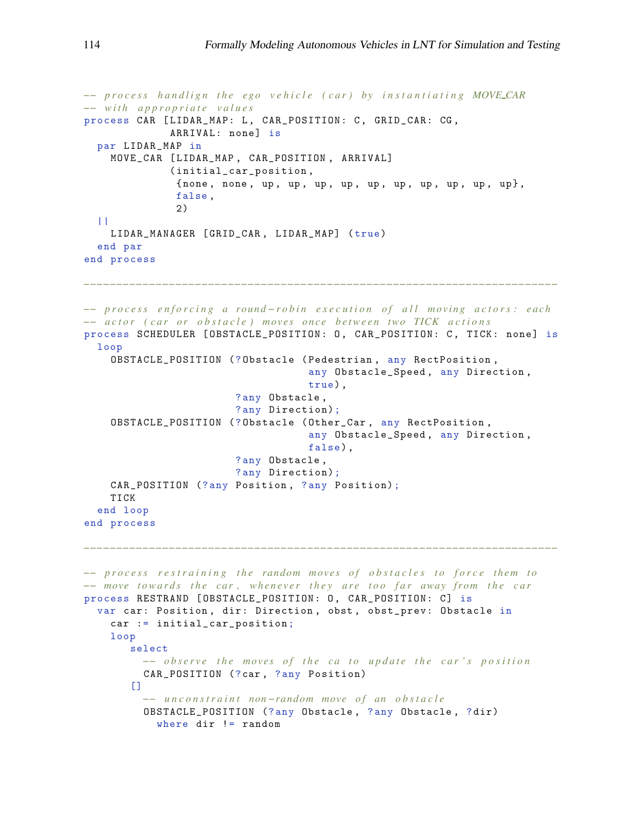```
−− p r o c e s s h a n d l i g n t h e e g o v e h i c l e ( c a r ) b y i n s t a n t i a t i n g MOVE CAR
−− w i t h a p p r o p r i a t e v a l u e s
process CAR [LIDAR_MAP: L, CAR_POSITION: C, GRID_CAR: CG,
               ARRIVAL: none] is
  par LIDAR_MAP in
    MOVE_CAR [ LIDAR_MAP , CAR_POSITION , ARRIVAL]
               ( initial_car_position ,
                { none , none , up , up , up , up , up , up , up , up , up , up } ,
                false ,
                2)
  |||LIDAR_MANAGER [ GRID_CAR , LIDAR_MAP] ( true)
  end par
end process
−−−−−−−−−−−−−−−−−−−−−−−−−−−−−−−−−−−−−−−−−−−−−−−−−−−−−−−−−−−−−−−−−−−−−−−−
−− p r o c e s s e n f o r c i n g a r o u n d − r o b i n e x e c u t i o n o f a l l m o vi n g a c t o r s : e a c h
−− actor (car or obstacle) moves once between two TICK actions
process SCHEDULER [OBSTACLE_POSITION: 0, CAR_POSITION: C, TICK: none] is
  loop
    OBSTACLE_POSITION (? Obstacle ( Pedestrian , any RectPosition ,
                                       any Obstacle_Speed , any Direction ,
                                       true) ,
                          ? any Obstacle ,
                          ? any Direction);
    OBSTACLE_POSITION (? Obstacle ( Other_Car , any RectPosition ,
                                       any Obstacle_Speed , any Direction ,
                                       false) ,
                          ? any Obstacle ,
                          ? any Direction);
    CAR_POSITION (?any Position, ?any Position);
    TICK
  end loop
end process
−−−−−−−−−−−−−−−−−−−−−−−−−−−−−−−−−−−−−−−−−−−−−−−−−−−−−−−−−−−−−−−−−−−−−−−−
−− p r o c e s s r e s t r a i n i n g t h e ra n d om m o ve s o f o b s t a c l e s t o f o r c e t h e m t o
−− move towards the car, whenever they are too far away from the car
process RESTRAND [OBSTACLE_POSITION: 0, CAR_POSITION: C] is
  var car: Position, dir: Direction, obst, obst_prev: Obstacle in
    car := initial_car_position;
    loop
        select
          −− observe the moves of the ca to update the car's position
          CAR_POSITION (?car, ?any Position)
        \Box−− u n c o n s t r a i n t non −ra n d om move o f an o b s t a c l e
          OBSTACLE_POSITION (? any Obstacle , ? any Obstacle , ? dir)
            where dir != random
```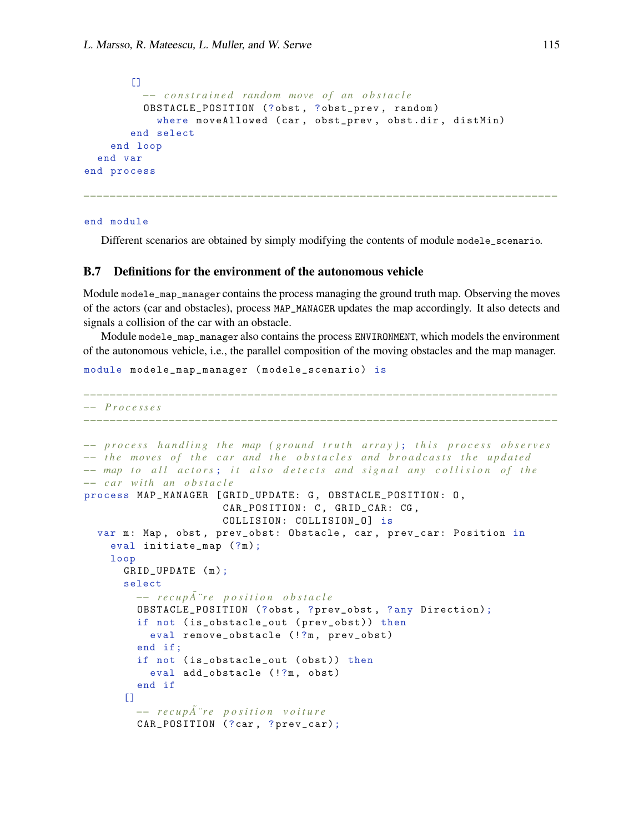```
[−− c o n s t r a i n e d ra n d om move o f an o b s t a c l e
          OBSTACLE_POSITION (?obst , ? obst_prev , random )
            where moveAllowed (car, obst_prev, obst.dir, distMin)
        end select
    end loop
  end var
end process
```
end module

Different scenarios are obtained by simply modifying the contents of module modele\_scenario.

*−−−−−−−−−−−−−−−−−−−−−−−−−−−−−−−−−−−−−−−−−−−−−−−−−−−−−−−−−−−−−−−−−−−−−−−−*

### B.7 Definitions for the environment of the autonomous vehicle

Module modele\_map\_manager contains the process managing the ground truth map. Observing the moves of the actors (car and obstacles), process MAP\_MANAGER updates the map accordingly. It also detects and signals a collision of the car with an obstacle.

Module modele\_map\_manager also contains the process ENVIRONMENT, which models the environment of the autonomous vehicle, i.e., the parallel composition of the moving obstacles and the map manager.

module modele\_map\_manager ( modele\_scenario) is

```
−−−−−−−−−−−−−−−−−−−−−−−−−−−−−−−−−−−−−−−−−−−−−−−−−−−−−−−−−−−−−−−−−−−−−−−−
−− P r o c e s s e s
−−−−−−−−−−−−−−−−−−−−−−−−−−−−−−−−−−−−−−−−−−−−−−−−−−−−−−−−−−−−−−−−−−−−−−−−
−− process handling the map (ground truth array); this process observes
−− the moves of the car and the obstacles and broadcasts the updated
−− map to all actors; it also detects and signal any collision of the
−− car with an obstacle
process MAP_MANAGER [ GRID_UPDATE: G , OBSTACLE_POSITION : O ,
                        CAR_POSITION: C, GRID_CAR: CG,
                        COLLISION: COLLISION_O] is
  var m: Map, obst, prev_obst: Obstacle, car, prev_car: Position in
    eval initiate_map (?m);
    loop
       GRID_UPDATE (m);
       select
         −− recup\tilde{A} re position obstacle
         OBSTACLE_POSITION (? obst , ? prev_obst , ? any Direction);
         if not (is_obstacle_out (prev_obst)) then
           eval remove_obstacle (!?m, prev_obst)
         end if;
         if not ( is_obstacle_out ( obst )) then
           eval add_obstacle (!?m, obst)
         end if
       \Box−− r e c u p A ¨ r e p o s i t i o n v o i t u r e ˜
         CAR_POSITION (?car , ? prev_car);
```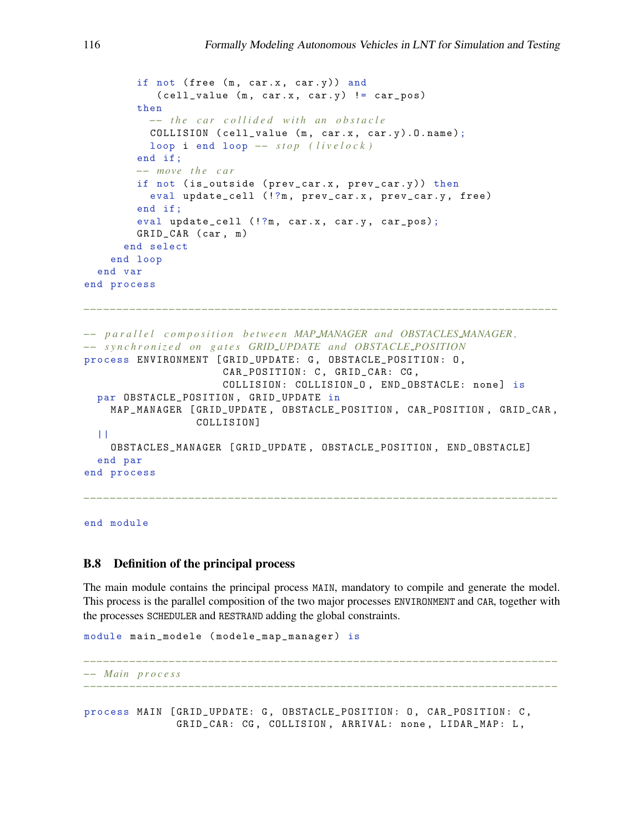```
if not (free (m, car.x, car.y)) and
            (cell_vvalue (m, car.x, car.y) != car_pos)then
           −− the car collided with an obstacle
          COLLISION ( cell_value (m, car.x, car.y). O. name);
          loop i end loop - stop (livelock)
        end if;
        −− move t h e c a r
        if not (is_outside (prev_car.x, prev_car.y)) then
          eval update_cell (!?m, prev_car.x, prev_car.y, free)
        end if;
        eval update_cell (!?m, car.x, car.y, car_pos);
        GRID_CAR ( car , m)
      end select
    end loop
  end var
end process
−−−−−−−−−−−−−−−−−−−−−−−−−−−−−−−−−−−−−−−−−−−−−−−−−−−−−−−−−−−−−−−−−−−−−−−−
−− p a r a l l e l c o m p o s i t i o n b e t w e e n MAP MANAGER a n d OBSTACLES MANAGER ,
−− s y n c h r o n i z e d on g a t e s GRID UPDATE a n d OBSTACLE POSITION
process ENVIRONMENT [GRID_UPDATE: G, OBSTACLE_POSITION: 0,
                      CAR_POSITION: C, GRID_CAR: CG,
                      COLLISION: COLLISION_0, END_OBSTACLE: none] is
  par OBSTACLE_POSITION , GRID_UPDATE in
    MAP_MANAGER [ GRID_UPDATE , OBSTACLE_POSITION , CAR_POSITION , GRID_CAR ,
                  COLLISION]
  | \cdot |OBSTACLES_MANAGER [ GRID_UPDATE , OBSTACLE_POSITION , END_OBSTACLE]
  end par
end process
−−−−−−−−−−−−−−−−−−−−−−−−−−−−−−−−−−−−−−−−−−−−−−−−−−−−−−−−−−−−−−−−−−−−−−−−
```
end module

#### B.8 Definition of the principal process

The main module contains the principal process MAIN, mandatory to compile and generate the model. This process is the parallel composition of the two major processes ENVIRONMENT and CAR, together with the processes SCHEDULER and RESTRAND adding the global constraints.

```
module main_modele ( modele_map_manager ) is
```

```
−−−−−−−−−−−−−−−−−−−−−−−−−−−−−−−−−−−−−−−−−−−−−−−−−−−−−−−−−−−−−−−−−−−−−−−−
−− Main p r o c e s s
```
process MAIN [GRID\_UPDATE: G, OBSTACLE\_POSITION: O, CAR\_POSITION: C, GRID\_CAR: CG , COLLISION , ARRIVAL: none , LIDAR\_MAP: L ,